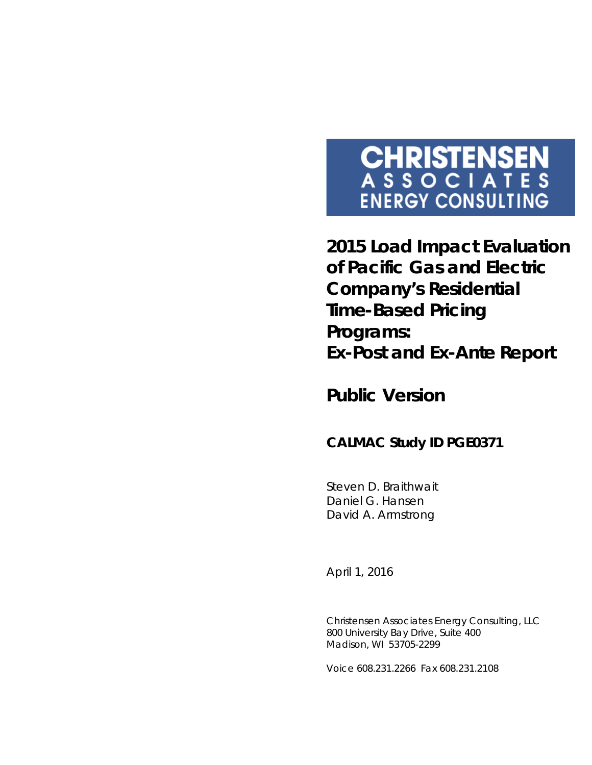# **CHRISTENSEN**<br>ASSOCIATES **ENERGY CONSULTING**

**2015 Load Impact Evaluation of Pacific Gas and Electric Company's Residential Time-Based Pricing Programs:**  *Ex-Post* **and** *Ex-Ante* **Report**

*Public Version*

## **CALMAC Study ID PGE0371**

Steven D. Braithwait Daniel G. Hansen David A. Armstrong

*April 1, 2016*

Christensen Associates Energy Consulting, LLC 800 University Bay Drive, Suite 400 Madison, WI 53705-2299

Voice 608.231.2266 Fax 608.231.2108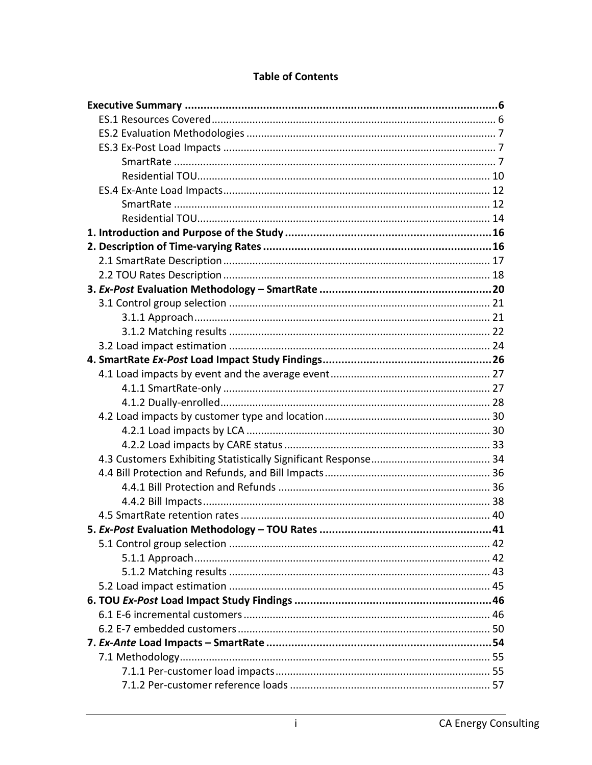#### **Table of Contents**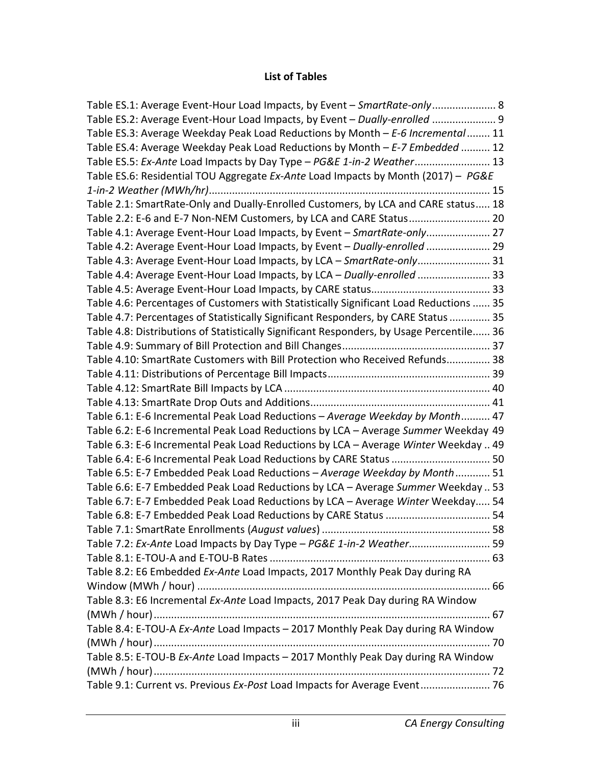#### **List of Tables**

| Table ES.1: Average Event-Hour Load Impacts, by Event – SmartRate-only 8                 |  |
|------------------------------------------------------------------------------------------|--|
| Table ES.2: Average Event-Hour Load Impacts, by Event - Dually-enrolled  9               |  |
| Table ES.3: Average Weekday Peak Load Reductions by Month - E-6 Incremental 11           |  |
| Table ES.4: Average Weekday Peak Load Reductions by Month $- E$ -7 Embedded  12          |  |
| Table ES.5: Ex-Ante Load Impacts by Day Type - PG&E 1-in-2 Weather 13                    |  |
| Table ES.6: Residential TOU Aggregate Ex-Ante Load Impacts by Month (2017) - PG&E        |  |
|                                                                                          |  |
| Table 2.1: SmartRate-Only and Dually-Enrolled Customers, by LCA and CARE status 18       |  |
| Table 2.2: E-6 and E-7 Non-NEM Customers, by LCA and CARE Status 20                      |  |
| Table 4.1: Average Event-Hour Load Impacts, by Event - SmartRate-only 27                 |  |
| Table 4.2: Average Event-Hour Load Impacts, by Event - Dually-enrolled  29               |  |
| Table 4.3: Average Event-Hour Load Impacts, by LCA - SmartRate-only 31                   |  |
| Table 4.4: Average Event-Hour Load Impacts, by LCA - Dually-enrolled  33                 |  |
|                                                                                          |  |
| Table 4.6: Percentages of Customers with Statistically Significant Load Reductions  35   |  |
| Table 4.7: Percentages of Statistically Significant Responders, by CARE Status  35       |  |
| Table 4.8: Distributions of Statistically Significant Responders, by Usage Percentile 36 |  |
|                                                                                          |  |
| Table 4.10: SmartRate Customers with Bill Protection who Received Refunds 38             |  |
|                                                                                          |  |
|                                                                                          |  |
|                                                                                          |  |
| Table 6.1: E-6 Incremental Peak Load Reductions - Average Weekday by Month 47            |  |
| Table 6.2: E-6 Incremental Peak Load Reductions by LCA - Average Summer Weekday 49       |  |
| Table 6.3: E-6 Incremental Peak Load Reductions by LCA - Average Winter Weekday  49      |  |
| Table 6.4: E-6 Incremental Peak Load Reductions by CARE Status  50                       |  |
| Table 6.5: E-7 Embedded Peak Load Reductions - Average Weekday by Month 51               |  |
| Table 6.6: E-7 Embedded Peak Load Reductions by LCA - Average Summer Weekday  53         |  |
| Table 6.7: E-7 Embedded Peak Load Reductions by LCA - Average Winter Weekday 54          |  |
|                                                                                          |  |
|                                                                                          |  |
| Table 7.2: Ex-Ante Load Impacts by Day Type - PG&E 1-in-2 Weather 59                     |  |
|                                                                                          |  |
| Table 8.2: E6 Embedded Ex-Ante Load Impacts, 2017 Monthly Peak Day during RA             |  |
|                                                                                          |  |
| Table 8.3: E6 Incremental Ex-Ante Load Impacts, 2017 Peak Day during RA Window           |  |
|                                                                                          |  |
| Table 8.4: E-TOU-A Ex-Ante Load Impacts - 2017 Monthly Peak Day during RA Window         |  |
|                                                                                          |  |
| Table 8.5: E-TOU-B Ex-Ante Load Impacts - 2017 Monthly Peak Day during RA Window         |  |
|                                                                                          |  |
| Table 9.1: Current vs. Previous Ex-Post Load Impacts for Average Event 76                |  |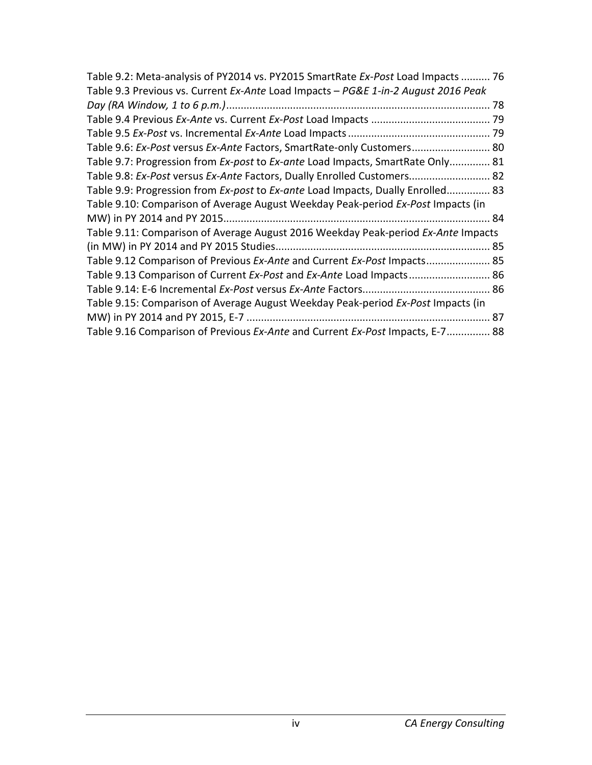| Table 9.2: Meta-analysis of PY2014 vs. PY2015 SmartRate Ex-Post Load Impacts  76   |  |
|------------------------------------------------------------------------------------|--|
| Table 9.3 Previous vs. Current Ex-Ante Load Impacts - PG&E 1-in-2 August 2016 Peak |  |
|                                                                                    |  |
|                                                                                    |  |
|                                                                                    |  |
| Table 9.6: Ex-Post versus Ex-Ante Factors, SmartRate-only Customers 80             |  |
| Table 9.7: Progression from Ex-post to Ex-ante Load Impacts, SmartRate Only 81     |  |
| Table 9.8: Ex-Post versus Ex-Ante Factors, Dually Enrolled Customers 82            |  |
| Table 9.9: Progression from Ex-post to Ex-ante Load Impacts, Dually Enrolled 83    |  |
| Table 9.10: Comparison of Average August Weekday Peak-period Ex-Post Impacts (in   |  |
|                                                                                    |  |
| Table 9.11: Comparison of Average August 2016 Weekday Peak-period Ex-Ante Impacts  |  |
|                                                                                    |  |
| Table 9.12 Comparison of Previous Ex-Ante and Current Ex-Post Impacts 85           |  |
| Table 9.13 Comparison of Current Ex-Post and Ex-Ante Load Impacts 86               |  |
|                                                                                    |  |
| Table 9.15: Comparison of Average August Weekday Peak-period Ex-Post Impacts (in   |  |
|                                                                                    |  |
| Table 9.16 Comparison of Previous Ex-Ante and Current Ex-Post Impacts, E-7 88      |  |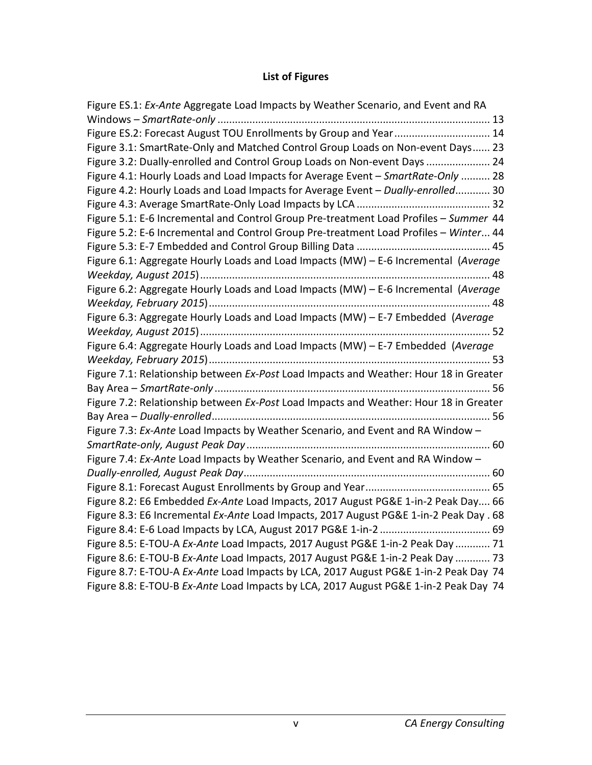## **List of Figures**

| Figure ES.1: Ex-Ante Aggregate Load Impacts by Weather Scenario, and Event and RA      |
|----------------------------------------------------------------------------------------|
|                                                                                        |
| Figure ES.2: Forecast August TOU Enrollments by Group and Year 14                      |
| Figure 3.1: SmartRate-Only and Matched Control Group Loads on Non-event Days 23        |
| Figure 3.2: Dually-enrolled and Control Group Loads on Non-event Days  24              |
| Figure 4.1: Hourly Loads and Load Impacts for Average Event - SmartRate-Only  28       |
| Figure 4.2: Hourly Loads and Load Impacts for Average Event - Dually-enrolled 30       |
|                                                                                        |
| Figure 5.1: E-6 Incremental and Control Group Pre-treatment Load Profiles - Summer 44  |
| Figure 5.2: E-6 Incremental and Control Group Pre-treatment Load Profiles - Winter 44  |
|                                                                                        |
| Figure 6.1: Aggregate Hourly Loads and Load Impacts (MW) - E-6 Incremental (Average    |
|                                                                                        |
| Figure 6.2: Aggregate Hourly Loads and Load Impacts (MW) - E-6 Incremental (Average    |
|                                                                                        |
| Figure 6.3: Aggregate Hourly Loads and Load Impacts (MW) - E-7 Embedded (Average       |
|                                                                                        |
| Figure 6.4: Aggregate Hourly Loads and Load Impacts (MW) - E-7 Embedded (Average       |
|                                                                                        |
| Figure 7.1: Relationship between Ex-Post Load Impacts and Weather: Hour 18 in Greater  |
|                                                                                        |
| Figure 7.2: Relationship between Ex-Post Load Impacts and Weather: Hour 18 in Greater  |
|                                                                                        |
| Figure 7.3: Ex-Ante Load Impacts by Weather Scenario, and Event and RA Window -        |
|                                                                                        |
| Figure 7.4: Ex-Ante Load Impacts by Weather Scenario, and Event and RA Window -        |
|                                                                                        |
|                                                                                        |
| Figure 8.2: E6 Embedded Ex-Ante Load Impacts, 2017 August PG&E 1-in-2 Peak Day 66      |
| Figure 8.3: E6 Incremental Ex-Ante Load Impacts, 2017 August PG&E 1-in-2 Peak Day . 68 |
|                                                                                        |
| Figure 8.5: E-TOU-A Ex-Ante Load Impacts, 2017 August PG&E 1-in-2 Peak Day  71         |
| Figure 8.6: E-TOU-B Ex-Ante Load Impacts, 2017 August PG&E 1-in-2 Peak Day  73         |
| Figure 8.7: E-TOU-A Ex-Ante Load Impacts by LCA, 2017 August PG&E 1-in-2 Peak Day 74   |
| Figure 8.8: E-TOU-B Ex-Ante Load Impacts by LCA, 2017 August PG&E 1-in-2 Peak Day 74   |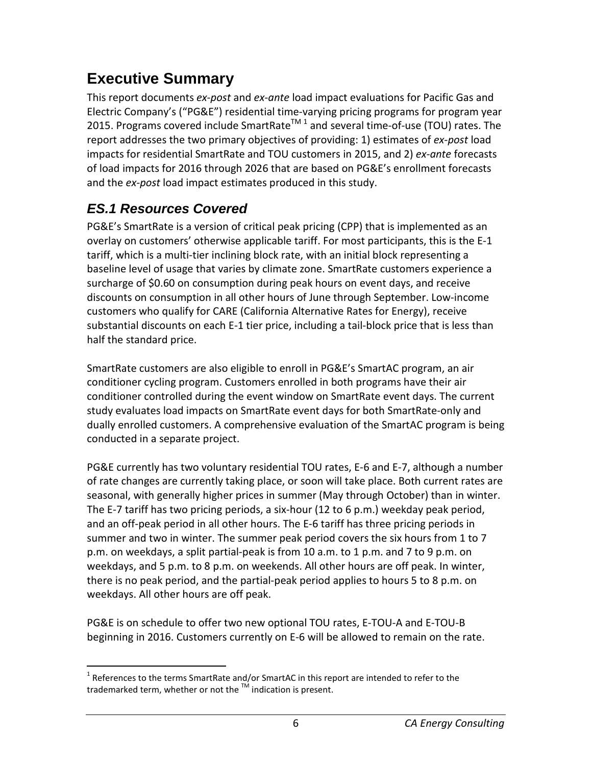# <span id="page-6-0"></span>**Executive Summary**

This report documents *ex-post* and *ex-ante* load impact evaluations for Pacific Gas and Electric Company's ("PG&E") residential time-varying pricing programs for program year 20[1](#page-6-2)5. Programs covered include SmartRate<sup>TM 1</sup> and several time-of-use (TOU) rates. The report addresses the two primary objectives of providing: 1) estimates of *ex-post* load impacts for residential SmartRate and TOU customers in 2015, and 2) *ex-ante* forecasts of load impacts for 2016 through 2026 that are based on PG&E's enrollment forecasts and the *ex-post* load impact estimates produced in this study.

## <span id="page-6-1"></span>*ES.1 Resources Covered*

PG&E's SmartRate is a version of critical peak pricing (CPP) that is implemented as an overlay on customers' otherwise applicable tariff. For most participants, this is the E-1 tariff, which is a multi-tier inclining block rate, with an initial block representing a baseline level of usage that varies by climate zone. SmartRate customers experience a surcharge of \$0.60 on consumption during peak hours on event days, and receive discounts on consumption in all other hours of June through September. Low-income customers who qualify for CARE (California Alternative Rates for Energy), receive substantial discounts on each E-1 tier price, including a tail-block price that is less than half the standard price.

SmartRate customers are also eligible to enroll in PG&E's SmartAC program, an air conditioner cycling program. Customers enrolled in both programs have their air conditioner controlled during the event window on SmartRate event days. The current study evaluates load impacts on SmartRate event days for both SmartRate-only and dually enrolled customers. A comprehensive evaluation of the SmartAC program is being conducted in a separate project.

PG&E currently has two voluntary residential TOU rates, E-6 and E-7, although a number of rate changes are currently taking place, or soon will take place. Both current rates are seasonal, with generally higher prices in summer (May through October) than in winter. The E-7 tariff has two pricing periods, a six-hour (12 to 6 p.m.) weekday peak period, and an off-peak period in all other hours. The E-6 tariff has three pricing periods in summer and two in winter. The summer peak period covers the six hours from 1 to 7 p.m. on weekdays, a split partial-peak is from 10 a.m. to 1 p.m. and 7 to 9 p.m. on weekdays, and 5 p.m. to 8 p.m. on weekends. All other hours are off peak. In winter, there is no peak period, and the partial-peak period applies to hours 5 to 8 p.m. on weekdays. All other hours are off peak.

PG&E is on schedule to offer two new optional TOU rates, E-TOU-A and E-TOU-B beginning in 2016. Customers currently on E-6 will be allowed to remain on the rate.

<span id="page-6-2"></span> $1$  References to the terms SmartRate and/or SmartAC in this report are intended to refer to the trademarked term, whether or not the  $TM$  indication is present.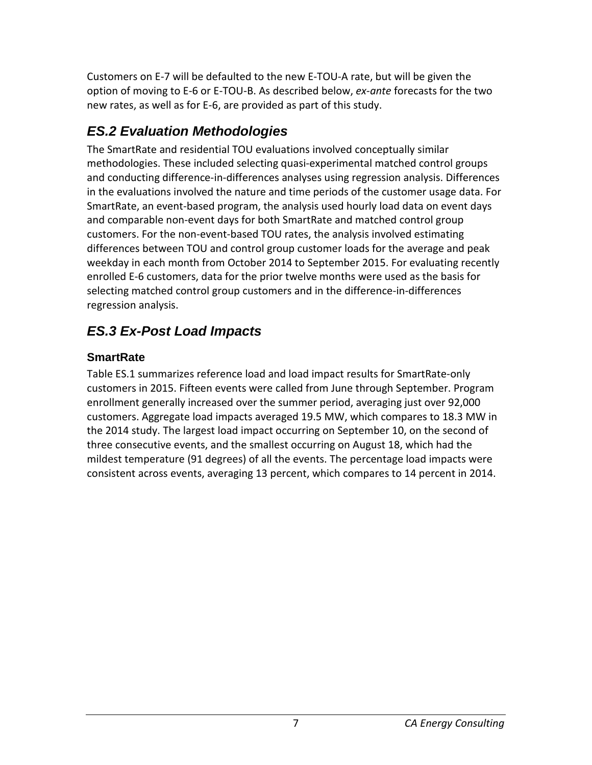Customers on E-7 will be defaulted to the new E-TOU-A rate, but will be given the option of moving to E-6 or E-TOU-B. As described below, *ex-ante* forecasts for the two new rates, as well as for E-6, are provided as part of this study.

## <span id="page-7-0"></span>*ES.2 Evaluation Methodologies*

The SmartRate and residential TOU evaluations involved conceptually similar methodologies. These included selecting quasi-experimental matched control groups and conducting difference-in-differences analyses using regression analysis. Differences in the evaluations involved the nature and time periods of the customer usage data. For SmartRate, an event-based program, the analysis used hourly load data on event days and comparable non-event days for both SmartRate and matched control group customers. For the non-event-based TOU rates, the analysis involved estimating differences between TOU and control group customer loads for the average and peak weekday in each month from October 2014 to September 2015. For evaluating recently enrolled E-6 customers, data for the prior twelve months were used as the basis for selecting matched control group customers and in the difference-in-differences regression analysis.

# <span id="page-7-1"></span>*ES.3 Ex-Post Load Impacts*

## <span id="page-7-2"></span>**SmartRate**

Table ES.1 summarizes reference load and load impact results for SmartRate-only customers in 2015. Fifteen events were called from June through September. Program enrollment generally increased over the summer period, averaging just over 92,000 customers. Aggregate load impacts averaged 19.5 MW, which compares to 18.3 MW in the 2014 study. The largest load impact occurring on September 10, on the second of three consecutive events, and the smallest occurring on August 18, which had the mildest temperature (91 degrees) of all the events. The percentage load impacts were consistent across events, averaging 13 percent, which compares to 14 percent in 2014.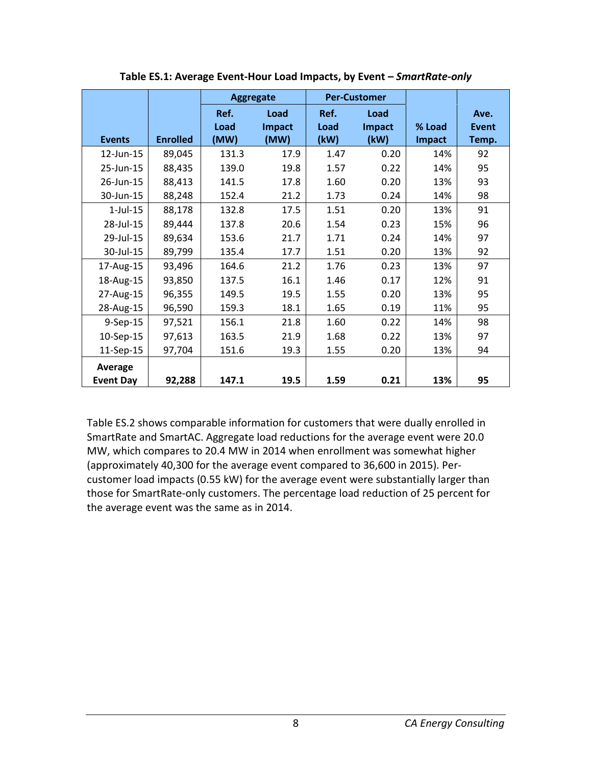<span id="page-8-0"></span>

|                             |                 | <b>Aggregate</b>     |                        | <b>Per-Customer</b>  |                        |                  |                        |
|-----------------------------|-----------------|----------------------|------------------------|----------------------|------------------------|------------------|------------------------|
| <b>Events</b>               | <b>Enrolled</b> | Ref.<br>Load<br>(MW) | Load<br>Impact<br>(MW) | Ref.<br>Load<br>(kW) | Load<br>Impact<br>(kW) | % Load<br>Impact | Ave.<br>Event<br>Temp. |
| 12-Jun-15                   | 89,045          | 131.3                | 17.9                   | 1.47                 | 0.20                   | 14%              | 92                     |
| 25-Jun-15                   | 88,435          | 139.0                | 19.8                   | 1.57                 | 0.22                   | 14%              | 95                     |
| 26-Jun-15                   | 88,413          | 141.5                | 17.8                   | 1.60                 | 0.20                   | 13%              | 93                     |
| 30-Jun-15                   | 88,248          | 152.4                | 21.2                   | 1.73                 | 0.24                   | 14%              | 98                     |
| $1$ -Jul- $15$              | 88,178          | 132.8                | 17.5                   | 1.51                 | 0.20                   | 13%              | 91                     |
| 28-Jul-15                   | 89,444          | 137.8                | 20.6                   | 1.54                 | 0.23                   | 15%              | 96                     |
| 29-Jul-15                   | 89,634          | 153.6                | 21.7                   | 1.71                 | 0.24                   | 14%              | 97                     |
| 30-Jul-15                   | 89,799          | 135.4                | 17.7                   | 1.51                 | 0.20                   | 13%              | 92                     |
| 17-Aug-15                   | 93,496          | 164.6                | 21.2                   | 1.76                 | 0.23                   | 13%              | 97                     |
| 18-Aug-15                   | 93,850          | 137.5                | 16.1                   | 1.46                 | 0.17                   | 12%              | 91                     |
| 27-Aug-15                   | 96,355          | 149.5                | 19.5                   | 1.55                 | 0.20                   | 13%              | 95                     |
| 28-Aug-15                   | 96,590          | 159.3                | 18.1                   | 1.65                 | 0.19                   | 11%              | 95                     |
| 9-Sep-15                    | 97,521          | 156.1                | 21.8                   | 1.60                 | 0.22                   | 14%              | 98                     |
| 10-Sep-15                   | 97,613          | 163.5                | 21.9                   | 1.68                 | 0.22                   | 13%              | 97                     |
| 11-Sep-15                   | 97,704          | 151.6                | 19.3                   | 1.55                 | 0.20                   | 13%              | 94                     |
| Average<br><b>Event Day</b> | 92,288          | 147.1                | 19.5                   | 1.59                 | 0.21                   | 13%              | 95                     |

**Table ES.1: Average Event-Hour Load Impacts, by Event –** *SmartRate-only* 

Table ES.2 shows comparable information for customers that were dually enrolled in SmartRate and SmartAC. Aggregate load reductions for the average event were 20.0 MW, which compares to 20.4 MW in 2014 when enrollment was somewhat higher (approximately 40,300 for the average event compared to 36,600 in 2015). Percustomer load impacts (0.55 kW) for the average event were substantially larger than those for SmartRate-only customers. The percentage load reduction of 25 percent for the average event was the same as in 2014.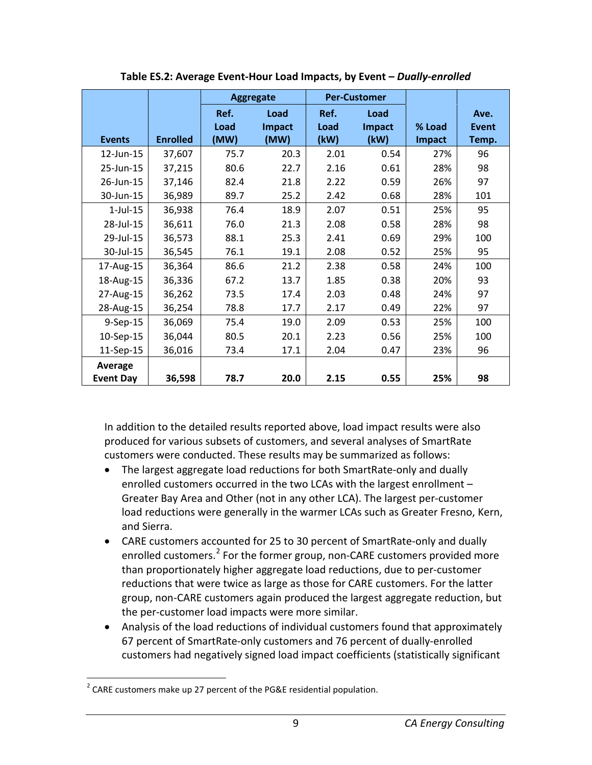<span id="page-9-0"></span>

|                             |                 |                      | <b>Aggregate</b>       | <b>Per-Customer</b>  |                        |                  |                               |
|-----------------------------|-----------------|----------------------|------------------------|----------------------|------------------------|------------------|-------------------------------|
| <b>Events</b>               | <b>Enrolled</b> | Ref.<br>Load<br>(MW) | Load<br>Impact<br>(MW) | Ref.<br>Load<br>(kW) | Load<br>Impact<br>(kW) | % Load<br>Impact | Ave.<br><b>Event</b><br>Temp. |
|                             |                 |                      |                        |                      |                        |                  |                               |
| 12-Jun-15                   | 37,607          | 75.7                 | 20.3                   | 2.01                 | 0.54                   | 27%              | 96                            |
| 25-Jun-15                   | 37,215          | 80.6                 | 22.7                   | 2.16                 | 0.61                   | 28%              | 98                            |
| 26-Jun-15                   | 37,146          | 82.4                 | 21.8                   | 2.22                 | 0.59                   | 26%              | 97                            |
| 30-Jun-15                   | 36,989          | 89.7                 | 25.2                   | 2.42                 | 0.68                   | 28%              | 101                           |
| $1$ -Jul- $15$              | 36,938          | 76.4                 | 18.9                   | 2.07                 | 0.51                   | 25%              | 95                            |
| 28-Jul-15                   | 36,611          | 76.0                 | 21.3                   | 2.08                 | 0.58                   | 28%              | 98                            |
| 29-Jul-15                   | 36,573          | 88.1                 | 25.3                   | 2.41                 | 0.69                   | 29%              | 100                           |
| 30-Jul-15                   | 36,545          | 76.1                 | 19.1                   | 2.08                 | 0.52                   | 25%              | 95                            |
| 17-Aug-15                   | 36,364          | 86.6                 | 21.2                   | 2.38                 | 0.58                   | 24%              | 100                           |
| 18-Aug-15                   | 36,336          | 67.2                 | 13.7                   | 1.85                 | 0.38                   | 20%              | 93                            |
| 27-Aug-15                   | 36,262          | 73.5                 | 17.4                   | 2.03                 | 0.48                   | 24%              | 97                            |
| 28-Aug-15                   | 36,254          | 78.8                 | 17.7                   | 2.17                 | 0.49                   | 22%              | 97                            |
| 9-Sep-15                    | 36,069          | 75.4                 | 19.0                   | 2.09                 | 0.53                   | 25%              | 100                           |
| 10-Sep-15                   | 36,044          | 80.5                 | 20.1                   | 2.23                 | 0.56                   | 25%              | 100                           |
| 11-Sep-15                   | 36,016          | 73.4                 | 17.1                   | 2.04                 | 0.47                   | 23%              | 96                            |
| Average<br><b>Event Day</b> | 36,598          | 78.7                 | 20.0                   | 2.15                 | 0.55                   | 25%              | 98                            |

**Table ES.2: Average Event-Hour Load Impacts, by Event –** *Dually-enrolled*

In addition to the detailed results reported above, load impact results were also produced for various subsets of customers, and several analyses of SmartRate customers were conducted. These results may be summarized as follows:

- The largest aggregate load reductions for both SmartRate-only and dually enrolled customers occurred in the two LCAs with the largest enrollment – Greater Bay Area and Other (not in any other LCA). The largest per-customer load reductions were generally in the warmer LCAs such as Greater Fresno, Kern, and Sierra.
- CARE customers accounted for 25 to 30 percent of SmartRate-only and dually enrolled customers.<sup>[2](#page-9-1)</sup> For the former group, non-CARE customers provided more than proportionately higher aggregate load reductions, due to per-customer reductions that were twice as large as those for CARE customers. For the latter group, non-CARE customers again produced the largest aggregate reduction, but the per-customer load impacts were more similar.
- Analysis of the load reductions of individual customers found that approximately 67 percent of SmartRate-only customers and 76 percent of dually-enrolled customers had negatively signed load impact coefficients (statistically significant

<span id="page-9-1"></span><sup>&</sup>lt;sup>2</sup> CARE customers make up 27 percent of the PG&E residential population.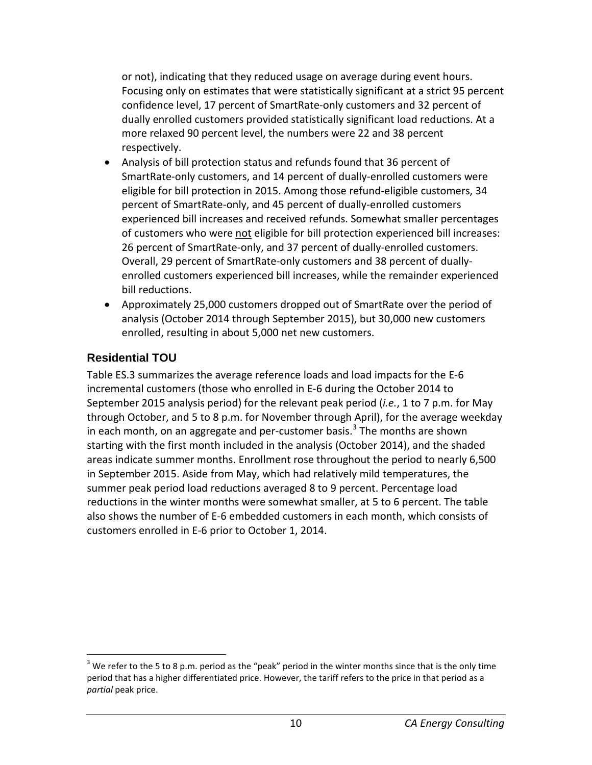or not), indicating that they reduced usage on average during event hours. Focusing only on estimates that were statistically significant at a strict 95 percent confidence level, 17 percent of SmartRate-only customers and 32 percent of dually enrolled customers provided statistically significant load reductions. At a more relaxed 90 percent level, the numbers were 22 and 38 percent respectively.

- Analysis of bill protection status and refunds found that 36 percent of SmartRate-only customers, and 14 percent of dually-enrolled customers were eligible for bill protection in 2015. Among those refund-eligible customers, 34 percent of SmartRate-only, and 45 percent of dually-enrolled customers experienced bill increases and received refunds. Somewhat smaller percentages of customers who were not eligible for bill protection experienced bill increases: 26 percent of SmartRate-only, and 37 percent of dually-enrolled customers. Overall, 29 percent of SmartRate-only customers and 38 percent of duallyenrolled customers experienced bill increases, while the remainder experienced bill reductions.
- Approximately 25,000 customers dropped out of SmartRate over the period of analysis (October 2014 through September 2015), but 30,000 new customers enrolled, resulting in about 5,000 net new customers.

#### <span id="page-10-0"></span>**Residential TOU**

Table ES.3 summarizes the average reference loads and load impacts for the E-6 incremental customers (those who enrolled in E-6 during the October 2014 to September 2015 analysis period) for the relevant peak period (*i.e.*, 1 to 7 p.m. for May through October, and 5 to 8 p.m. for November through April), for the average weekday in each month, on an aggregate and per-customer basis.<sup>[3](#page-10-1)</sup> The months are shown starting with the first month included in the analysis (October 2014), and the shaded areas indicate summer months. Enrollment rose throughout the period to nearly 6,500 in September 2015. Aside from May, which had relatively mild temperatures, the summer peak period load reductions averaged 8 to 9 percent. Percentage load reductions in the winter months were somewhat smaller, at 5 to 6 percent. The table also shows the number of E-6 embedded customers in each month, which consists of customers enrolled in E-6 prior to October 1, 2014.

<span id="page-10-1"></span> $3$  We refer to the 5 to 8 p.m. period as the "peak" period in the winter months since that is the only time period that has a higher differentiated price. However, the tariff refers to the price in that period as a *partial* peak price.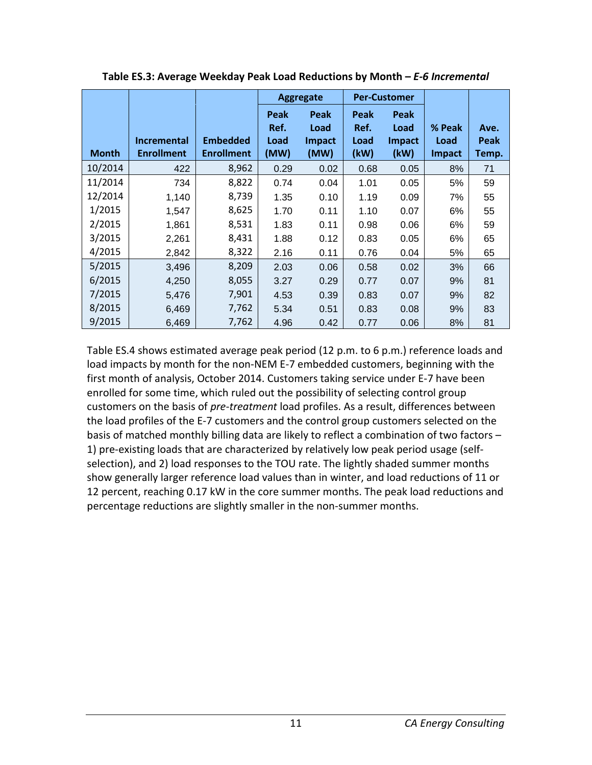|              |                    |                   | <b>Per-Customer</b><br><b>Aggregate</b> |               |      |               |               |       |
|--------------|--------------------|-------------------|-----------------------------------------|---------------|------|---------------|---------------|-------|
|              |                    |                   | Peak                                    | Peak          | Peak | Peak          |               |       |
|              |                    |                   | Ref.                                    | Load          | Ref. | Load          | % Peak        | Ave.  |
|              | <b>Incremental</b> | <b>Embedded</b>   | Load                                    | <b>Impact</b> | Load | <b>Impact</b> | Load          | Peak  |
| <b>Month</b> | <b>Enrollment</b>  | <b>Enrollment</b> | (MW)                                    | (MW)          | (kW) | (kW)          | <b>Impact</b> | Temp. |
| 10/2014      | 422                | 8,962             | 0.29                                    | 0.02          | 0.68 | 0.05          | 8%            | 71    |
| 11/2014      | 734                | 8,822             | 0.74                                    | 0.04          | 1.01 | 0.05          | 5%            | 59    |
| 12/2014      | 1,140              | 8,739             | 1.35                                    | 0.10          | 1.19 | 0.09          | 7%            | 55    |
| 1/2015       | 1,547              | 8,625             | 1.70                                    | 0.11          | 1.10 | 0.07          | 6%            | 55    |
| 2/2015       | 1,861              | 8,531             | 1.83                                    | 0.11          | 0.98 | 0.06          | 6%            | 59    |
| 3/2015       | 2,261              | 8,431             | 1.88                                    | 0.12          | 0.83 | 0.05          | 6%            | 65    |
| 4/2015       | 2,842              | 8,322             | 2.16                                    | 0.11          | 0.76 | 0.04          | 5%            | 65    |
| 5/2015       | 3,496              | 8,209             | 2.03                                    | 0.06          | 0.58 | 0.02          | 3%            | 66    |
| 6/2015       | 4,250              | 8,055             | 3.27                                    | 0.29          | 0.77 | 0.07          | 9%            | 81    |
| 7/2015       | 5,476              | 7,901             | 4.53                                    | 0.39          | 0.83 | 0.07          | 9%            | 82    |
| 8/2015       | 6,469              | 7,762             | 5.34                                    | 0.51          | 0.83 | 0.08          | 9%            | 83    |
| 9/2015       | 6,469              | 7,762             | 4.96                                    | 0.42          | 0.77 | 0.06          | 8%            | 81    |

<span id="page-11-0"></span>**Table ES.3: Average Weekday Peak Load Reductions by Month –** *E-6 Incremental* 

Table ES.4 shows estimated average peak period (12 p.m. to 6 p.m.) reference loads and load impacts by month for the non-NEM E-7 embedded customers, beginning with the first month of analysis, October 2014. Customers taking service under E-7 have been enrolled for some time, which ruled out the possibility of selecting control group customers on the basis of *pre-treatment* load profiles. As a result, differences between the load profiles of the E-7 customers and the control group customers selected on the basis of matched monthly billing data are likely to reflect a combination of two factors – 1) pre-existing loads that are characterized by relatively low peak period usage (selfselection), and 2) load responses to the TOU rate. The lightly shaded summer months show generally larger reference load values than in winter, and load reductions of 11 or 12 percent, reaching 0.17 kW in the core summer months. The peak load reductions and percentage reductions are slightly smaller in the non-summer months.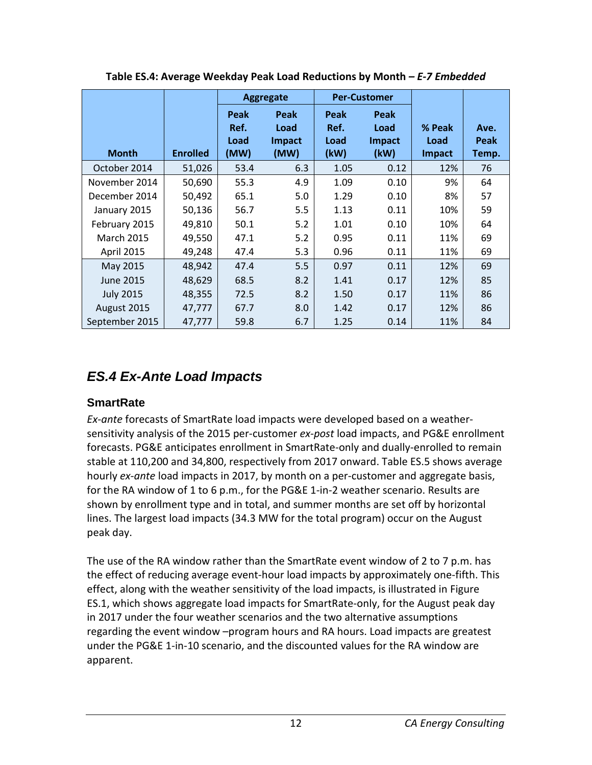<span id="page-12-2"></span>

|                   |                 |                              | <b>Aggregate</b>                      | <b>Per-Customer</b>          |                                       |                          |                       |
|-------------------|-----------------|------------------------------|---------------------------------------|------------------------------|---------------------------------------|--------------------------|-----------------------|
| <b>Month</b>      | <b>Enrolled</b> | Peak<br>Ref.<br>Load<br>(MW) | Peak<br>Load<br><b>Impact</b><br>(MW) | Peak<br>Ref.<br>Load<br>(kW) | Peak<br>Load<br><b>Impact</b><br>(kW) | % Peak<br>Load<br>Impact | Ave.<br>Peak<br>Temp. |
| October 2014      | 51,026          | 53.4                         | 6.3                                   | 1.05                         | 0.12                                  | 12%                      | 76                    |
| November 2014     | 50,690          | 55.3                         | 4.9                                   | 1.09                         | 0.10                                  | 9%                       | 64                    |
| December 2014     | 50,492          | 65.1                         | 5.0                                   | 1.29                         | 0.10                                  | 8%                       | 57                    |
| January 2015      | 50,136          | 56.7                         | 5.5                                   | 1.13                         | 0.11                                  | 10%                      | 59                    |
| February 2015     | 49,810          | 50.1                         | 5.2                                   | 1.01                         | 0.10                                  | 10%                      | 64                    |
| <b>March 2015</b> | 49,550          | 47.1                         | 5.2                                   | 0.95                         | 0.11                                  | 11%                      | 69                    |
| April 2015        | 49,248          | 47.4                         | 5.3                                   | 0.96                         | 0.11                                  | 11%                      | 69                    |
| May 2015          | 48,942          | 47.4                         | 5.5                                   | 0.97                         | 0.11                                  | 12%                      | 69                    |
| <b>June 2015</b>  | 48,629          | 68.5                         | 8.2                                   | 1.41                         | 0.17                                  | 12%                      | 85                    |
| <b>July 2015</b>  | 48,355          | 72.5                         | 8.2                                   | 1.50                         | 0.17                                  | 11%                      | 86                    |
| August 2015       | 47,777          | 67.7                         | 8.0                                   | 1.42                         | 0.17                                  | 12%                      | 86                    |
| September 2015    | 47,777          | 59.8                         | 6.7                                   | 1.25                         | 0.14                                  | 11%                      | 84                    |

**Table ES.4: Average Weekday Peak Load Reductions by Month** *– E-7 Embedded*

## <span id="page-12-0"></span>*ES.4 Ex-Ante Load Impacts*

#### <span id="page-12-1"></span>**SmartRate**

*Ex-ante* forecasts of SmartRate load impacts were developed based on a weathersensitivity analysis of the 2015 per-customer *ex-post* load impacts, and PG&E enrollment forecasts. PG&E anticipates enrollment in SmartRate-only and dually-enrolled to remain stable at 110,200 and 34,800, respectively from 2017 onward. Table ES.5 shows average hourly *ex-ante* load impacts in 2017, by month on a per-customer and aggregate basis, for the RA window of 1 to 6 p.m., for the PG&E 1-in-2 weather scenario. Results are shown by enrollment type and in total, and summer months are set off by horizontal lines. The largest load impacts (34.3 MW for the total program) occur on the August peak day.

The use of the RA window rather than the SmartRate event window of 2 to 7 p.m. has the effect of reducing average event-hour load impacts by approximately one-fifth. This effect, along with the weather sensitivity of the load impacts, is illustrated in Figure ES.1, which shows aggregate load impacts for SmartRate-only, for the August peak day in 2017 under the four weather scenarios and the two alternative assumptions regarding the event window –program hours and RA hours. Load impacts are greatest under the PG&E 1-in-10 scenario, and the discounted values for the RA window are apparent.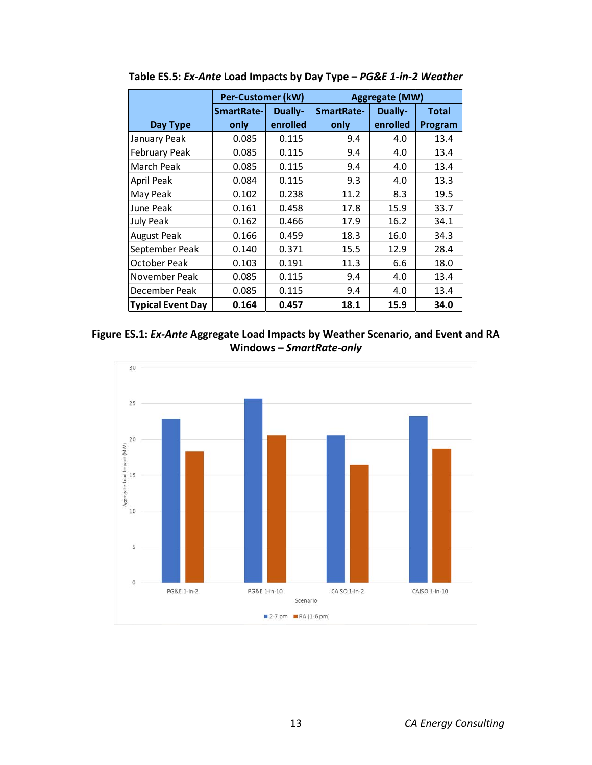|                          | Per-Customer (kW) |          | <b>Aggregate (MW)</b> |          |              |  |  |
|--------------------------|-------------------|----------|-----------------------|----------|--------------|--|--|
|                          | SmartRate-        | Dually-  | SmartRate-            | Dually-  | <b>Total</b> |  |  |
| Day Type                 | only              | enrolled | only                  | enrolled | Program      |  |  |
| January Peak             | 0.085             | 0.115    | 9.4                   | 4.0      | 13.4         |  |  |
| February Peak            | 0.085             | 0.115    | 9.4                   | 4.0      | 13.4         |  |  |
| <b>March Peak</b>        | 0.085             | 0.115    | 9.4                   | 4.0      | 13.4         |  |  |
| April Peak               | 0.084             | 0.115    | 9.3                   | 4.0      | 13.3         |  |  |
| May Peak                 | 0.102             | 0.238    | 11.2                  | 8.3      | 19.5         |  |  |
| June Peak                | 0.161             | 0.458    | 17.8                  | 15.9     | 33.7         |  |  |
| July Peak                | 0.162             | 0.466    | 17.9                  | 16.2     | 34.1         |  |  |
| <b>August Peak</b>       | 0.166             | 0.459    | 18.3                  | 16.0     | 34.3         |  |  |
| September Peak           | 0.140             | 0.371    | 15.5                  | 12.9     | 28.4         |  |  |
| <b>October Peak</b>      | 0.103             | 0.191    | 11.3                  | 6.6      | 18.0         |  |  |
| November Peak            | 0.085             | 0.115    | 9.4                   | 4.0      | 13.4         |  |  |
| December Peak            | 0.085             | 0.115    | 9.4                   | 4.0      | 13.4         |  |  |
| <b>Typical Event Day</b> | 0.164             | 0.457    | 18.1                  | 15.9     | 34.0         |  |  |

<span id="page-13-0"></span>**Table ES.5:** *Ex-Ante* **Load Impacts by Day Type –** *PG&E 1-in-2 Weather*

<span id="page-13-1"></span>

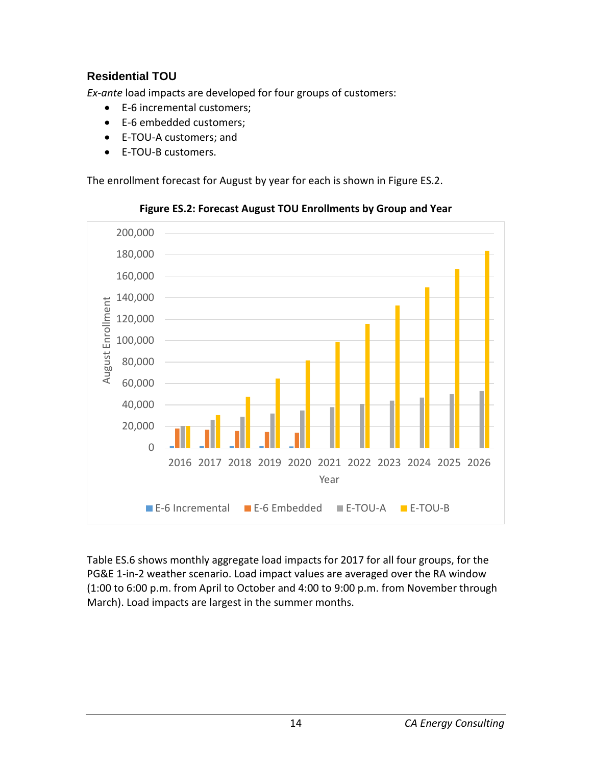## <span id="page-14-0"></span>**Residential TOU**

*Ex-ante* load impacts are developed for four groups of customers:

- E-6 incremental customers;
- E-6 embedded customers;
- E-TOU-A customers; and
- E-TOU-B customers.

The enrollment forecast for August by year for each is shown in Figure ES.2.

<span id="page-14-1"></span>

**Figure ES.2: Forecast August TOU Enrollments by Group and Year**

Table ES.6 shows monthly aggregate load impacts for 2017 for all four groups, for the PG&E 1-in-2 weather scenario. Load impact values are averaged over the RA window (1:00 to 6:00 p.m. from April to October and 4:00 to 9:00 p.m. from November through March). Load impacts are largest in the summer months.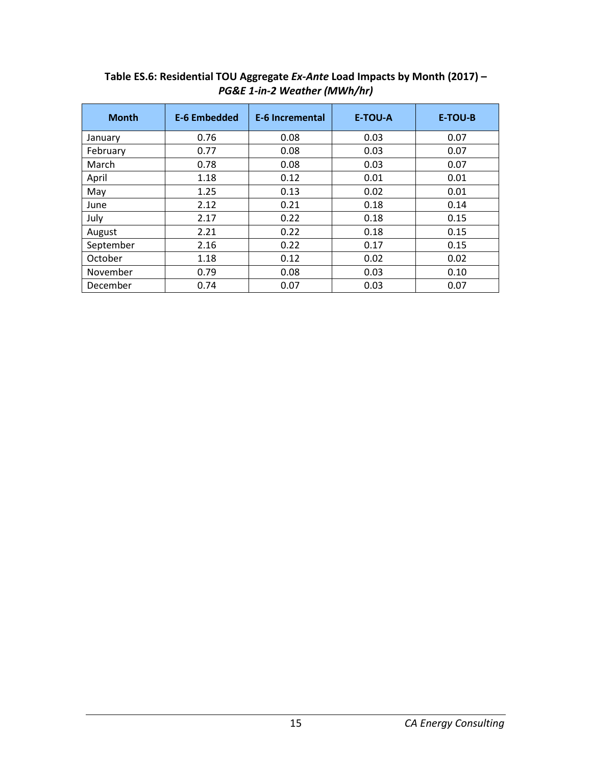| <b>Month</b> | <b>E-6 Embedded</b> | <b>E-6 Incremental</b> | E-TOU-A | <b>E-TOU-B</b> |
|--------------|---------------------|------------------------|---------|----------------|
| January      | 0.76                | 0.08                   | 0.03    | 0.07           |
| February     | 0.77                | 0.08                   | 0.03    | 0.07           |
| March        | 0.78                | 0.08                   | 0.03    | 0.07           |
| April        | 1.18                | 0.12                   | 0.01    | 0.01           |
| May          | 1.25                | 0.13                   | 0.02    | 0.01           |
| June         | 2.12                | 0.21                   | 0.18    | 0.14           |
| July         | 2.17                | 0.22                   | 0.18    | 0.15           |
| August       | 2.21                | 0.22                   | 0.18    | 0.15           |
| September    | 2.16                | 0.22                   | 0.17    | 0.15           |
| October      | 1.18                | 0.12                   | 0.02    | 0.02           |
| November     | 0.79                | 0.08                   | 0.03    | 0.10           |
| December     | 0.74                | 0.07                   | 0.03    | 0.07           |

#### <span id="page-15-0"></span>**Table ES.6: Residential TOU Aggregate** *Ex-Ante* **Load Impacts by Month (2017) –** *PG&E 1-in-2 Weather (MWh/hr)*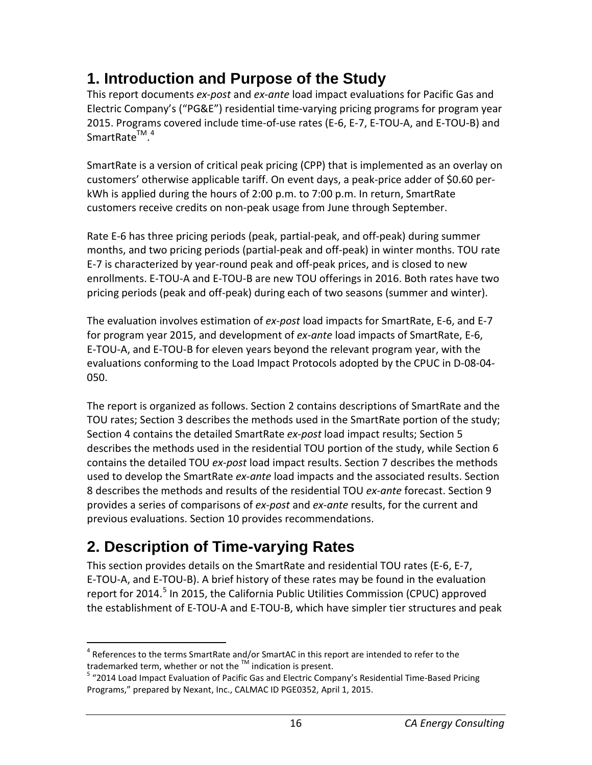# <span id="page-16-0"></span>**1. Introduction and Purpose of the Study**

This report documents *ex-post* and *ex-ante* load impact evaluations for Pacific Gas and Electric Company's ("PG&E") residential time-varying pricing programs for program year 2015. Programs covered include time-of-use rates (E-6, E-7, E-TOU-A, and E-TOU-B) and SmartRate<sup>™.[4](#page-16-2)</sup>

SmartRate is a version of critical peak pricing (CPP) that is implemented as an overlay on customers' otherwise applicable tariff. On event days, a peak-price adder of \$0.60 perkWh is applied during the hours of 2:00 p.m. to 7:00 p.m. In return, SmartRate customers receive credits on non-peak usage from June through September.

Rate E-6 has three pricing periods (peak, partial-peak, and off-peak) during summer months, and two pricing periods (partial-peak and off-peak) in winter months. TOU rate E-7 is characterized by year-round peak and off-peak prices, and is closed to new enrollments. E-TOU-A and E-TOU-B are new TOU offerings in 2016. Both rates have two pricing periods (peak and off-peak) during each of two seasons (summer and winter).

The evaluation involves estimation of *ex-post* load impacts for SmartRate, E-6, and E-7 for program year 2015, and development of *ex-ante* load impacts of SmartRate, E-6, E-TOU-A, and E-TOU-B for eleven years beyond the relevant program year, with the evaluations conforming to the Load Impact Protocols adopted by the CPUC in D-08-04- 050.

The report is organized as follows. Section 2 contains descriptions of SmartRate and the TOU rates; Section 3 describes the methods used in the SmartRate portion of the study; Section 4 contains the detailed SmartRate *ex-post* load impact results; Section 5 describes the methods used in the residential TOU portion of the study, while Section 6 contains the detailed TOU *ex-post* load impact results. Section 7 describes the methods used to develop the SmartRate *ex-ante* load impacts and the associated results. Section 8 describes the methods and results of the residential TOU *ex-ante* forecast. Section 9 provides a series of comparisons of *ex-post* and *ex-ante* results, for the current and previous evaluations. Section 10 provides recommendations.

# <span id="page-16-1"></span>**2. Description of Time-varying Rates**

This section provides details on the SmartRate and residential TOU rates (E-6, E-7, E-TOU-A, and E-TOU-B). A brief history of these rates may be found in the evaluation report for 2014.<sup>[5](#page-16-3)</sup> In 2015, the California Public Utilities Commission (CPUC) approved the establishment of E-TOU-A and E-TOU-B, which have simpler tier structures and peak

<span id="page-16-2"></span> $^4$  References to the terms SmartRate and/or SmartAC in this report are intended to refer to the trademarked term, whether or not the  $^{\text{TM}}$  indication is present.

<span id="page-16-3"></span> $5$  "2014 Load Impact Evaluation of Pacific Gas and Electric Company's Residential Time-Based Pricing Programs," prepared by Nexant, Inc., CALMAC ID PGE0352, April 1, 2015.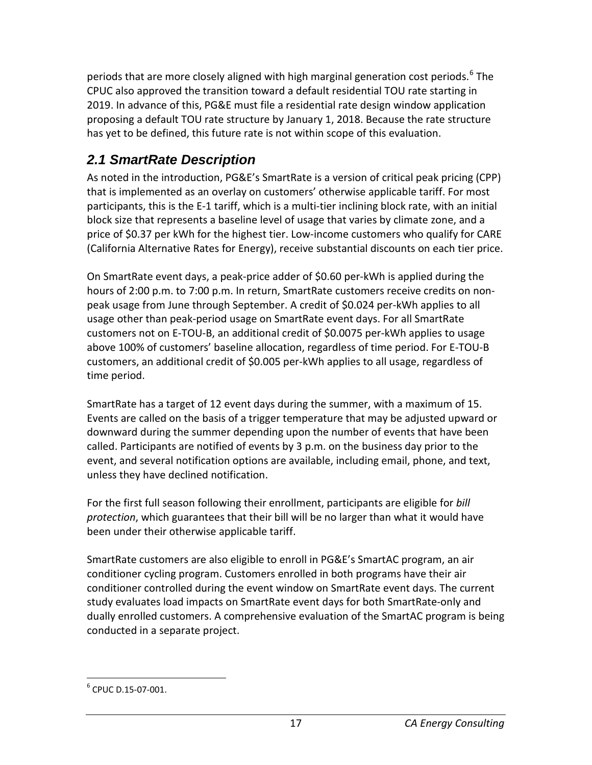periods that are more closely aligned with high marginal generation cost periods.<sup>[6](#page-17-1)</sup> The CPUC also approved the transition toward a default residential TOU rate starting in 2019. In advance of this, PG&E must file a residential rate design window application proposing a default TOU rate structure by January 1, 2018. Because the rate structure has yet to be defined, this future rate is not within scope of this evaluation.

## <span id="page-17-0"></span>*2.1 SmartRate Description*

As noted in the introduction, PG&E's SmartRate is a version of critical peak pricing (CPP) that is implemented as an overlay on customers' otherwise applicable tariff. For most participants, this is the E-1 tariff, which is a multi-tier inclining block rate, with an initial block size that represents a baseline level of usage that varies by climate zone, and a price of \$0.37 per kWh for the highest tier. Low-income customers who qualify for CARE (California Alternative Rates for Energy), receive substantial discounts on each tier price.

On SmartRate event days, a peak-price adder of \$0.60 per-kWh is applied during the hours of 2:00 p.m. to 7:00 p.m. In return, SmartRate customers receive credits on nonpeak usage from June through September. A credit of \$0.024 per-kWh applies to all usage other than peak-period usage on SmartRate event days. For all SmartRate customers not on E-TOU-B, an additional credit of \$0.0075 per-kWh applies to usage above 100% of customers' baseline allocation, regardless of time period. For E-TOU-B customers, an additional credit of \$0.005 per-kWh applies to all usage, regardless of time period.

SmartRate has a target of 12 event days during the summer, with a maximum of 15. Events are called on the basis of a trigger temperature that may be adjusted upward or downward during the summer depending upon the number of events that have been called. Participants are notified of events by 3 p.m. on the business day prior to the event, and several notification options are available, including email, phone, and text, unless they have declined notification.

For the first full season following their enrollment, participants are eligible for *bill protection*, which guarantees that their bill will be no larger than what it would have been under their otherwise applicable tariff.

SmartRate customers are also eligible to enroll in PG&E's SmartAC program, an air conditioner cycling program. Customers enrolled in both programs have their air conditioner controlled during the event window on SmartRate event days. The current study evaluates load impacts on SmartRate event days for both SmartRate-only and dually enrolled customers. A comprehensive evaluation of the SmartAC program is being conducted in a separate project.

<span id="page-17-1"></span> $^6$  CPUC D.15-07-001.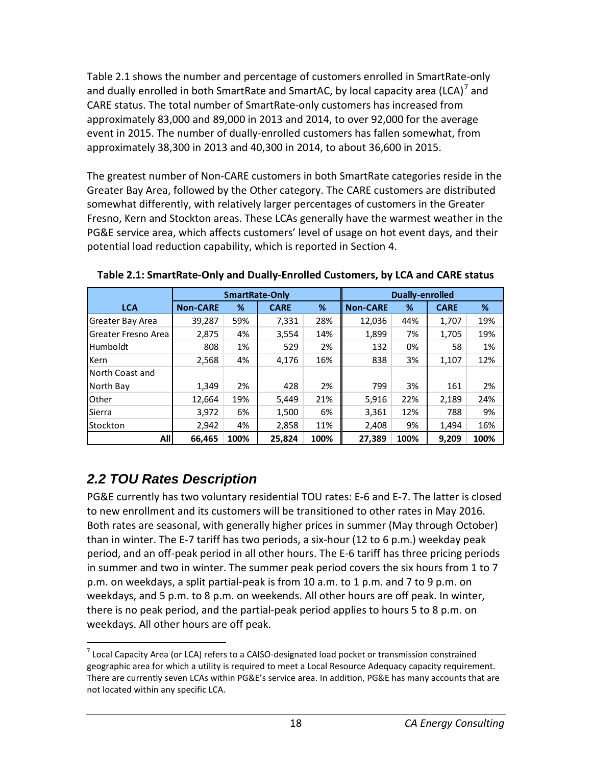Table 2.1 shows the number and percentage of customers enrolled in SmartRate-only and dually enrolled in both SmartRate and SmartAC, by local capacity area (LCA) $^7$  $^7$  and CARE status. The total number of SmartRate-only customers has increased from approximately 83,000 and 89,000 in 2013 and 2014, to over 92,000 for the average event in 2015. The number of dually-enrolled customers has fallen somewhat, from approximately 38,300 in 2013 and 40,300 in 2014, to about 36,600 in 2015.

The greatest number of Non-CARE customers in both SmartRate categories reside in the Greater Bay Area, followed by the Other category. The CARE customers are distributed somewhat differently, with relatively larger percentages of customers in the Greater Fresno, Kern and Stockton areas. These LCAs generally have the warmest weather in the PG&E service area, which affects customers' level of usage on hot event days, and their potential load reduction capability, which is reported in Section 4.

|                         | <b>SmartRate-Only</b> |      |             |      |                 | Dually-enrolled |             |      |
|-------------------------|-----------------------|------|-------------|------|-----------------|-----------------|-------------|------|
| <b>LCA</b>              | <b>Non-CARE</b>       | %    | <b>CARE</b> | %    | <b>Non-CARE</b> | %               | <b>CARE</b> | %    |
| Greater Bay Area        | 39,287                | 59%  | 7,331       | 28%  | 12,036          | 44%             | 1,707       | 19%  |
| l Greater Fresno Area   | 2,875                 | 4%   | 3,554       | 14%  | 1,899           | 7%              | 1,705       | 19%  |
| l Humboldt              | 808                   | 1%   | 529         | 2%   | 132             | 0%              | 58          | 1%   |
| Kern                    | 2,568                 | 4%   | 4,176       | 16%  | 838             | 3%              | 1,107       | 12%  |
| <b>INorth Coast and</b> |                       |      |             |      |                 |                 |             |      |
| l North Bav             | 1,349                 | 2%   | 428         | 2%   | 799             | 3%              | 161         | 2%   |
| <b>l</b> Other          | 12,664                | 19%  | 5,449       | 21%  | 5,916           | 22%             | 2,189       | 24%  |
| <b>Sierra</b>           | 3,972                 | 6%   | 1,500       | 6%   | 3,361           | 12%             | 788         | 9%   |
| IStockton               | 2,942                 | 4%   | 2,858       | 11%  | 2,408           | 9%              | 1.494       | 16%  |
| All                     | 66,465                | 100% | 25,824      | 100% | 27,389          | 100%            | 9.209       | 100% |

<span id="page-18-1"></span>**Table 2.1: SmartRate-Only and Dually-Enrolled Customers, by LCA and CARE status** 

## <span id="page-18-0"></span>*2.2 TOU Rates Description*

PG&E currently has two voluntary residential TOU rates: E-6 and E-7. The latter is closed to new enrollment and its customers will be transitioned to other rates in May 2016. Both rates are seasonal, with generally higher prices in summer (May through October) than in winter. The E-7 tariff has two periods, a six-hour (12 to 6 p.m.) weekday peak period, and an off-peak period in all other hours. The E-6 tariff has three pricing periods in summer and two in winter. The summer peak period covers the six hours from 1 to 7 p.m. on weekdays, a split partial-peak is from 10 a.m. to 1 p.m. and 7 to 9 p.m. on weekdays, and 5 p.m. to 8 p.m. on weekends. All other hours are off peak. In winter, there is no peak period, and the partial-peak period applies to hours 5 to 8 p.m. on weekdays. All other hours are off peak.

<span id="page-18-2"></span> $7$  Local Capacity Area (or LCA) refers to a CAISO-designated load pocket or transmission constrained geographic area for which a utility is required to meet a Local Resource Adequacy capacity requirement. There are currently seven LCAs within PG&E's service area. In addition, PG&E has many accounts that are not located within any specific LCA.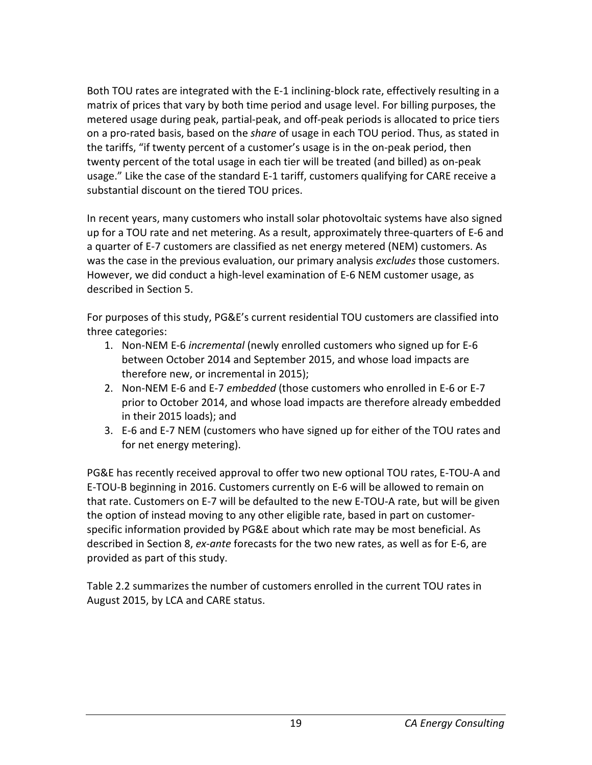Both TOU rates are integrated with the E-1 inclining-block rate, effectively resulting in a matrix of prices that vary by both time period and usage level. For billing purposes, the metered usage during peak, partial-peak, and off-peak periods is allocated to price tiers on a pro-rated basis, based on the *share* of usage in each TOU period. Thus, as stated in the tariffs, "if twenty percent of a customer's usage is in the on-peak period, then twenty percent of the total usage in each tier will be treated (and billed) as on-peak usage." Like the case of the standard E-1 tariff, customers qualifying for CARE receive a substantial discount on the tiered TOU prices.

In recent years, many customers who install solar photovoltaic systems have also signed up for a TOU rate and net metering. As a result, approximately three-quarters of E-6 and a quarter of E-7 customers are classified as net energy metered (NEM) customers. As was the case in the previous evaluation, our primary analysis *excludes* those customers. However, we did conduct a high-level examination of E-6 NEM customer usage, as described in Section 5.

For purposes of this study, PG&E's current residential TOU customers are classified into three categories:

- 1. Non-NEM E-6 *incremental* (newly enrolled customers who signed up for E-6 between October 2014 and September 2015, and whose load impacts are therefore new, or incremental in 2015);
- 2. Non-NEM E-6 and E-7 *embedded* (those customers who enrolled in E-6 or E-7 prior to October 2014, and whose load impacts are therefore already embedded in their 2015 loads); and
- 3. E-6 and E-7 NEM (customers who have signed up for either of the TOU rates and for net energy metering).

PG&E has recently received approval to offer two new optional TOU rates, E-TOU-A and E-TOU-B beginning in 2016. Customers currently on E-6 will be allowed to remain on that rate. Customers on E-7 will be defaulted to the new E-TOU-A rate, but will be given the option of instead moving to any other eligible rate, based in part on customerspecific information provided by PG&E about which rate may be most beneficial. As described in Section 8, *ex-ante* forecasts for the two new rates, as well as for E-6, are provided as part of this study.

Table 2.2 summarizes the number of customers enrolled in the current TOU rates in August 2015, by LCA and CARE status.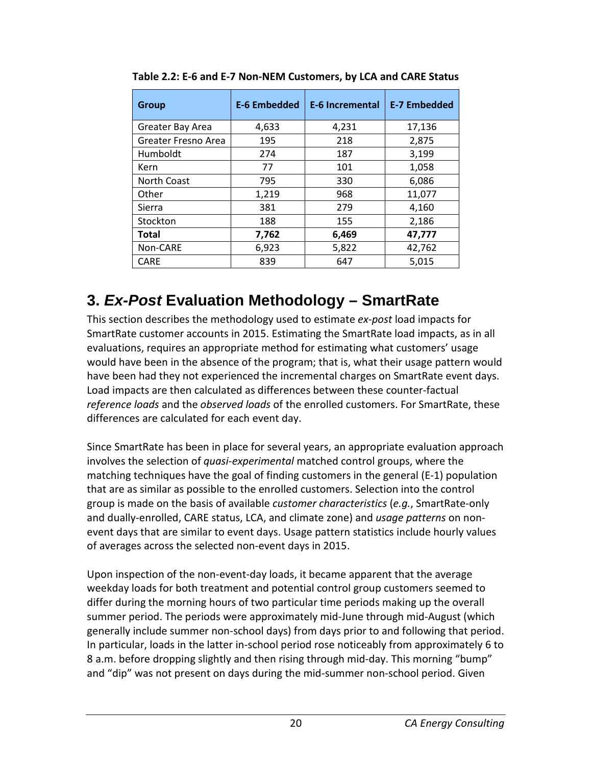| Group               | <b>E-6 Embedded</b> | <b>E-6 Incremental</b> | <b>E-7 Embedded</b> |
|---------------------|---------------------|------------------------|---------------------|
| Greater Bay Area    | 4,633               | 4,231                  | 17,136              |
| Greater Fresno Area | 195                 | 218                    | 2,875               |
| Humboldt            | 274                 | 187                    | 3,199               |
| Kern                | 77                  | 101                    | 1,058               |
| North Coast         | 795                 | 330                    | 6,086               |
| Other               | 1,219               | 968                    | 11,077              |
| Sierra              | 381                 | 279                    | 4,160               |
| Stockton            | 188                 | 155                    | 2,186               |
| Total               | 7,762               | 6,469                  | 47,777              |
| Non-CARE            | 6,923               | 5,822                  | 42,762              |
| <b>CARE</b>         | 839                 | 647                    | 5,015               |

<span id="page-20-1"></span>**Table 2.2: E-6 and E-7 Non-NEM Customers, by LCA and CARE Status** 

## <span id="page-20-0"></span>**3.** *Ex-Post* **Evaluation Methodology – SmartRate**

This section describes the methodology used to estimate *ex-post* load impacts for SmartRate customer accounts in 2015. Estimating the SmartRate load impacts, as in all evaluations, requires an appropriate method for estimating what customers' usage would have been in the absence of the program; that is, what their usage pattern would have been had they not experienced the incremental charges on SmartRate event days. Load impacts are then calculated as differences between these counter-factual *reference loads* and the *observed loads* of the enrolled customers. For SmartRate, these differences are calculated for each event day.

Since SmartRate has been in place for several years, an appropriate evaluation approach involves the selection of *quasi-experimental* matched control groups, where the matching techniques have the goal of finding customers in the general (E-1) population that are as similar as possible to the enrolled customers. Selection into the control group is made on the basis of available *customer characteristics* (*e.g.*, SmartRate-only and dually-enrolled, CARE status, LCA, and climate zone) and *usage patterns* on nonevent days that are similar to event days. Usage pattern statistics include hourly values of averages across the selected non-event days in 2015.

Upon inspection of the non-event-day loads, it became apparent that the average weekday loads for both treatment and potential control group customers seemed to differ during the morning hours of two particular time periods making up the overall summer period. The periods were approximately mid-June through mid-August (which generally include summer non-school days) from days prior to and following that period. In particular, loads in the latter in-school period rose noticeably from approximately 6 to 8 a.m. before dropping slightly and then rising through mid-day. This morning "bump" and "dip" was not present on days during the mid-summer non-school period. Given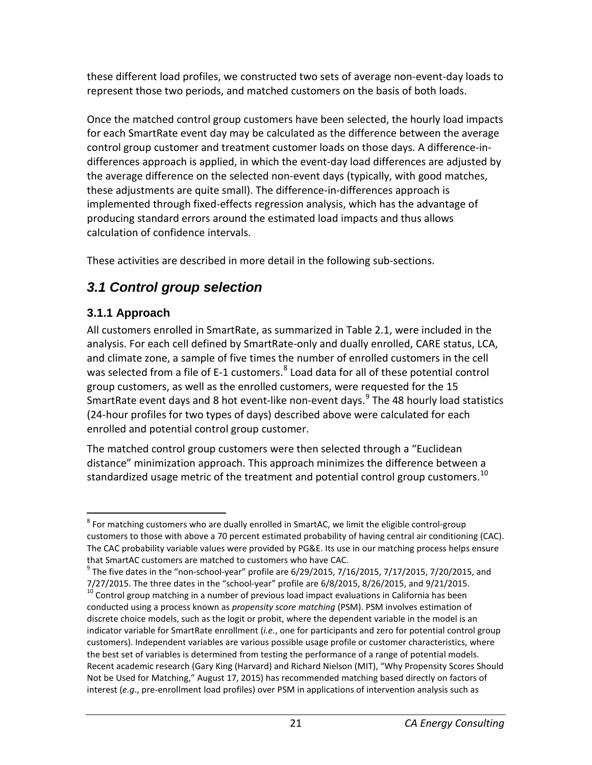these different load profiles, we constructed two sets of average non-event-day loads to represent those two periods, and matched customers on the basis of both loads.

Once the matched control group customers have been selected, the hourly load impacts for each SmartRate event day may be calculated as the difference between the average control group customer and treatment customer loads on those days. A difference-indifferences approach is applied, in which the event-day load differences are adjusted by the average difference on the selected non-event days (typically, with good matches, these adjustments are quite small). The difference-in-differences approach is implemented through fixed-effects regression analysis, which has the advantage of producing standard errors around the estimated load impacts and thus allows calculation of confidence intervals.

These activities are described in more detail in the following sub-sections.

## <span id="page-21-0"></span>*3.1 Control group selection*

## <span id="page-21-1"></span>**3.1.1 Approach**

All customers enrolled in SmartRate, as summarized in Table 2.1, were included in the analysis. For each cell defined by SmartRate-only and dually enrolled, CARE status, LCA, and climate zone, a sample of five times the number of enrolled customers in the cell was selected from a file of E-1 customers. $^8$  $^8$  Load data for all of these potential control group customers, as well as the enrolled customers, were requested for the 15 SmartRate event days and 8 hot event-like non-event days.<sup>[9](#page-21-3)</sup> The 48 hourly load statistics (24-hour profiles for two types of days) described above were calculated for each enrolled and potential control group customer.

The matched control group customers were then selected through a "Euclidean distance" minimization approach. This approach minimizes the difference between a standardized usage metric of the treatment and potential control group customers.<sup>[10](#page-21-4)</sup>

<span id="page-21-2"></span> $8$  For matching customers who are dually enrolled in SmartAC, we limit the eligible control-group customers to those with above a 70 percent estimated probability of having central air conditioning (CAC). The CAC probability variable values were provided by PG&E. Its use in our matching process helps ensure that SmartAC customers are matched to customers who have CAC.

<span id="page-21-3"></span> $9$  The five dates in the "non-school-year" profile are 6/29/2015, 7/16/2015, 7/17/2015, 7/20/2015, and

<span id="page-21-4"></span><sup>7/27/2015.</sup> The three dates in the "school-year" profile are  $6/8/2015$ ,  $8/26/2015$ , and  $9/21/2015$ .<br><sup>10</sup> Control group matching in a number of previous load impact evaluations in California has been conducted using a process known as *propensity score matching* (PSM). PSM involves estimation of discrete choice models, such as the logit or probit, where the dependent variable in the model is an indicator variable for SmartRate enrollment (*i.e.*, one for participants and zero for potential control group customers). Independent variables are various possible usage profile or customer characteristics, where the best set of variables is determined from testing the performance of a range of potential models. Recent academic research (Gary King (Harvard) and Richard Nielson (MIT), "Why Propensity Scores Should Not be Used for Matching," August 17, 2015) has recommended matching based directly on factors of interest (*e.g*., pre-enrollment load profiles) over PSM in applications of intervention analysis such as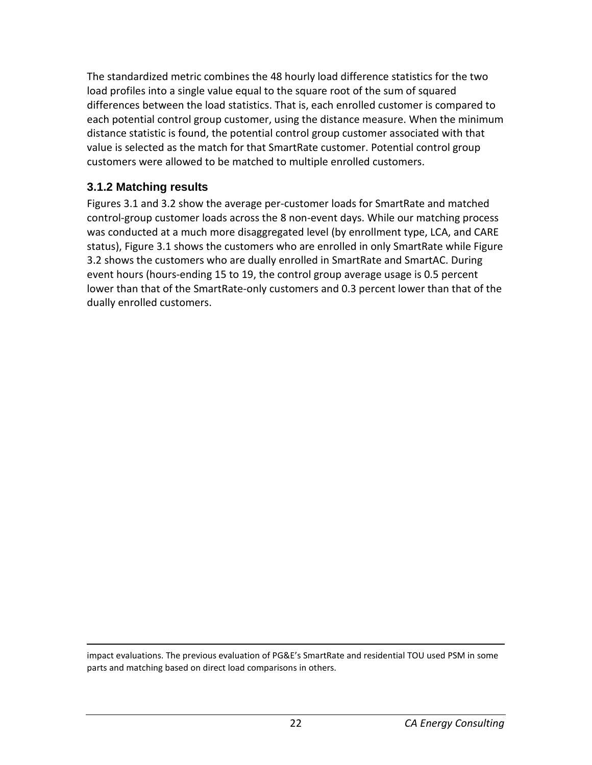The standardized metric combines the 48 hourly load difference statistics for the two load profiles into a single value equal to the square root of the sum of squared differences between the load statistics. That is, each enrolled customer is compared to each potential control group customer, using the distance measure. When the minimum distance statistic is found, the potential control group customer associated with that value is selected as the match for that SmartRate customer. Potential control group customers were allowed to be matched to multiple enrolled customers.

#### <span id="page-22-0"></span>**3.1.2 Matching results**

Figures 3.1 and 3.2 show the average per-customer loads for SmartRate and matched control-group customer loads across the 8 non-event days. While our matching process was conducted at a much more disaggregated level (by enrollment type, LCA, and CARE status), Figure 3.1 shows the customers who are enrolled in only SmartRate while Figure 3.2 shows the customers who are dually enrolled in SmartRate and SmartAC. During event hours (hours-ending 15 to 19, the control group average usage is 0.5 percent lower than that of the SmartRate-only customers and 0.3 percent lower than that of the dually enrolled customers.

 $\overline{a}$ impact evaluations. The previous evaluation of PG&E's SmartRate and residential TOU used PSM in some parts and matching based on direct load comparisons in others.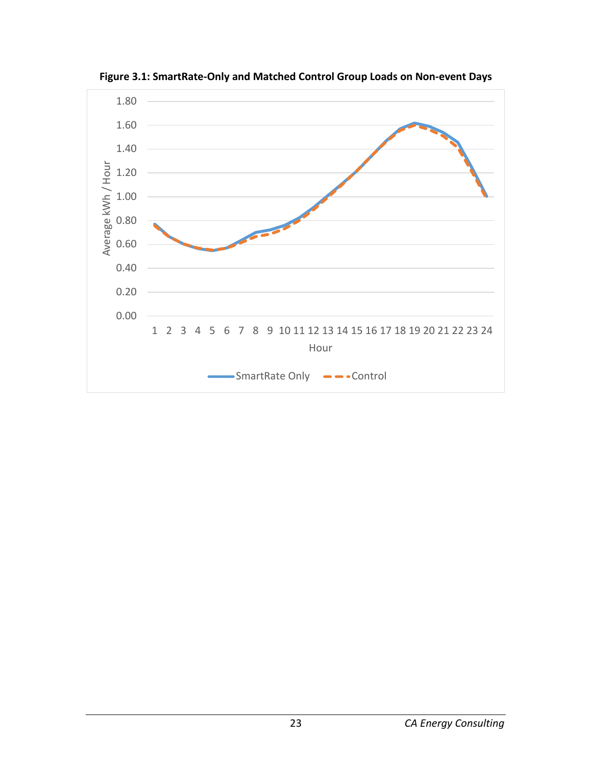

<span id="page-23-0"></span>**Figure 3.1: SmartRate-Only and Matched Control Group Loads on Non-event Days**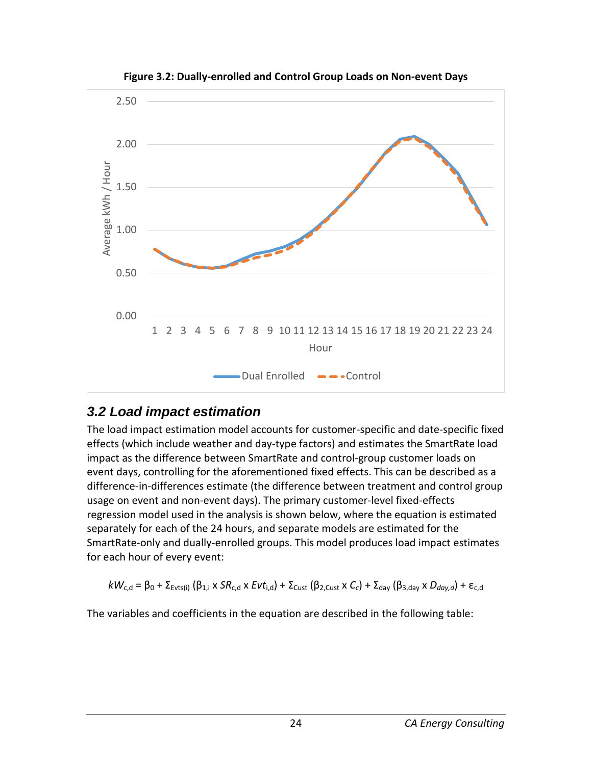<span id="page-24-1"></span>

**Figure 3.2: Dually-enrolled and Control Group Loads on Non-event Days**

## <span id="page-24-0"></span>*3.2 Load impact estimation*

The load impact estimation model accounts for customer-specific and date-specific fixed effects (which include weather and day-type factors) and estimates the SmartRate load impact as the difference between SmartRate and control-group customer loads on event days, controlling for the aforementioned fixed effects. This can be described as a difference-in-differences estimate (the difference between treatment and control group usage on event and non-event days). The primary customer-level fixed-effects regression model used in the analysis is shown below, where the equation is estimated separately for each of the 24 hours, and separate models are estimated for the SmartRate-only and dually-enrolled groups. This model produces load impact estimates for each hour of every event:

$$
kW_{c,d} = \beta_0 + \Sigma_{\text{Evts}(i)} (\beta_{1,i} \times SR_{c,d} \times Evt_{i,d}) + \Sigma_{\text{Cust}} (\beta_{2,\text{Cust}} \times C_c) + \Sigma_{\text{day}} (\beta_{3,\text{day}} \times D_{\text{day},d}) + \varepsilon_{c,d}
$$

The variables and coefficients in the equation are described in the following table: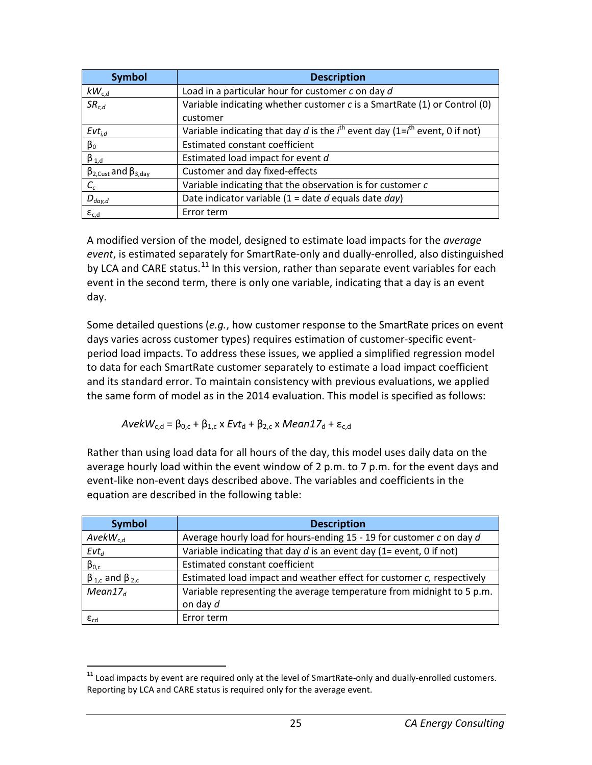| <b>Symbol</b>                        | <b>Description</b>                                                                     |
|--------------------------------------|----------------------------------------------------------------------------------------|
| $kW_{c,d}$                           | Load in a particular hour for customer c on day d                                      |
| SR <sub>c,d</sub>                    | Variable indicating whether customer c is a SmartRate (1) or Control (0)               |
|                                      | customer                                                                               |
| $Evt_{i,d}$                          | Variable indicating that day d is the $i^{th}$ event day (1= $i^{th}$ event, 0 if not) |
| $\beta_0$                            | <b>Estimated constant coefficient</b>                                                  |
| $\beta_{1,d}$                        | Estimated load impact for event d                                                      |
| $\beta_{2,Cust}$ and $\beta_{3,day}$ | Customer and day fixed-effects                                                         |
| $C_c$                                | Variable indicating that the observation is for customer c                             |
| $D_{day,d}$                          | Date indicator variable (1 = date $d$ equals date $day$ )                              |
| $\epsilon_{c,d}$                     | Error term                                                                             |

A modified version of the model, designed to estimate load impacts for the *average event*, is estimated separately for SmartRate-only and dually-enrolled, also distinguished by LCA and CARE status.<sup>[11](#page-25-0)</sup> In this version, rather than separate event variables for each event in the second term, there is only one variable, indicating that a day is an event day.

Some detailed questions (*e.g.*, how customer response to the SmartRate prices on event days varies across customer types) requires estimation of customer-specific eventperiod load impacts. To address these issues, we applied a simplified regression model to data for each SmartRate customer separately to estimate a load impact coefficient and its standard error. To maintain consistency with previous evaluations, we applied the same form of model as in the 2014 evaluation. This model is specified as follows:

 $AvekW_{c,d} = \beta_{0,c} + \beta_{1,c} x Evt_{d} + \beta_{2,c} x Mean17_{d} + \varepsilon_{c,d}$ 

Rather than using load data for all hours of the day, this model uses daily data on the average hourly load within the event window of 2 p.m. to 7 p.m. for the event days and event-like non-event days described above. The variables and coefficients in the equation are described in the following table:

| <b>Symbol</b>                   | <b>Description</b>                                                    |
|---------------------------------|-----------------------------------------------------------------------|
| $AvekW_{c,d}$                   | Average hourly load for hours-ending 15 - 19 for customer c on day d  |
| $Evt_d$                         | Variable indicating that day $d$ is an event day (1= event, 0 if not) |
| $\beta_{0,c}$                   | Estimated constant coefficient                                        |
| $\beta_{1,c}$ and $\beta_{2,c}$ | Estimated load impact and weather effect for customer c, respectively |
| Mean17 <sub>d</sub>             | Variable representing the average temperature from midnight to 5 p.m. |
|                                 | on day d                                                              |
| $\varepsilon_{\mathrm{cd}}$     | Error term                                                            |

<span id="page-25-0"></span> $11$  Load impacts by event are required only at the level of SmartRate-only and dually-enrolled customers. Reporting by LCA and CARE status is required only for the average event.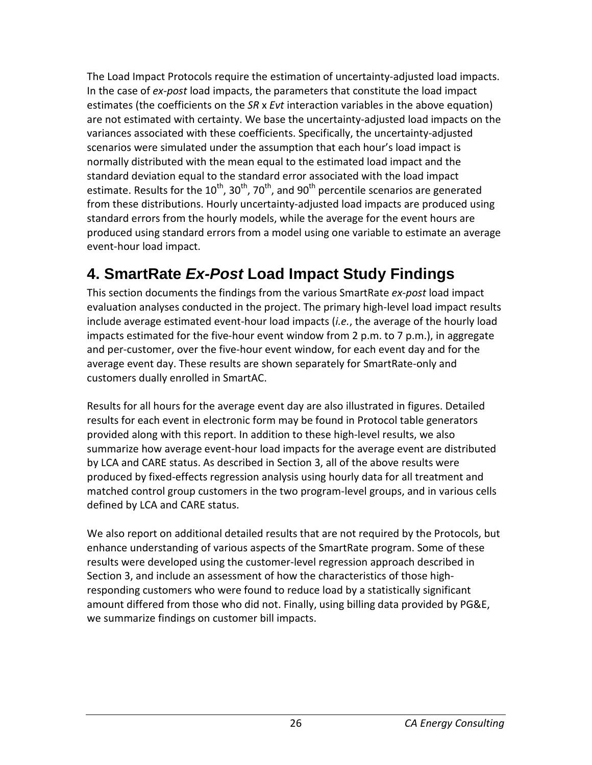The Load Impact Protocols require the estimation of uncertainty-adjusted load impacts. In the case of *ex-post* load impacts, the parameters that constitute the load impact estimates (the coefficients on the *SR* x *Evt* interaction variables in the above equation) are not estimated with certainty. We base the uncertainty-adjusted load impacts on the variances associated with these coefficients. Specifically, the uncertainty-adjusted scenarios were simulated under the assumption that each hour's load impact is normally distributed with the mean equal to the estimated load impact and the standard deviation equal to the standard error associated with the load impact estimate. Results for the  $10^{th}$ ,  $30^{th}$ ,  $70^{th}$ , and  $90^{th}$  percentile scenarios are generated from these distributions. Hourly uncertainty-adjusted load impacts are produced using standard errors from the hourly models, while the average for the event hours are produced using standard errors from a model using one variable to estimate an average event-hour load impact.

# <span id="page-26-0"></span>**4. SmartRate** *Ex-Post* **Load Impact Study Findings**

This section documents the findings from the various SmartRate *ex-post* load impact evaluation analyses conducted in the project. The primary high-level load impact results include average estimated event-hour load impacts (*i.e.*, the average of the hourly load impacts estimated for the five-hour event window from 2 p.m. to 7 p.m.), in aggregate and per-customer, over the five-hour event window, for each event day and for the average event day. These results are shown separately for SmartRate-only and customers dually enrolled in SmartAC.

Results for all hours for the average event day are also illustrated in figures. Detailed results for each event in electronic form may be found in Protocol table generators provided along with this report. In addition to these high-level results, we also summarize how average event-hour load impacts for the average event are distributed by LCA and CARE status. As described in Section 3, all of the above results were produced by fixed-effects regression analysis using hourly data for all treatment and matched control group customers in the two program-level groups, and in various cells defined by LCA and CARE status.

We also report on additional detailed results that are not required by the Protocols, but enhance understanding of various aspects of the SmartRate program. Some of these results were developed using the customer-level regression approach described in Section 3, and include an assessment of how the characteristics of those highresponding customers who were found to reduce load by a statistically significant amount differed from those who did not. Finally, using billing data provided by PG&E, we summarize findings on customer bill impacts.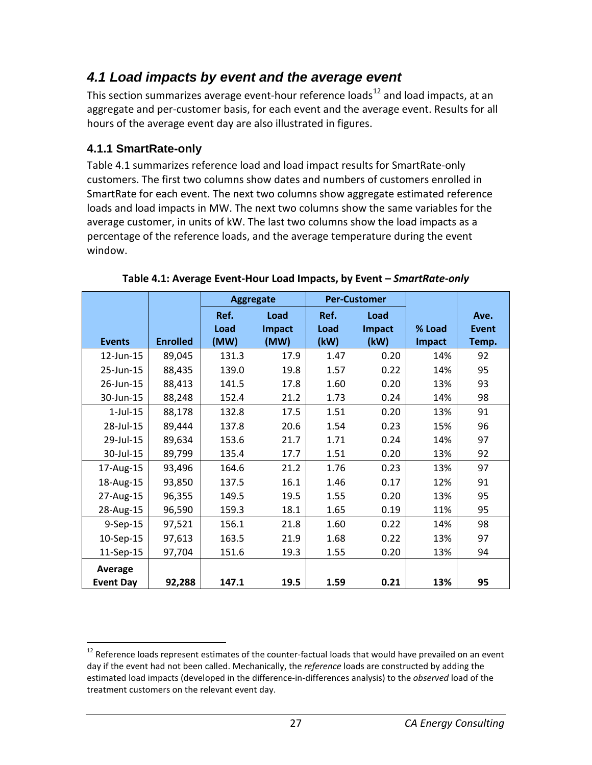## <span id="page-27-0"></span>*4.1 Load impacts by event and the average event*

This section summarizes average event-hour reference loads<sup>[12](#page-27-3)</sup> and load impacts, at an aggregate and per-customer basis, for each event and the average event. Results for all hours of the average event day are also illustrated in figures.

#### <span id="page-27-1"></span>**4.1.1 SmartRate-only**

Table 4.1 summarizes reference load and load impact results for SmartRate-only customers. The first two columns show dates and numbers of customers enrolled in SmartRate for each event. The next two columns show aggregate estimated reference loads and load impacts in MW. The next two columns show the same variables for the average customer, in units of kW. The last two columns show the load impacts as a percentage of the reference loads, and the average temperature during the event window.

<span id="page-27-2"></span>

|                  |                 |              | <b>Aggregate</b> |              | <b>Per-Customer</b> |        |                      |
|------------------|-----------------|--------------|------------------|--------------|---------------------|--------|----------------------|
|                  |                 | Ref.<br>Load | Load<br>Impact   | Ref.<br>Load | Load<br>Impact      | % Load | Ave.<br><b>Event</b> |
| <b>Events</b>    | <b>Enrolled</b> | (MW)         | (MW)             | (kW)         | (kW)                | Impact | Temp.                |
| 12-Jun-15        | 89,045          | 131.3        | 17.9             | 1.47         | 0.20                | 14%    | 92                   |
| 25-Jun-15        | 88,435          | 139.0        | 19.8             | 1.57         | 0.22                | 14%    | 95                   |
| 26-Jun-15        | 88,413          | 141.5        | 17.8             | 1.60         | 0.20                | 13%    | 93                   |
| 30-Jun-15        | 88,248          | 152.4        | 21.2             | 1.73         | 0.24                | 14%    | 98                   |
| $1$ -Jul- $15$   | 88,178          | 132.8        | 17.5             | 1.51         | 0.20                | 13%    | 91                   |
| 28-Jul-15        | 89,444          | 137.8        | 20.6             | 1.54         | 0.23                | 15%    | 96                   |
| 29-Jul-15        | 89,634          | 153.6        | 21.7             | 1.71         | 0.24                | 14%    | 97                   |
| 30-Jul-15        | 89,799          | 135.4        | 17.7             | 1.51         | 0.20                | 13%    | 92                   |
| 17-Aug-15        | 93,496          | 164.6        | 21.2             | 1.76         | 0.23                | 13%    | 97                   |
| 18-Aug-15        | 93,850          | 137.5        | 16.1             | 1.46         | 0.17                | 12%    | 91                   |
| 27-Aug-15        | 96,355          | 149.5        | 19.5             | 1.55         | 0.20                | 13%    | 95                   |
| 28-Aug-15        | 96,590          | 159.3        | 18.1             | 1.65         | 0.19                | 11%    | 95                   |
| 9-Sep-15         | 97,521          | 156.1        | 21.8             | 1.60         | 0.22                | 14%    | 98                   |
| 10-Sep-15        | 97,613          | 163.5        | 21.9             | 1.68         | 0.22                | 13%    | 97                   |
| 11-Sep-15        | 97,704          | 151.6        | 19.3             | 1.55         | 0.20                | 13%    | 94                   |
| Average          |                 |              |                  |              |                     |        |                      |
| <b>Event Day</b> | 92,288          | 147.1        | 19.5             | 1.59         | 0.21                | 13%    | 95                   |

**Table 4.1: Average Event-Hour Load Impacts, by Event –** *SmartRate-only* 

<span id="page-27-3"></span><sup>&</sup>lt;sup>12</sup> Reference loads represent estimates of the counter-factual loads that would have prevailed on an event day if the event had not been called. Mechanically, the *reference* loads are constructed by adding the estimated load impacts (developed in the difference-in-differences analysis) to the *observed* load of the treatment customers on the relevant event day.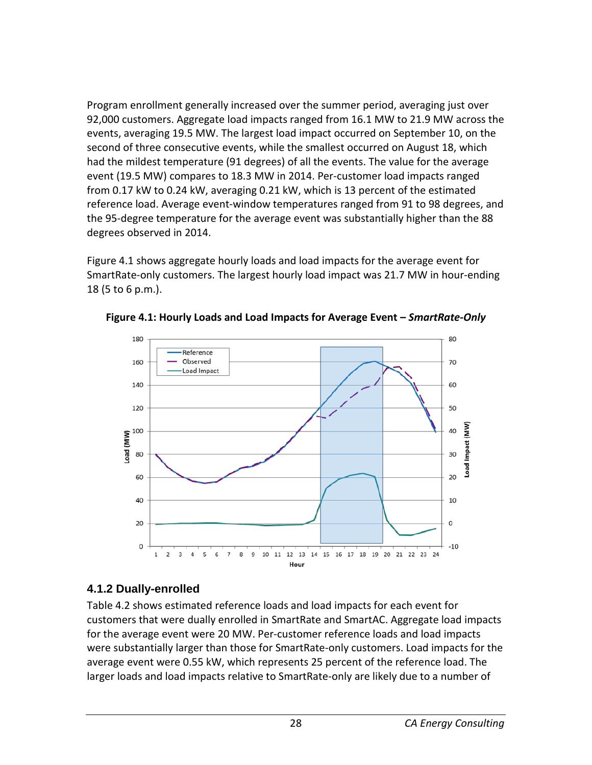Program enrollment generally increased over the summer period, averaging just over 92,000 customers. Aggregate load impacts ranged from 16.1 MW to 21.9 MW across the events, averaging 19.5 MW. The largest load impact occurred on September 10, on the second of three consecutive events, while the smallest occurred on August 18, which had the mildest temperature (91 degrees) of all the events. The value for the average event (19.5 MW) compares to 18.3 MW in 2014. Per-customer load impacts ranged from 0.17 kW to 0.24 kW, averaging 0.21 kW, which is 13 percent of the estimated reference load. Average event-window temperatures ranged from 91 to 98 degrees, and the 95-degree temperature for the average event was substantially higher than the 88 degrees observed in 2014.

Figure 4.1 shows aggregate hourly loads and load impacts for the average event for SmartRate-only customers. The largest hourly load impact was 21.7 MW in hour-ending 18 (5 to 6 p.m.).



<span id="page-28-1"></span>**Figure 4.1: Hourly Loads and Load Impacts for Average Event –** *SmartRate-Only*

## <span id="page-28-0"></span>**4.1.2 Dually-enrolled**

Table 4.2 shows estimated reference loads and load impacts for each event for customers that were dually enrolled in SmartRate and SmartAC. Aggregate load impacts for the average event were 20 MW. Per-customer reference loads and load impacts were substantially larger than those for SmartRate-only customers. Load impacts for the average event were 0.55 kW, which represents 25 percent of the reference load. The larger loads and load impacts relative to SmartRate-only are likely due to a number of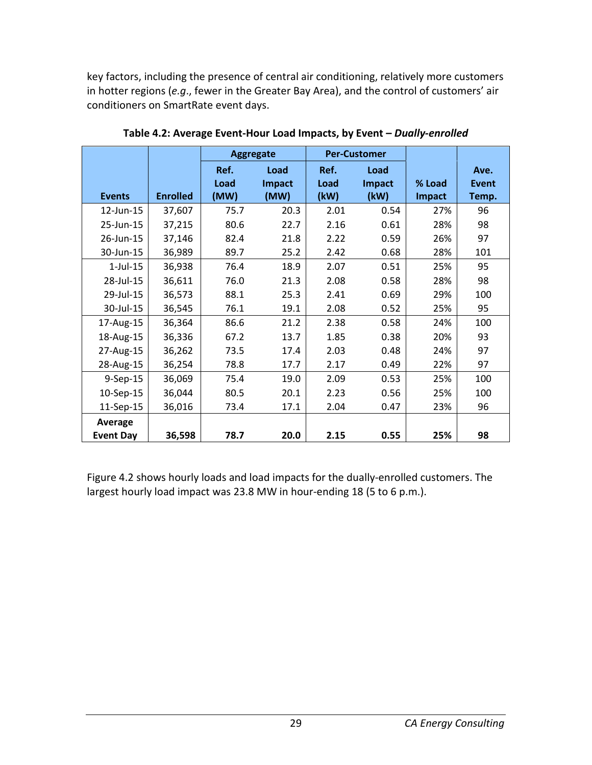key factors, including the presence of central air conditioning, relatively more customers in hotter regions (*e.g*., fewer in the Greater Bay Area), and the control of customers' air conditioners on SmartRate event days.

<span id="page-29-0"></span>

|                             |                 |                      | <b>Per-Customer</b><br><b>Aggregate</b> |                      |                        |                         |                               |
|-----------------------------|-----------------|----------------------|-----------------------------------------|----------------------|------------------------|-------------------------|-------------------------------|
| <b>Events</b>               | <b>Enrolled</b> | Ref.<br>Load<br>(MW) | Load<br>Impact<br>(MW)                  | Ref.<br>Load<br>(kW) | Load<br>Impact<br>(kW) | % Load<br><b>Impact</b> | Ave.<br><b>Event</b><br>Temp. |
| 12-Jun-15                   | 37,607          | 75.7                 | 20.3                                    | 2.01                 | 0.54                   | 27%                     | 96                            |
| 25-Jun-15                   | 37,215          | 80.6                 | 22.7                                    | 2.16                 | 0.61                   | 28%                     | 98                            |
| 26-Jun-15                   | 37,146          | 82.4                 | 21.8                                    | 2.22                 | 0.59                   | 26%                     | 97                            |
| 30-Jun-15                   | 36,989          | 89.7                 | 25.2                                    | 2.42                 | 0.68                   | 28%                     | 101                           |
| $1$ -Jul- $15$              | 36,938          | 76.4                 | 18.9                                    | 2.07                 | 0.51                   | 25%                     | 95                            |
| 28-Jul-15                   | 36,611          | 76.0                 | 21.3                                    | 2.08                 | 0.58                   | 28%                     | 98                            |
| 29-Jul-15                   | 36,573          | 88.1                 | 25.3                                    | 2.41                 | 0.69                   | 29%                     | 100                           |
| 30-Jul-15                   | 36,545          | 76.1                 | 19.1                                    | 2.08                 | 0.52                   | 25%                     | 95                            |
| 17-Aug-15                   | 36,364          | 86.6                 | 21.2                                    | 2.38                 | 0.58                   | 24%                     | 100                           |
| 18-Aug-15                   | 36,336          | 67.2                 | 13.7                                    | 1.85                 | 0.38                   | 20%                     | 93                            |
| 27-Aug-15                   | 36,262          | 73.5                 | 17.4                                    | 2.03                 | 0.48                   | 24%                     | 97                            |
| 28-Aug-15                   | 36,254          | 78.8                 | 17.7                                    | 2.17                 | 0.49                   | 22%                     | 97                            |
| 9-Sep-15                    | 36,069          | 75.4                 | 19.0                                    | 2.09                 | 0.53                   | 25%                     | 100                           |
| 10-Sep-15                   | 36,044          | 80.5                 | 20.1                                    | 2.23                 | 0.56                   | 25%                     | 100                           |
| 11-Sep-15                   | 36,016          | 73.4                 | 17.1                                    | 2.04                 | 0.47                   | 23%                     | 96                            |
| Average<br><b>Event Day</b> | 36,598          | 78.7                 | 20.0                                    | 2.15                 | 0.55                   | 25%                     | 98                            |

**Table 4.2: Average Event-Hour Load Impacts, by Event –** *Dually-enrolled*

Figure 4.2 shows hourly loads and load impacts for the dually-enrolled customers. The largest hourly load impact was 23.8 MW in hour-ending 18 (5 to 6 p.m.).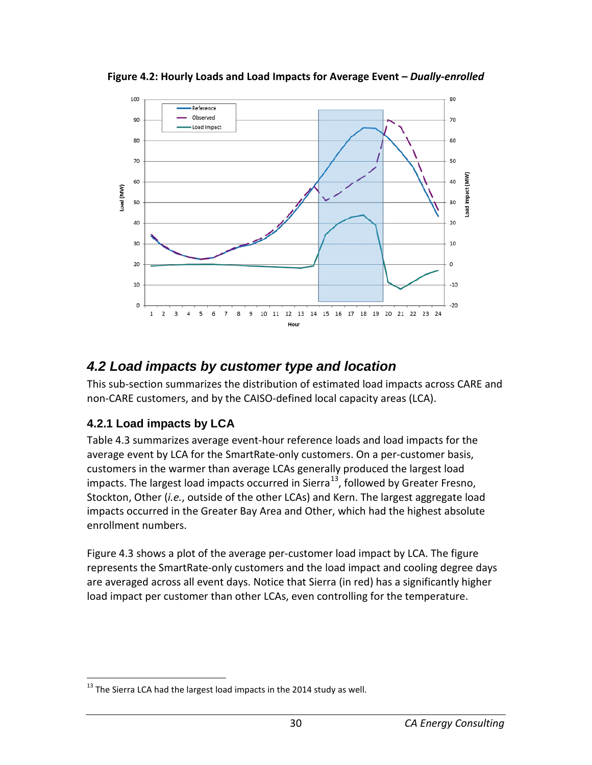

<span id="page-30-2"></span>**Figure 4.2: Hourly Loads and Load Impacts for Average Event –** *Dually-enrolled*

## <span id="page-30-0"></span>*4.2 Load impacts by customer type and location*

This sub-section summarizes the distribution of estimated load impacts across CARE and non-CARE customers, and by the CAISO-defined local capacity areas (LCA).

#### <span id="page-30-1"></span>**4.2.1 Load impacts by LCA**

Table 4.3 summarizes average event-hour reference loads and load impacts for the average event by LCA for the SmartRate-only customers. On a per-customer basis, customers in the warmer than average LCAs generally produced the largest load impacts. The largest load impacts occurred in Sierra<sup>[13](#page-30-3)</sup>, followed by Greater Fresno, Stockton, Other (*i.e.*, outside of the other LCAs) and Kern. The largest aggregate load impacts occurred in the Greater Bay Area and Other, which had the highest absolute enrollment numbers.

Figure 4.3 shows a plot of the average per-customer load impact by LCA. The figure represents the SmartRate-only customers and the load impact and cooling degree days are averaged across all event days. Notice that Sierra (in red) has a significantly higher load impact per customer than other LCAs, even controlling for the temperature.

<span id="page-30-3"></span> $13$  The Sierra LCA had the largest load impacts in the 2014 study as well.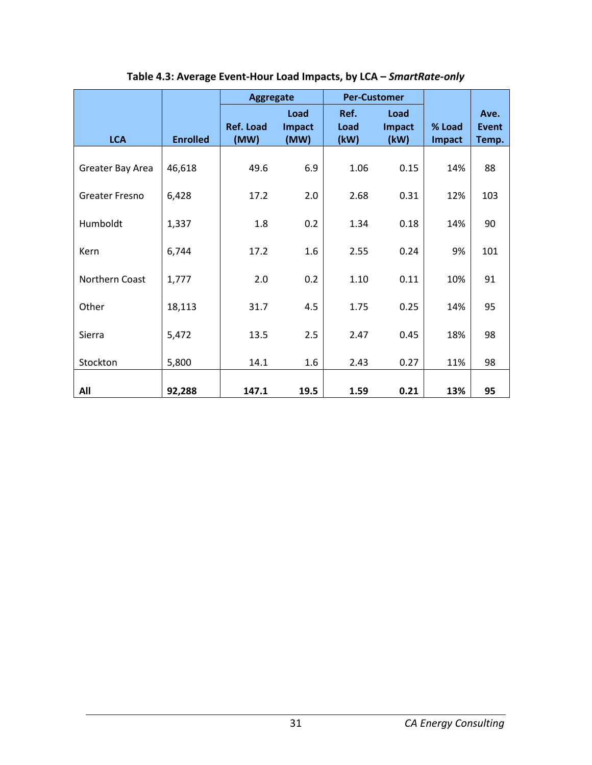<span id="page-31-0"></span>

|                       |                 | <b>Aggregate</b>         |                        | <b>Per-Customer</b>  |                        |                  |                               |
|-----------------------|-----------------|--------------------------|------------------------|----------------------|------------------------|------------------|-------------------------------|
| <b>LCA</b>            | <b>Enrolled</b> | <b>Ref. Load</b><br>(MW) | Load<br>Impact<br>(MW) | Ref.<br>Load<br>(kW) | Load<br>Impact<br>(kW) | % Load<br>Impact | Ave.<br><b>Event</b><br>Temp. |
| Greater Bay Area      | 46,618          | 49.6                     | 6.9                    | 1.06                 | 0.15                   | 14%              | 88                            |
| <b>Greater Fresno</b> | 6,428           | 17.2                     | 2.0                    | 2.68                 | 0.31                   | 12%              | 103                           |
| Humboldt              | 1,337           | 1.8                      | 0.2                    | 1.34                 | 0.18                   | 14%              | 90                            |
| Kern                  | 6,744           | 17.2                     | 1.6                    | 2.55                 | 0.24                   | 9%               | 101                           |
| Northern Coast        | 1,777           | 2.0                      | 0.2                    | 1.10                 | 0.11                   | 10%              | 91                            |
| Other                 | 18,113          | 31.7                     | 4.5                    | 1.75                 | 0.25                   | 14%              | 95                            |
| Sierra                | 5,472           | 13.5                     | 2.5                    | 2.47                 | 0.45                   | 18%              | 98                            |
| Stockton              | 5,800           | 14.1                     | 1.6                    | 2.43                 | 0.27                   | 11%              | 98                            |
| All                   | 92,288          | 147.1                    | 19.5                   | 1.59                 | 0.21                   | 13%              | 95                            |

**Table 4.3: Average Event-Hour Load Impacts, by LCA –** *SmartRate-only*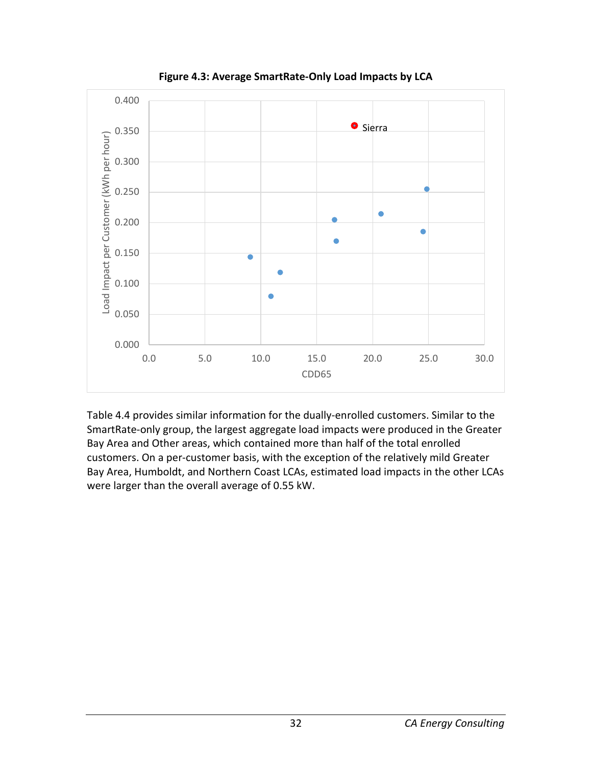<span id="page-32-0"></span>

**Figure 4.3: Average SmartRate-Only Load Impacts by LCA**

Table 4.4 provides similar information for the dually-enrolled customers. Similar to the SmartRate-only group, the largest aggregate load impacts were produced in the Greater Bay Area and Other areas, which contained more than half of the total enrolled customers. On a per-customer basis, with the exception of the relatively mild Greater Bay Area, Humboldt, and Northern Coast LCAs, estimated load impacts in the other LCAs were larger than the overall average of 0.55 kW.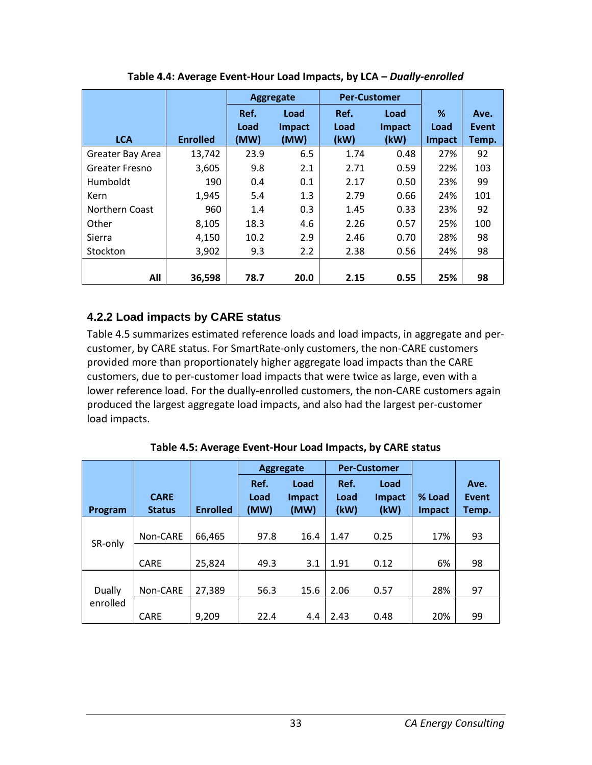<span id="page-33-1"></span>

|                  |                 | Aggregate |               | <b>Per-Customer</b> |        |        |       |
|------------------|-----------------|-----------|---------------|---------------------|--------|--------|-------|
|                  |                 | Ref.      | Load          | Ref.                | Load   | %      | Ave.  |
|                  |                 | Load      | <b>Impact</b> | Load                | Impact | Load   | Event |
| <b>LCA</b>       | <b>Enrolled</b> | (MW)      | (MW)          | (kW)                | (kW)   | Impact | Temp. |
| Greater Bay Area | 13,742          | 23.9      | 6.5           | 1.74                | 0.48   | 27%    | 92    |
| Greater Fresno   | 3,605           | 9.8       | 2.1           | 2.71                | 0.59   | 22%    | 103   |
| Humboldt         | 190             | 0.4       | 0.1           | 2.17                | 0.50   | 23%    | 99    |
| Kern             | 1,945           | 5.4       | 1.3           | 2.79                | 0.66   | 24%    | 101   |
| Northern Coast   | 960             | 1.4       | 0.3           | 1.45                | 0.33   | 23%    | 92    |
| Other            | 8,105           | 18.3      | 4.6           | 2.26                | 0.57   | 25%    | 100   |
| Sierra           | 4,150           | 10.2      | 2.9           | 2.46                | 0.70   | 28%    | 98    |
| Stockton         | 3,902           | 9.3       | 2.2           | 2.38                | 0.56   | 24%    | 98    |
|                  |                 |           |               |                     |        |        |       |
| All              | 36.598          | 78.7      | 20.0          | 2.15                | 0.55   | 25%    | 98    |

**Table 4.4: Average Event-Hour Load Impacts, by LCA –** *Dually-enrolled*

## <span id="page-33-0"></span>**4.2.2 Load impacts by CARE status**

Table 4.5 summarizes estimated reference loads and load impacts, in aggregate and percustomer, by CARE status. For SmartRate-only customers, the non-CARE customers provided more than proportionately higher aggregate load impacts than the CARE customers, due to per-customer load impacts that were twice as large, even with a lower reference load. For the dually-enrolled customers, the non-CARE customers again produced the largest aggregate load impacts, and also had the largest per-customer load impacts.

**Table 4.5: Average Event-Hour Load Impacts, by CARE status** 

<span id="page-33-2"></span>

|          |                              |                 |                      | <b>Aggregate</b>              |                      | <b>Per-Customer</b>    |                         |                               |
|----------|------------------------------|-----------------|----------------------|-------------------------------|----------------------|------------------------|-------------------------|-------------------------------|
| Program  | <b>CARE</b><br><b>Status</b> | <b>Enrolled</b> | Ref.<br>Load<br>(MW) | Load<br><b>Impact</b><br>(MW) | Ref.<br>Load<br>(kW) | Load<br>Impact<br>(kW) | % Load<br><b>Impact</b> | Ave.<br><b>Event</b><br>Temp. |
|          |                              |                 |                      |                               |                      |                        |                         |                               |
| SR-only  | Non-CARE                     | 66,465          | 97.8                 | 16.4                          | 1.47                 | 0.25                   | 17%                     | 93                            |
|          | <b>CARE</b>                  | 25,824          | 49.3                 | 3.1                           | 1.91                 | 0.12                   | 6%                      | 98                            |
|          |                              |                 |                      |                               |                      |                        |                         |                               |
| Dually   | Non-CARE                     | 27,389          | 56.3                 | 15.6                          | 2.06                 | 0.57                   | 28%                     | 97                            |
| enrolled | <b>CARE</b>                  | 9,209           | 22.4                 | 4.4                           | 2.43                 | 0.48                   | 20%                     | 99                            |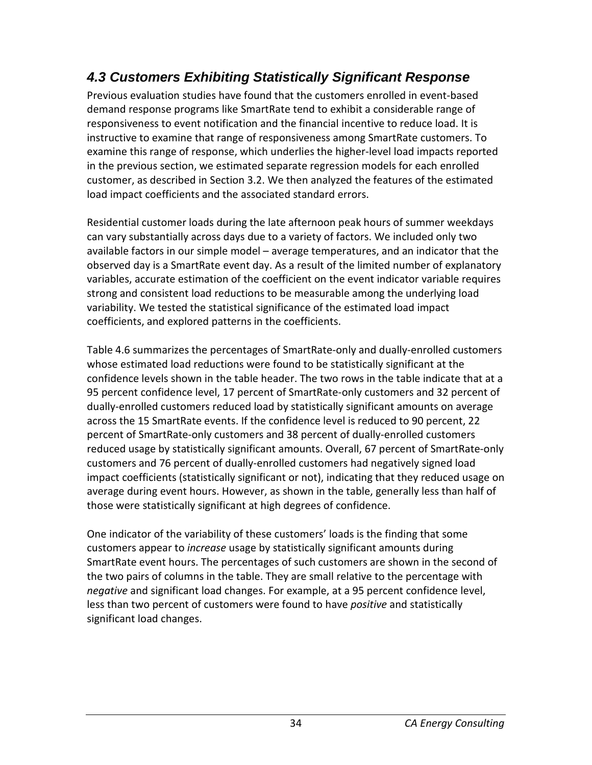## <span id="page-34-0"></span>*4.3 Customers Exhibiting Statistically Significant Response*

Previous evaluation studies have found that the customers enrolled in event-based demand response programs like SmartRate tend to exhibit a considerable range of responsiveness to event notification and the financial incentive to reduce load. It is instructive to examine that range of responsiveness among SmartRate customers. To examine this range of response, which underlies the higher-level load impacts reported in the previous section, we estimated separate regression models for each enrolled customer, as described in Section 3.2. We then analyzed the features of the estimated load impact coefficients and the associated standard errors.

Residential customer loads during the late afternoon peak hours of summer weekdays can vary substantially across days due to a variety of factors. We included only two available factors in our simple model – average temperatures, and an indicator that the observed day is a SmartRate event day. As a result of the limited number of explanatory variables, accurate estimation of the coefficient on the event indicator variable requires strong and consistent load reductions to be measurable among the underlying load variability. We tested the statistical significance of the estimated load impact coefficients, and explored patterns in the coefficients.

Table 4.6 summarizes the percentages of SmartRate-only and dually-enrolled customers whose estimated load reductions were found to be statistically significant at the confidence levels shown in the table header. The two rows in the table indicate that at a 95 percent confidence level, 17 percent of SmartRate-only customers and 32 percent of dually-enrolled customers reduced load by statistically significant amounts on average across the 15 SmartRate events. If the confidence level is reduced to 90 percent, 22 percent of SmartRate-only customers and 38 percent of dually-enrolled customers reduced usage by statistically significant amounts. Overall, 67 percent of SmartRate-only customers and 76 percent of dually-enrolled customers had negatively signed load impact coefficients (statistically significant or not), indicating that they reduced usage on average during event hours. However, as shown in the table, generally less than half of those were statistically significant at high degrees of confidence.

One indicator of the variability of these customers' loads is the finding that some customers appear to *increase* usage by statistically significant amounts during SmartRate event hours. The percentages of such customers are shown in the second of the two pairs of columns in the table. They are small relative to the percentage with *negative* and significant load changes. For example, at a 95 percent confidence level, less than two percent of customers were found to have *positive* and statistically significant load changes.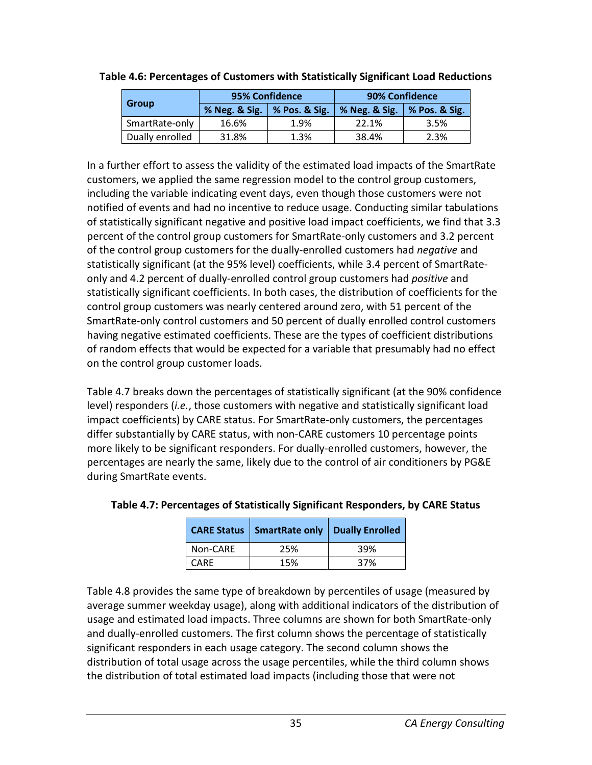| <b>Group</b>    | 95% Confidence        |               | 90% Confidence |                             |  |
|-----------------|-----------------------|---------------|----------------|-----------------------------|--|
|                 | % Neg. & Sig. $\vert$ | % Pos. & Sig. | % Neg. & Sig.  | $\frac{1}{2}$ % Pos. & Sig. |  |
| SmartRate-only  | 16.6%                 | 1.9%          | 22.1%          | 3.5%                        |  |
| Dually enrolled | 31.8%                 | 1.3%          | 38.4%          | 2.3%                        |  |

#### <span id="page-35-0"></span>**Table 4.6: Percentages of Customers with Statistically Significant Load Reductions**

In a further effort to assess the validity of the estimated load impacts of the SmartRate customers, we applied the same regression model to the control group customers, including the variable indicating event days, even though those customers were not notified of events and had no incentive to reduce usage. Conducting similar tabulations of statistically significant negative and positive load impact coefficients, we find that 3.3 percent of the control group customers for SmartRate-only customers and 3.2 percent of the control group customers for the dually-enrolled customers had *negative* and statistically significant (at the 95% level) coefficients, while 3.4 percent of SmartRateonly and 4.2 percent of dually-enrolled control group customers had *positive* and statistically significant coefficients. In both cases, the distribution of coefficients for the control group customers was nearly centered around zero, with 51 percent of the SmartRate-only control customers and 50 percent of dually enrolled control customers having negative estimated coefficients. These are the types of coefficient distributions of random effects that would be expected for a variable that presumably had no effect on the control group customer loads.

Table 4.7 breaks down the percentages of statistically significant (at the 90% confidence level) responders (*i.e.*, those customers with negative and statistically significant load impact coefficients) by CARE status. For SmartRate-only customers, the percentages differ substantially by CARE status, with non-CARE customers 10 percentage points more likely to be significant responders. For dually-enrolled customers, however, the percentages are nearly the same, likely due to the control of air conditioners by PG&E during SmartRate events.

|          | <b>CARE Status   SmartRate only   Dually Enrolled</b> |     |
|----------|-------------------------------------------------------|-----|
| Non-CARE | 25%                                                   | 39% |
| l CARE   | 15%                                                   | 37% |

<span id="page-35-1"></span>

| Table 4.7: Percentages of Statistically Significant Responders, by CARE Status |  |  |  |  |  |
|--------------------------------------------------------------------------------|--|--|--|--|--|
|--------------------------------------------------------------------------------|--|--|--|--|--|

Table 4.8 provides the same type of breakdown by percentiles of usage (measured by average summer weekday usage), along with additional indicators of the distribution of usage and estimated load impacts. Three columns are shown for both SmartRate-only and dually-enrolled customers. The first column shows the percentage of statistically significant responders in each usage category. The second column shows the distribution of total usage across the usage percentiles, while the third column shows the distribution of total estimated load impacts (including those that were not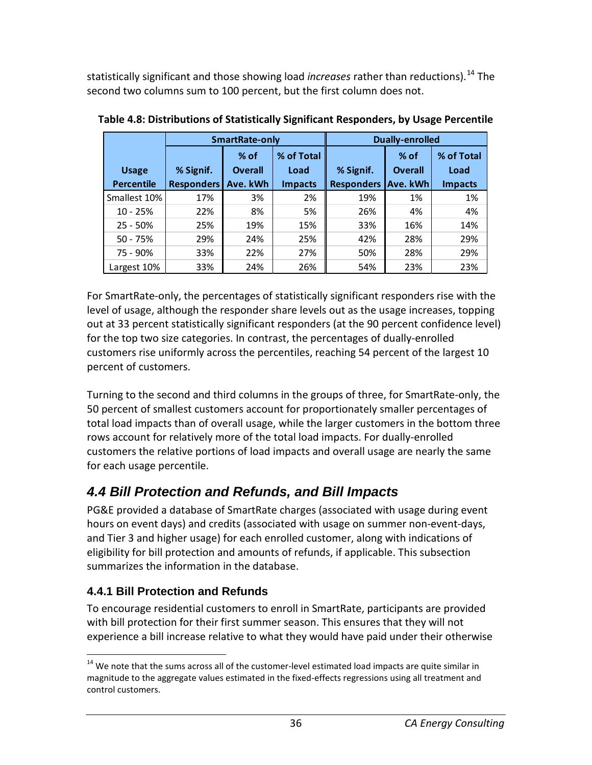statistically significant and those showing load *increases* rather than reductions). [14](#page-36-0) The second two columns sum to 100 percent, but the first column does not.

|                   | SmartRate-only    |                          |                | <b>Dually-enrolled</b> |                          |                    |  |
|-------------------|-------------------|--------------------------|----------------|------------------------|--------------------------|--------------------|--|
| <b>Usage</b>      | % Signif.         | $%$ of<br><b>Overall</b> |                | % Signif.              | $%$ of<br><b>Overall</b> | % of Total<br>Load |  |
| <b>Percentile</b> | <b>Responders</b> | Ave. kWh                 | <b>Impacts</b> | <b>Responders</b>      | Ave. kWh                 | <b>Impacts</b>     |  |
| Smallest 10%      | 17%               | 3%                       | 2%             | 19%                    | 1%                       | 1%                 |  |
| $10 - 25%$        | 22%               | 8%                       | 5%             | 26%                    | 4%                       | 4%                 |  |
| $25 - 50%$        | 25%               | 19%                      | 15%            | 33%                    | 16%                      | 14%                |  |
| $50 - 75%$        | 29%               | 24%                      | 25%            | 42%                    | 28%                      | 29%                |  |
| 75 - 90%          | 33%               | 22%                      | 27%            | 50%                    | 28%                      | 29%                |  |
| Largest 10%       | 33%               | 24%                      | 26%            | 54%                    | 23%                      | 23%                |  |

**Table 4.8: Distributions of Statistically Significant Responders, by Usage Percentile** 

For SmartRate-only, the percentages of statistically significant responders rise with the level of usage, although the responder share levels out as the usage increases, topping out at 33 percent statistically significant responders (at the 90 percent confidence level) for the top two size categories. In contrast, the percentages of dually-enrolled customers rise uniformly across the percentiles, reaching 54 percent of the largest 10 percent of customers.

Turning to the second and third columns in the groups of three, for SmartRate-only, the 50 percent of smallest customers account for proportionately smaller percentages of total load impacts than of overall usage, while the larger customers in the bottom three rows account for relatively more of the total load impacts. For dually-enrolled customers the relative portions of load impacts and overall usage are nearly the same for each usage percentile.

# *4.4 Bill Protection and Refunds, and Bill Impacts*

PG&E provided a database of SmartRate charges (associated with usage during event hours on event days) and credits (associated with usage on summer non-event-days, and Tier 3 and higher usage) for each enrolled customer, along with indications of eligibility for bill protection and amounts of refunds, if applicable. This subsection summarizes the information in the database.

## **4.4.1 Bill Protection and Refunds**

To encourage residential customers to enroll in SmartRate, participants are provided with bill protection for their first summer season. This ensures that they will not experience a bill increase relative to what they would have paid under their otherwise

<span id="page-36-0"></span> $14$  We note that the sums across all of the customer-level estimated load impacts are quite similar in magnitude to the aggregate values estimated in the fixed-effects regressions using all treatment and control customers.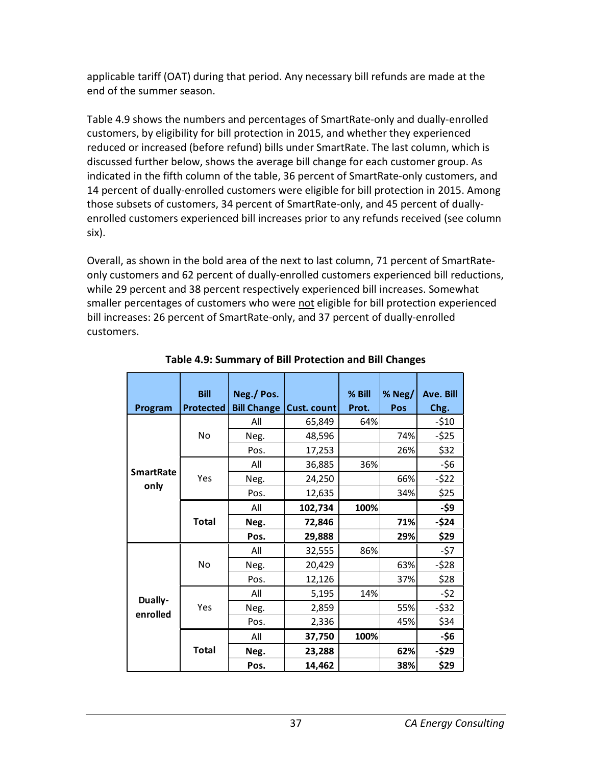applicable tariff (OAT) during that period. Any necessary bill refunds are made at the end of the summer season.

Table 4.9 shows the numbers and percentages of SmartRate-only and dually-enrolled customers, by eligibility for bill protection in 2015, and whether they experienced reduced or increased (before refund) bills under SmartRate. The last column, which is discussed further below, shows the average bill change for each customer group. As indicated in the fifth column of the table, 36 percent of SmartRate-only customers, and 14 percent of dually-enrolled customers were eligible for bill protection in 2015. Among those subsets of customers, 34 percent of SmartRate-only, and 45 percent of duallyenrolled customers experienced bill increases prior to any refunds received (see column six).

Overall, as shown in the bold area of the next to last column, 71 percent of SmartRateonly customers and 62 percent of dually-enrolled customers experienced bill reductions, while 29 percent and 38 percent respectively experienced bill increases. Somewhat smaller percentages of customers who were not eligible for bill protection experienced bill increases: 26 percent of SmartRate-only, and 37 percent of dually-enrolled customers.

|                  | <b>Bill</b>      | Neg./Pos.          |             | % Bill | % $Neg/$ | Ave. Bill |
|------------------|------------------|--------------------|-------------|--------|----------|-----------|
| Program          | <b>Protected</b> | <b>Bill Change</b> | Cust. count | Prot.  | Pos      | Chg.      |
|                  |                  | All                | 65,849      | 64%    |          | $-510$    |
|                  | No               | Neg.               | 48,596      |        | 74%      | $-525$    |
|                  |                  | Pos.               | 17,253      |        | 26%      | \$32      |
|                  |                  | All                | 36,885      | 36%    |          | $-56$     |
| <b>SmartRate</b> | Yes              | Neg.               | 24,250      |        | 66%      | $-522$    |
| only             |                  | Pos.               | 12,635      |        | 34%      | \$25      |
|                  | <b>Total</b>     | All                | 102,734     | 100%   |          | -\$9      |
|                  |                  | Neg.               | 72,846      |        | 71%      | $-$24$    |
|                  |                  | Pos.               | 29,888      |        | 29%      | \$29      |
|                  |                  | All                | 32,555      | 86%    |          | -\$7      |
|                  | No               | Neg.               | 20,429      |        | 63%      | $-528$    |
|                  |                  | Pos.               | 12,126      |        | 37%      | \$28      |
| Dually-          |                  | All                | 5,195       | 14%    |          | $-52$     |
| enrolled         | Yes              | Neg.               | 2,859       |        | 55%      | $-532$    |
|                  |                  | Pos.               | 2,336       |        | 45%      | \$34      |
|                  |                  | All                | 37,750      | 100%   |          | -\$6      |
|                  | <b>Total</b>     | Neg.               | 23,288      |        | 62%      | -\$29     |
|                  |                  | Pos.               | 14,462      |        | 38%      | \$29      |

#### **Table 4.9: Summary of Bill Protection and Bill Changes**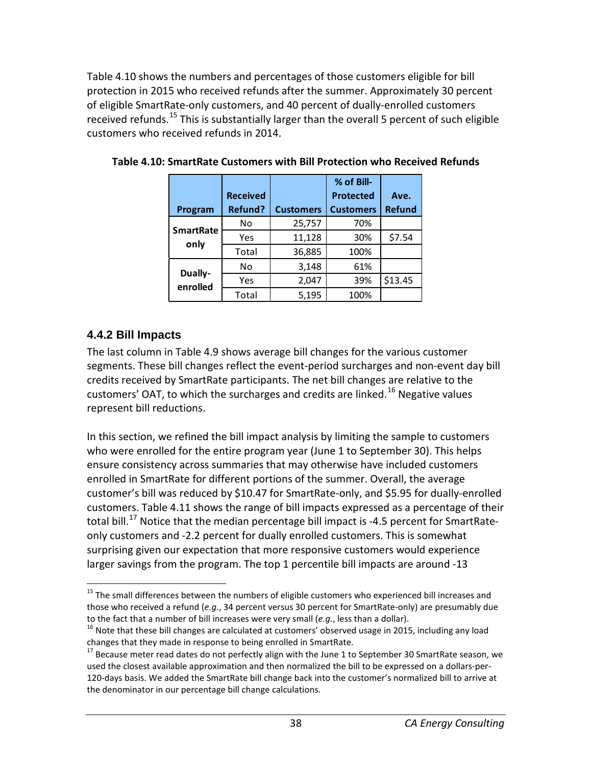Table 4.10 shows the numbers and percentages of those customers eligible for bill protection in 2015 who received refunds after the summer. Approximately 30 percent of eligible SmartRate-only customers, and 40 percent of dually-enrolled customers received refunds.<sup>[15](#page-38-0)</sup> This is substantially larger than the overall 5 percent of such eligible customers who received refunds in 2014.

|                     | <b>Received</b> |                  | % of Bill-<br><b>Protected</b> | Ave.          |
|---------------------|-----------------|------------------|--------------------------------|---------------|
| Program             | <b>Refund?</b>  | <b>Customers</b> | <b>Customers</b>               | <b>Refund</b> |
| <b>SmartRate</b>    | No              | 25,757           | 70%                            |               |
|                     | Yes             | 11,128           | 30%                            | \$7.54        |
| only                | Total           | 36,885           | 100%                           |               |
|                     | No              | 3,148            | 61%                            |               |
| Dually-<br>enrolled | Yes             | 2,047            | 39%                            | \$13.45       |
|                     | Total           | 5,195            | 100%                           |               |

**Table 4.10: SmartRate Customers with Bill Protection who Received Refunds**

#### **4.4.2 Bill Impacts**

The last column in Table 4.9 shows average bill changes for the various customer segments. These bill changes reflect the event-period surcharges and non-event day bill credits received by SmartRate participants. The net bill changes are relative to the customers' OAT, to which the surcharges and credits are linked.<sup>[16](#page-38-1)</sup> Negative values represent bill reductions.

In this section, we refined the bill impact analysis by limiting the sample to customers who were enrolled for the entire program year (June 1 to September 30). This helps ensure consistency across summaries that may otherwise have included customers enrolled in SmartRate for different portions of the summer. Overall, the average customer's bill was reduced by \$10.47 for SmartRate-only, and \$5.95 for dually-enrolled customers. Table 4.11 shows the range of bill impacts expressed as a percentage of their total bill.<sup>[17](#page-38-2)</sup> Notice that the median percentage bill impact is -4.5 percent for SmartRateonly customers and -2.2 percent for dually enrolled customers. This is somewhat surprising given our expectation that more responsive customers would experience larger savings from the program. The top 1 percentile bill impacts are around -13

<span id="page-38-0"></span><sup>&</sup>lt;sup>15</sup> The small differences between the numbers of eligible customers who experienced bill increases and those who received a refund (*e.g.*, 34 percent versus 30 percent for SmartRate-only) are presumably due to the fact that a number of bill increases were very small (*e.g.*, less than a dollar).<br><sup>16</sup> Note that these bill changes are calculated at customers' observed usage in 2015, including any load

<span id="page-38-1"></span>changes that they made in response to being enrolled in SmartRate.

<span id="page-38-2"></span><sup>&</sup>lt;sup>17</sup> Because meter read dates do not perfectly align with the June 1 to September 30 SmartRate season, we used the closest available approximation and then normalized the bill to be expressed on a dollars-per-120-days basis. We added the SmartRate bill change back into the customer's normalized bill to arrive at the denominator in our percentage bill change calculations.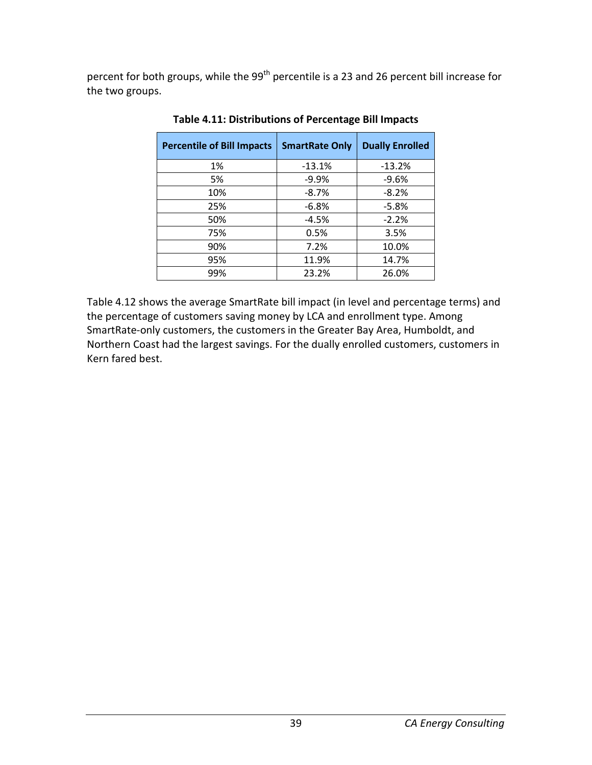percent for both groups, while the 99<sup>th</sup> percentile is a 23 and 26 percent bill increase for the two groups.

| <b>Percentile of Bill Impacts</b> | <b>SmartRate Only</b> | <b>Dually Enrolled</b> |
|-----------------------------------|-----------------------|------------------------|
| 1%                                | $-13.1%$              | $-13.2%$               |
| 5%                                | $-9.9%$               | $-9.6%$                |
| 10%                               | $-8.7%$               | $-8.2%$                |
| 25%                               | $-6.8%$               | $-5.8%$                |
| 50%                               | $-4.5%$               | $-2.2%$                |
| 75%                               | 0.5%                  | 3.5%                   |
| 90%                               | 7.2%                  | 10.0%                  |
| 95%                               | 11.9%                 | 14.7%                  |
| 99%                               | 23.2%                 | 26.0%                  |

**Table 4.11: Distributions of Percentage Bill Impacts**

Table 4.12 shows the average SmartRate bill impact (in level and percentage terms) and the percentage of customers saving money by LCA and enrollment type. Among SmartRate-only customers, the customers in the Greater Bay Area, Humboldt, and Northern Coast had the largest savings. For the dually enrolled customers, customers in Kern fared best.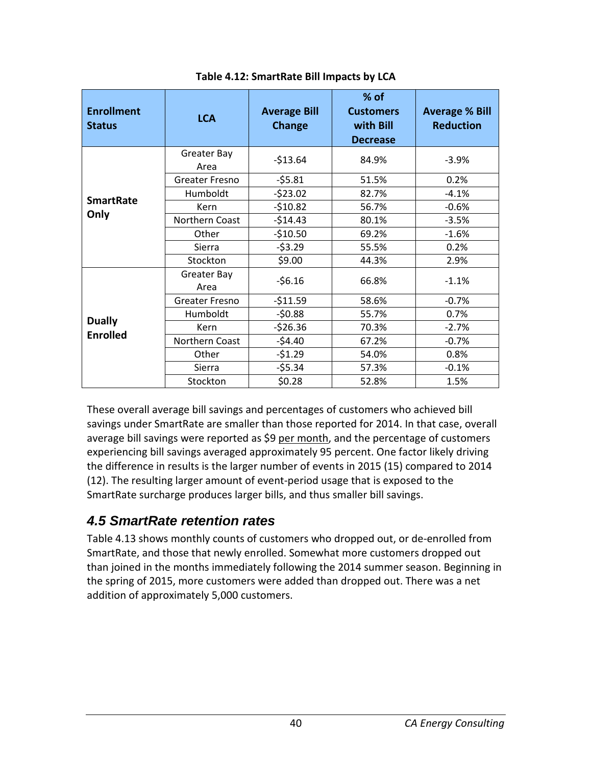| <b>Enrollment</b><br><b>Status</b> | <b>LCA</b>            | <b>Average Bill</b><br><b>Change</b> | $%$ of<br><b>Customers</b><br>with Bill<br><b>Decrease</b> | <b>Average % Bill</b><br><b>Reduction</b> |
|------------------------------------|-----------------------|--------------------------------------|------------------------------------------------------------|-------------------------------------------|
|                                    | Greater Bay<br>Area   | $-513.64$                            | 84.9%                                                      | $-3.9%$                                   |
|                                    | <b>Greater Fresno</b> | $-55.81$                             | 51.5%                                                      | 0.2%                                      |
| <b>SmartRate</b>                   | Humboldt              | $-523.02$                            | 82.7%                                                      | $-4.1%$                                   |
|                                    | Kern                  | $-510.82$                            | 56.7%                                                      | $-0.6%$                                   |
| Only                               | Northern Coast        | $-514.43$                            | 80.1%                                                      | $-3.5%$                                   |
|                                    | Other                 | $-510.50$                            | 69.2%                                                      | $-1.6%$                                   |
|                                    | Sierra                | $-53.29$                             | 55.5%                                                      | 0.2%                                      |
|                                    | Stockton              | \$9.00                               | 44.3%                                                      | 2.9%                                      |
|                                    | Greater Bay<br>Area   | $-56.16$                             | 66.8%                                                      | $-1.1%$                                   |
|                                    | <b>Greater Fresno</b> | $-511.59$                            | 58.6%                                                      | $-0.7%$                                   |
|                                    | Humboldt              | $-50.88$                             | 55.7%                                                      | 0.7%                                      |
| <b>Dually</b>                      | Kern                  | $-526.36$                            | 70.3%                                                      | $-2.7%$                                   |
| <b>Enrolled</b>                    | Northern Coast        | $-54.40$                             | 67.2%                                                      | $-0.7%$                                   |
|                                    | Other                 | $-51.29$                             | 54.0%                                                      | 0.8%                                      |
|                                    | Sierra                | $-55.34$                             | 57.3%                                                      | $-0.1%$                                   |
|                                    | Stockton              | \$0.28                               | 52.8%                                                      | 1.5%                                      |

These overall average bill savings and percentages of customers who achieved bill savings under SmartRate are smaller than those reported for 2014. In that case, overall average bill savings were reported as \$9 per month, and the percentage of customers experiencing bill savings averaged approximately 95 percent. One factor likely driving the difference in results is the larger number of events in 2015 (15) compared to 2014 (12). The resulting larger amount of event-period usage that is exposed to the SmartRate surcharge produces larger bills, and thus smaller bill savings.

## *4.5 SmartRate retention rates*

Table 4.13 shows monthly counts of customers who dropped out, or de-enrolled from SmartRate, and those that newly enrolled. Somewhat more customers dropped out than joined in the months immediately following the 2014 summer season. Beginning in the spring of 2015, more customers were added than dropped out. There was a net addition of approximately 5,000 customers.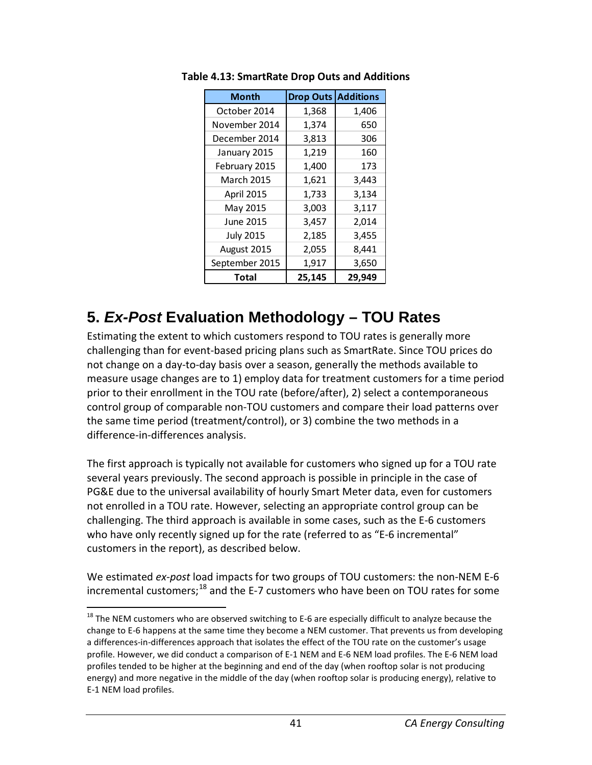| <b>Month</b>      | <b>Drop Outs</b> | <b>Additions</b> |
|-------------------|------------------|------------------|
| October 2014      | 1,368            | 1,406            |
| November 2014     | 1,374            | 650              |
| December 2014     | 3,813            | 306              |
| January 2015      | 1,219            | 160              |
| February 2015     | 1,400            | 173              |
| <b>March 2015</b> | 1,621            | 3,443            |
| April 2015        | 1,733            | 3,134            |
| May 2015          | 3,003            | 3,117            |
| June 2015         | 3,457            | 2,014            |
| <b>July 2015</b>  | 2,185            | 3,455            |
| August 2015       | 2,055            | 8,441            |
| September 2015    | 1,917            | 3,650            |
| Total             | 25,145           | 29,949           |

**Table 4.13: SmartRate Drop Outs and Additions**

# **5.** *Ex-Post* **Evaluation Methodology – TOU Rates**

Estimating the extent to which customers respond to TOU rates is generally more challenging than for event-based pricing plans such as SmartRate. Since TOU prices do not change on a day-to-day basis over a season, generally the methods available to measure usage changes are to 1) employ data for treatment customers for a time period prior to their enrollment in the TOU rate (before/after), 2) select a contemporaneous control group of comparable non-TOU customers and compare their load patterns over the same time period (treatment/control), or 3) combine the two methods in a difference-in-differences analysis.

The first approach is typically not available for customers who signed up for a TOU rate several years previously. The second approach is possible in principle in the case of PG&E due to the universal availability of hourly Smart Meter data, even for customers not enrolled in a TOU rate. However, selecting an appropriate control group can be challenging. The third approach is available in some cases, such as the E-6 customers who have only recently signed up for the rate (referred to as "E-6 incremental" customers in the report), as described below.

We estimated *ex-post* load impacts for two groups of TOU customers: the non-NEM E-6 incremental customers;<sup>[18](#page-41-0)</sup> and the E-7 customers who have been on TOU rates for some

<span id="page-41-0"></span> $18$  The NEM customers who are observed switching to E-6 are especially difficult to analyze because the change to E-6 happens at the same time they become a NEM customer. That prevents us from developing a differences-in-differences approach that isolates the effect of the TOU rate on the customer's usage profile. However, we did conduct a comparison of E-1 NEM and E-6 NEM load profiles. The E-6 NEM load profiles tended to be higher at the beginning and end of the day (when rooftop solar is not producing energy) and more negative in the middle of the day (when rooftop solar is producing energy), relative to E-1 NEM load profiles.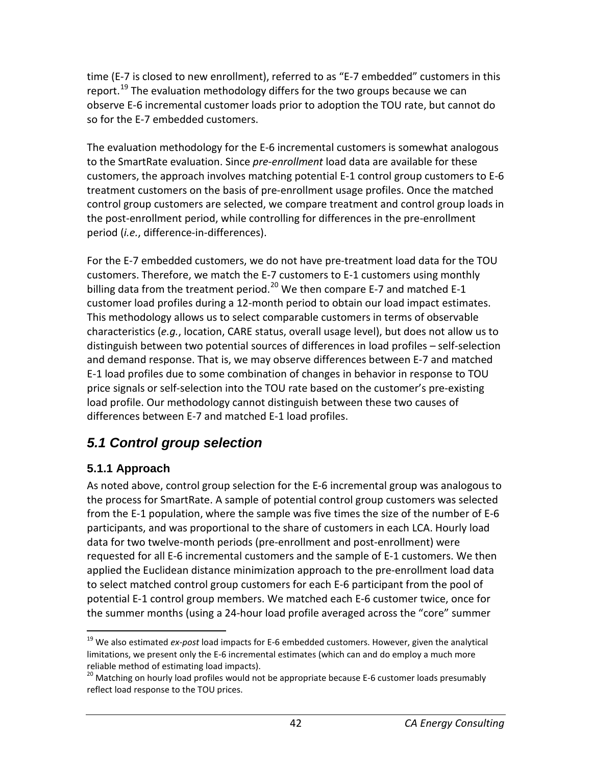time (E-7 is closed to new enrollment), referred to as "E-7 embedded" customers in this report.<sup>[19](#page-42-0)</sup> The evaluation methodology differs for the two groups because we can observe E-6 incremental customer loads prior to adoption the TOU rate, but cannot do so for the E-7 embedded customers.

The evaluation methodology for the E-6 incremental customers is somewhat analogous to the SmartRate evaluation. Since *pre-enrollment* load data are available for these customers, the approach involves matching potential E-1 control group customers to E-6 treatment customers on the basis of pre-enrollment usage profiles. Once the matched control group customers are selected, we compare treatment and control group loads in the post-enrollment period, while controlling for differences in the pre-enrollment period (*i.e.*, difference-in-differences).

For the E-7 embedded customers, we do not have pre-treatment load data for the TOU customers. Therefore, we match the E-7 customers to E-1 customers using monthly billing data from the treatment period.<sup>[20](#page-42-1)</sup> We then compare E-7 and matched E-1 customer load profiles during a 12-month period to obtain our load impact estimates. This methodology allows us to select comparable customers in terms of observable characteristics (*e.g.*, location, CARE status, overall usage level), but does not allow us to distinguish between two potential sources of differences in load profiles – self-selection and demand response. That is, we may observe differences between E-7 and matched E-1 load profiles due to some combination of changes in behavior in response to TOU price signals or self-selection into the TOU rate based on the customer's pre-existing load profile. Our methodology cannot distinguish between these two causes of differences between E-7 and matched E-1 load profiles.

## *5.1 Control group selection*

### **5.1.1 Approach**

As noted above, control group selection for the E-6 incremental group was analogous to the process for SmartRate. A sample of potential control group customers was selected from the E-1 population, where the sample was five times the size of the number of E-6 participants, and was proportional to the share of customers in each LCA. Hourly load data for two twelve-month periods (pre-enrollment and post-enrollment) were requested for all E-6 incremental customers and the sample of E-1 customers. We then applied the Euclidean distance minimization approach to the pre-enrollment load data to select matched control group customers for each E-6 participant from the pool of potential E-1 control group members. We matched each E-6 customer twice, once for the summer months (using a 24-hour load profile averaged across the "core" summer

<span id="page-42-0"></span> <sup>19</sup> We also estimated *ex-post* load impacts for E-6 embedded customers. However, given the analytical limitations, we present only the E-6 incremental estimates (which can and do employ a much more reliable method of estimating load impacts).

<span id="page-42-1"></span><sup>&</sup>lt;sup>20</sup> Matching on hourly load profiles would not be appropriate because E-6 customer loads presumably reflect load response to the TOU prices.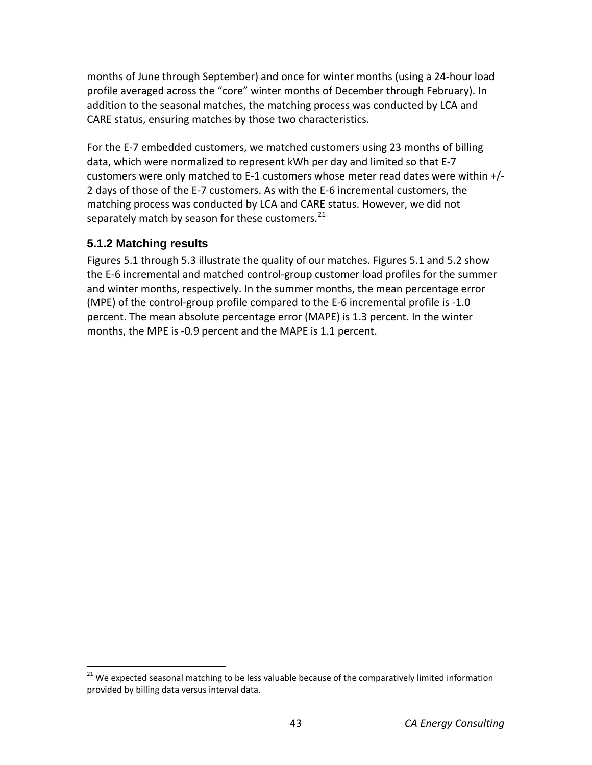months of June through September) and once for winter months (using a 24-hour load profile averaged across the "core" winter months of December through February). In addition to the seasonal matches, the matching process was conducted by LCA and CARE status, ensuring matches by those two characteristics.

For the E-7 embedded customers, we matched customers using 23 months of billing data, which were normalized to represent kWh per day and limited so that E-7 customers were only matched to E-1 customers whose meter read dates were within +/- 2 days of those of the E-7 customers. As with the E-6 incremental customers, the matching process was conducted by LCA and CARE status. However, we did not separately match by season for these customers. $^{21}$  $^{21}$  $^{21}$ 

### **5.1.2 Matching results**

Figures 5.1 through 5.3 illustrate the quality of our matches. Figures 5.1 and 5.2 show the E-6 incremental and matched control-group customer load profiles for the summer and winter months, respectively. In the summer months, the mean percentage error (MPE) of the control-group profile compared to the E-6 incremental profile is -1.0 percent. The mean absolute percentage error (MAPE) is 1.3 percent. In the winter months, the MPE is -0.9 percent and the MAPE is 1.1 percent.

<span id="page-43-0"></span> $21$  We expected seasonal matching to be less valuable because of the comparatively limited information provided by billing data versus interval data.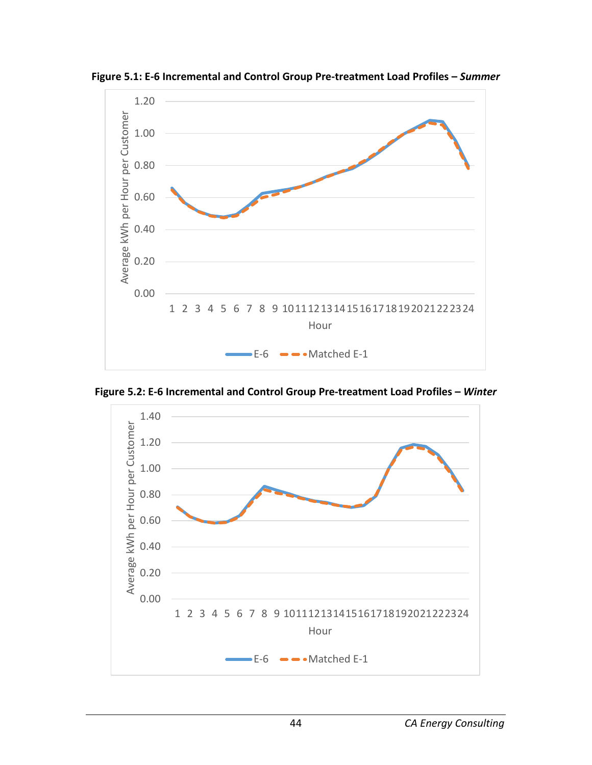

**Figure 5.1: E-6 Incremental and Control Group Pre-treatment Load Profiles –** *Summer*

**Figure 5.2: E-6 Incremental and Control Group Pre-treatment Load Profiles –** *Winter*

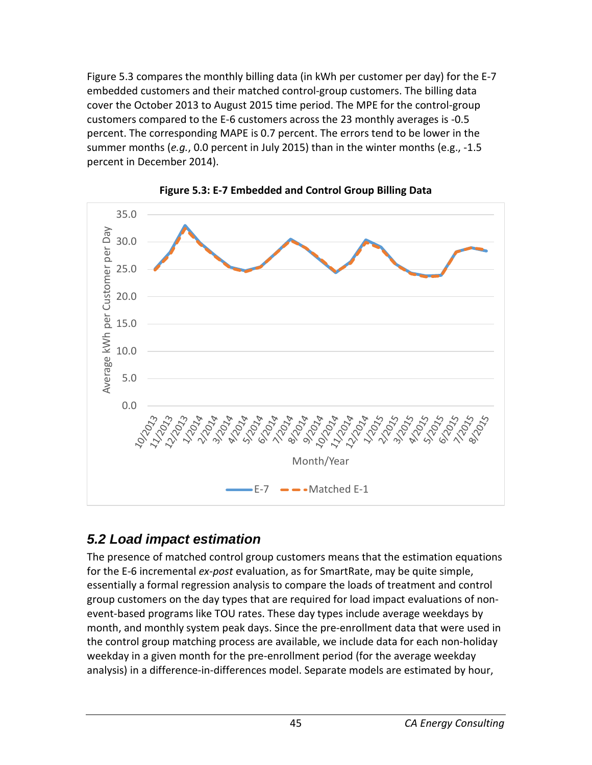Figure 5.3 compares the monthly billing data (in kWh per customer per day) for the E-7 embedded customers and their matched control-group customers. The billing data cover the October 2013 to August 2015 time period. The MPE for the control-group customers compared to the E-6 customers across the 23 monthly averages is -0.5 percent. The corresponding MAPE is 0.7 percent. The errors tend to be lower in the summer months (*e.g.*, 0.0 percent in July 2015) than in the winter months (e.g., -1.5 percent in December 2014).





## *5.2 Load impact estimation*

The presence of matched control group customers means that the estimation equations for the E-6 incremental *ex-post* evaluation, as for SmartRate, may be quite simple, essentially a formal regression analysis to compare the loads of treatment and control group customers on the day types that are required for load impact evaluations of nonevent-based programs like TOU rates. These day types include average weekdays by month, and monthly system peak days. Since the pre-enrollment data that were used in the control group matching process are available, we include data for each non-holiday weekday in a given month for the pre-enrollment period (for the average weekday analysis) in a difference-in-differences model. Separate models are estimated by hour,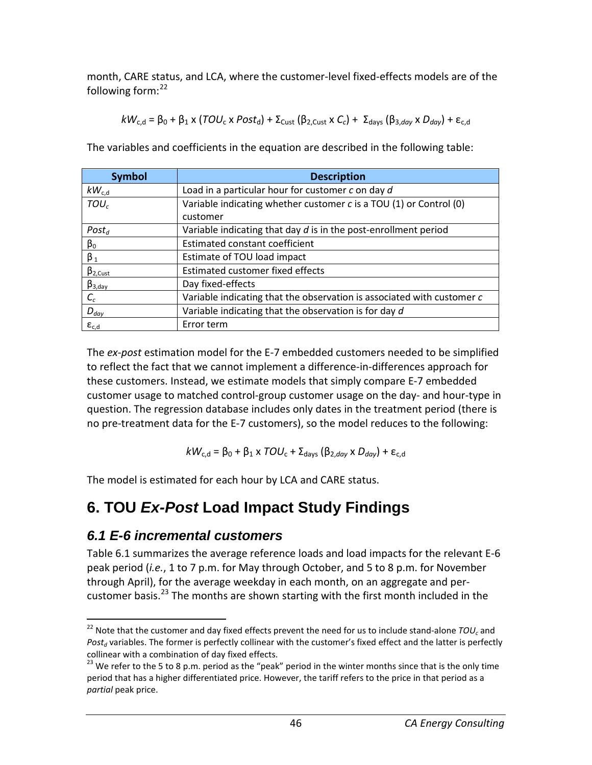month, CARE status, and LCA, where the customer-level fixed-effects models are of the following form:<sup>[22](#page-46-0)</sup>

$$
kW_{c,d} = \beta_0 + \beta_1 \times (TOU_c \times Post_d) + \Sigma_{\text{Cust}} (\beta_{2,\text{Cust}} \times C_c) + \Sigma_{\text{days}} (\beta_{3,\text{day}} \times D_{\text{day}}) + \epsilon_{c,d}
$$

The variables and coefficients in the equation are described in the following table:

| <b>Symbol</b>    | <b>Description</b>                                                     |
|------------------|------------------------------------------------------------------------|
| $kW_{c,d}$       | Load in a particular hour for customer c on day d                      |
| TOU <sub>c</sub> | Variable indicating whether customer $c$ is a TOU (1) or Control (0)   |
|                  | customer                                                               |
| $Post_d$         | Variable indicating that day $d$ is in the post-enrollment period      |
| $\beta_0$        | <b>Estimated constant coefficient</b>                                  |
| $\beta_1$        | Estimate of TOU load impact                                            |
| $\beta_{2,Cust}$ | Estimated customer fixed effects                                       |
| $\beta_{3,day}$  | Day fixed-effects                                                      |
| $C_c$            | Variable indicating that the observation is associated with customer c |
| $D_{day}$        | Variable indicating that the observation is for day d                  |
| $\epsilon_{c,d}$ | Error term                                                             |

The *ex-post* estimation model for the E-7 embedded customers needed to be simplified to reflect the fact that we cannot implement a difference-in-differences approach for these customers. Instead, we estimate models that simply compare E-7 embedded customer usage to matched control-group customer usage on the day- and hour-type in question. The regression database includes only dates in the treatment period (there is no pre-treatment data for the E-7 customers), so the model reduces to the following:

$$
kW_{\rm c,d} = \beta_0 + \beta_1 \times \text{TOU}_{\rm c} + \Sigma_{\rm days} (\beta_{2,day} \times D_{day}) + \epsilon_{\rm c,d}
$$

The model is estimated for each hour by LCA and CARE status.

# **6. TOU** *Ex-Post* **Load Impact Study Findings**

### *6.1 E-6 incremental customers*

Table 6.1 summarizes the average reference loads and load impacts for the relevant E-6 peak period (*i.e.*, 1 to 7 p.m. for May through October, and 5 to 8 p.m. for November through April), for the average weekday in each month, on an aggregate and per-customer basis.<sup>[23](#page-46-1)</sup> The months are shown starting with the first month included in the

<span id="page-46-0"></span><sup>&</sup>lt;sup>22</sup> Note that the customer and day fixed effects prevent the need for us to include stand-alone  $TOU_c$  and Post<sub>d</sub> variables. The former is perfectly collinear with the customer's fixed effect and the latter is perfectly collinear with a combination of day fixed effects.

<span id="page-46-1"></span> $^{23}$  We refer to the 5 to 8 p.m. period as the "peak" period in the winter months since that is the only time period that has a higher differentiated price. However, the tariff refers to the price in that period as a *partial* peak price.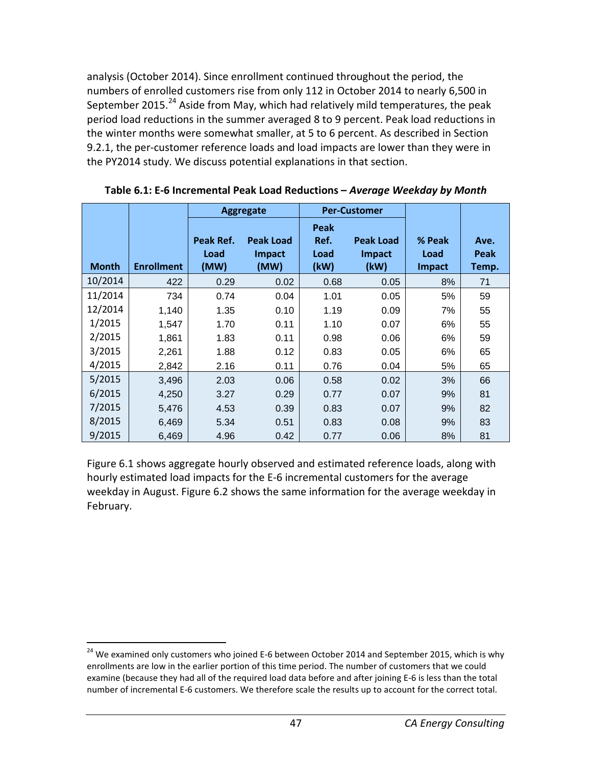analysis (October 2014). Since enrollment continued throughout the period, the numbers of enrolled customers rise from only 112 in October 2014 to nearly 6,500 in September 2015.<sup>[24](#page-47-0)</sup> Aside from May, which had relatively mild temperatures, the peak period load reductions in the summer averaged 8 to 9 percent. Peak load reductions in the winter months were somewhat smaller, at 5 to 6 percent. As described in Section 9.2.1, the per-customer reference loads and load impacts are lower than they were in the PY2014 study. We discuss potential explanations in that section.

|              |                   | <b>Aggregate</b> |                  |      | <b>Per-Customer</b> |               |       |
|--------------|-------------------|------------------|------------------|------|---------------------|---------------|-------|
|              |                   |                  |                  | Peak |                     |               |       |
|              |                   | Peak Ref.        | <b>Peak Load</b> | Ref. | <b>Peak Load</b>    | % Peak        | Ave.  |
|              |                   | Load             | <b>Impact</b>    | Load | <b>Impact</b>       | Load          | Peak  |
| <b>Month</b> | <b>Enrollment</b> | (MW)             | (MW)             | (kW) | (kW)                | <b>Impact</b> | Temp. |
| 10/2014      | 422               | 0.29             | 0.02             | 0.68 | 0.05                | 8%            | 71    |
| 11/2014      | 734               | 0.74             | 0.04             | 1.01 | 0.05                | 5%            | 59    |
| 12/2014      | 1,140             | 1.35             | 0.10             | 1.19 | 0.09                | 7%            | 55    |
| 1/2015       | 1,547             | 1.70             | 0.11             | 1.10 | 0.07                | 6%            | 55    |
| 2/2015       | 1,861             | 1.83             | 0.11             | 0.98 | 0.06                | 6%            | 59    |
| 3/2015       | 2,261             | 1.88             | 0.12             | 0.83 | 0.05                | 6%            | 65    |
| 4/2015       | 2,842             | 2.16             | 0.11             | 0.76 | 0.04                | 5%            | 65    |
| 5/2015       | 3,496             | 2.03             | 0.06             | 0.58 | 0.02                | 3%            | 66    |
| 6/2015       | 4,250             | 3.27             | 0.29             | 0.77 | 0.07                | 9%            | 81    |
| 7/2015       | 5,476             | 4.53             | 0.39             | 0.83 | 0.07                | 9%            | 82    |
| 8/2015       | 6,469             | 5.34             | 0.51             | 0.83 | 0.08                | 9%            | 83    |
| 9/2015       | 6,469             | 4.96             | 0.42             | 0.77 | 0.06                | 8%            | 81    |

**Table 6.1: E-6 Incremental Peak Load Reductions –** *Average Weekday by Month*

Figure 6.1 shows aggregate hourly observed and estimated reference loads, along with hourly estimated load impacts for the E-6 incremental customers for the average weekday in August. Figure 6.2 shows the same information for the average weekday in February.

<span id="page-47-0"></span><sup>&</sup>lt;sup>24</sup> We examined only customers who joined E-6 between October 2014 and September 2015, which is why enrollments are low in the earlier portion of this time period. The number of customers that we could examine (because they had all of the required load data before and after joining E-6 is less than the total number of incremental E-6 customers. We therefore scale the results up to account for the correct total.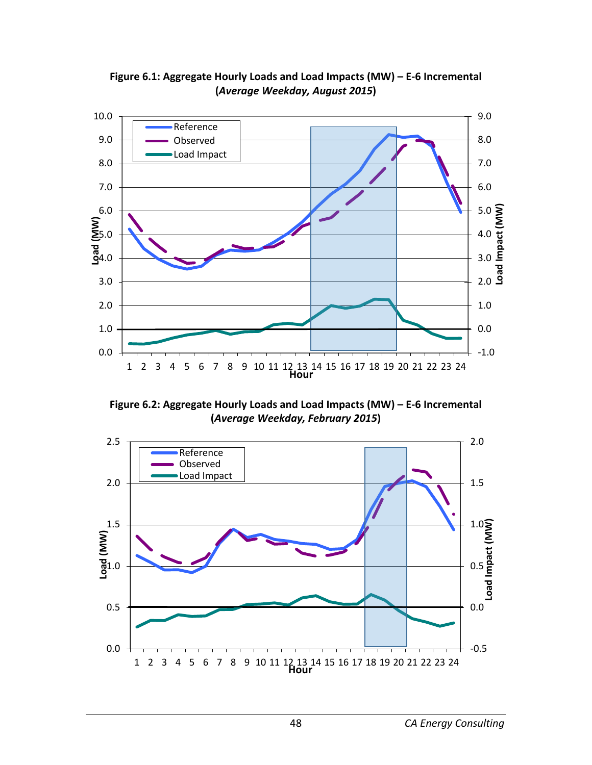

**Figure 6.1: Aggregate Hourly Loads and Load Impacts (MW) – E-6 Incremental (***Average Weekday, August 2015***)**

**Figure 6.2: Aggregate Hourly Loads and Load Impacts (MW) – E-6 Incremental (***Average Weekday, February 2015***)**

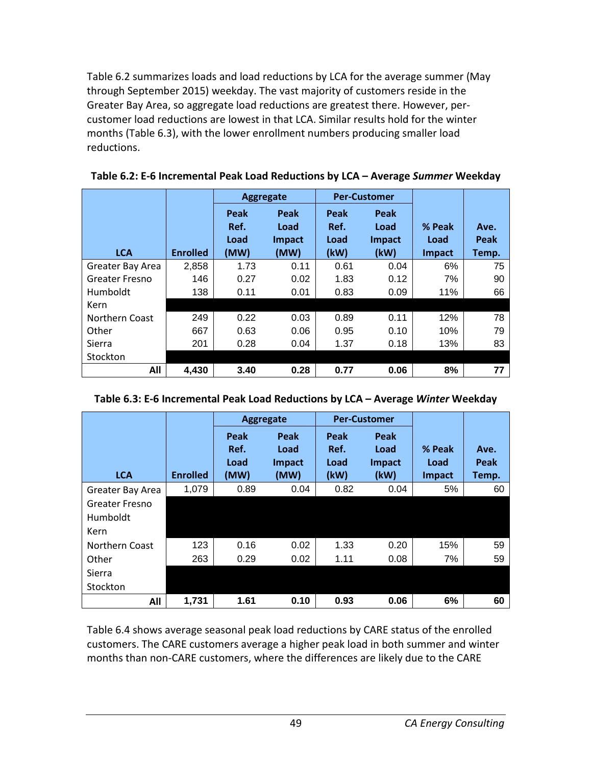Table 6.2 summarizes loads and load reductions by LCA for the average summer (May through September 2015) weekday. The vast majority of customers reside in the Greater Bay Area, so aggregate load reductions are greatest there. However, percustomer load reductions are lowest in that LCA. Similar results hold for the winter months (Table 6.3), with the lower enrollment numbers producing smaller load reductions.

|                       |                 | Aggregate                    |                                |                              | <b>Per-Customer</b>                   |                                 |                       |
|-----------------------|-----------------|------------------------------|--------------------------------|------------------------------|---------------------------------------|---------------------------------|-----------------------|
| <b>LCA</b>            | <b>Enrolled</b> | Peak<br>Ref.<br>Load<br>(MW) | Peak<br>Load<br>Impact<br>(MW) | Peak<br>Ref.<br>Load<br>(kW) | Peak<br>Load<br><b>Impact</b><br>(kW) | % Peak<br>Load<br><b>Impact</b> | Ave.<br>Peak<br>Temp. |
| Greater Bay Area      | 2,858           | 1.73                         | 0.11                           | 0.61                         | 0.04                                  | 6%                              | 75                    |
| <b>Greater Fresno</b> | 146             | 0.27                         | 0.02                           | 1.83                         | 0.12                                  | 7%                              | 90                    |
| Humboldt              | 138             | 0.11                         | 0.01                           | 0.83                         | 0.09                                  | 11%                             | 66                    |
| Kern                  |                 |                              |                                |                              |                                       |                                 |                       |
| Northern Coast        | 249             | 0.22                         | 0.03                           | 0.89                         | 0.11                                  | 12%                             | 78                    |
| Other                 | 667             | 0.63                         | 0.06                           | 0.95                         | 0.10                                  | 10%                             | 79                    |
| Sierra                | 201             | 0.28                         | 0.04                           | 1.37                         | 0.18                                  | 13%                             | 83                    |
| Stockton              |                 |                              |                                |                              |                                       |                                 |                       |
| All                   | 4,430           | 3.40                         | 0.28                           | 0.77                         | 0.06                                  | 8%                              | 77                    |

|                       |                 | <b>Aggregate</b>             |                                | <b>Per-Customer</b>          |                                |                          |                       |
|-----------------------|-----------------|------------------------------|--------------------------------|------------------------------|--------------------------------|--------------------------|-----------------------|
| <b>LCA</b>            | <b>Enrolled</b> | Peak<br>Ref.<br>Load<br>(MW) | Peak<br>Load<br>Impact<br>(MW) | Peak<br>Ref.<br>Load<br>(kW) | Peak<br>Load<br>Impact<br>(kW) | % Peak<br>Load<br>Impact | Ave.<br>Peak<br>Temp. |
| Greater Bay Area      | 1,079           | 0.89                         | 0.04                           | 0.82                         | 0.04                           | 5%                       | 60                    |
| <b>Greater Fresno</b> |                 |                              |                                |                              |                                |                          |                       |
| Humboldt              |                 |                              |                                |                              |                                |                          |                       |
| Kern                  |                 |                              |                                |                              |                                |                          |                       |
| Northern Coast        | 123             | 0.16                         | 0.02                           | 1.33                         | 0.20                           | 15%                      | 59                    |
| Other                 | 263             | 0.29                         | 0.02                           | 1.11                         | 0.08                           | 7%                       | 59                    |
| Sierra                |                 |                              |                                |                              |                                |                          |                       |
| Stockton              |                 |                              |                                |                              |                                |                          |                       |
| All                   | 1,731           | 1.61                         | 0.10                           | 0.93                         | 0.06                           | 6%                       | 60                    |

Table 6.4 shows average seasonal peak load reductions by CARE status of the enrolled customers. The CARE customers average a higher peak load in both summer and winter months than non-CARE customers, where the differences are likely due to the CARE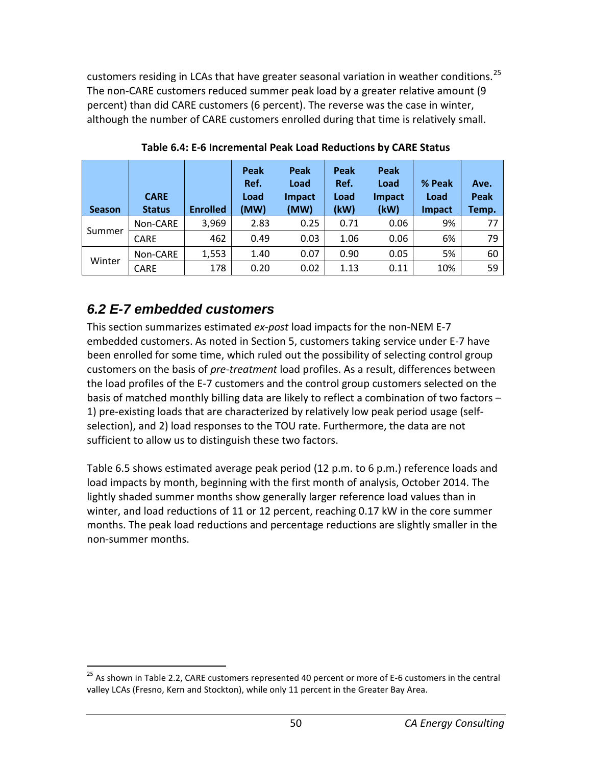customers residing in LCAs that have greater seasonal variation in weather conditions.<sup>[25](#page-50-0)</sup> The non-CARE customers reduced summer peak load by a greater relative amount (9 percent) than did CARE customers (6 percent). The reverse was the case in winter, although the number of CARE customers enrolled during that time is relatively small.

| <b>Season</b> | <b>CARE</b><br><b>Status</b> | <b>Enrolled</b> | Peak<br>Ref.<br>Load<br>(MW) | Peak<br>Load<br><b>Impact</b><br>(MW) | Peak<br>Ref.<br>Load<br>(kW) | Peak<br>Load<br><b>Impact</b><br>(kW) | % Peak<br>Load<br><b>Impact</b> | Ave.<br>Peak<br>Temp. |
|---------------|------------------------------|-----------------|------------------------------|---------------------------------------|------------------------------|---------------------------------------|---------------------------------|-----------------------|
|               | Non-CARE                     | 3,969           | 2.83                         | 0.25                                  | 0.71                         | 0.06                                  | 9%                              | 77                    |
| Summer        | <b>CARE</b>                  | 462             | 0.49                         | 0.03                                  | 1.06                         | 0.06                                  | 6%                              | 79                    |
| Winter        | Non-CARE                     | 1,553           | 1.40                         | 0.07                                  | 0.90                         | 0.05                                  | 5%                              | 60                    |
|               | <b>CARE</b>                  | 178             | 0.20                         | 0.02                                  | 1.13                         | 0.11                                  | 10%                             | 59                    |

**Table 6.4: E-6 Incremental Peak Load Reductions by CARE Status**

## *6.2 E-7 embedded customers*

This section summarizes estimated *ex-post* load impacts for the non-NEM E-7 embedded customers. As noted in Section 5, customers taking service under E-7 have been enrolled for some time, which ruled out the possibility of selecting control group customers on the basis of *pre-treatment* load profiles. As a result, differences between the load profiles of the E-7 customers and the control group customers selected on the basis of matched monthly billing data are likely to reflect a combination of two factors – 1) pre-existing loads that are characterized by relatively low peak period usage (selfselection), and 2) load responses to the TOU rate. Furthermore, the data are not sufficient to allow us to distinguish these two factors.

Table 6.5 shows estimated average peak period (12 p.m. to 6 p.m.) reference loads and load impacts by month, beginning with the first month of analysis, October 2014. The lightly shaded summer months show generally larger reference load values than in winter, and load reductions of 11 or 12 percent, reaching 0.17 kW in the core summer months. The peak load reductions and percentage reductions are slightly smaller in the non-summer months.

<span id="page-50-0"></span><sup>&</sup>lt;sup>25</sup> As shown in Table 2.2, CARE customers represented 40 percent or more of E-6 customers in the central valley LCAs (Fresno, Kern and Stockton), while only 11 percent in the Greater Bay Area.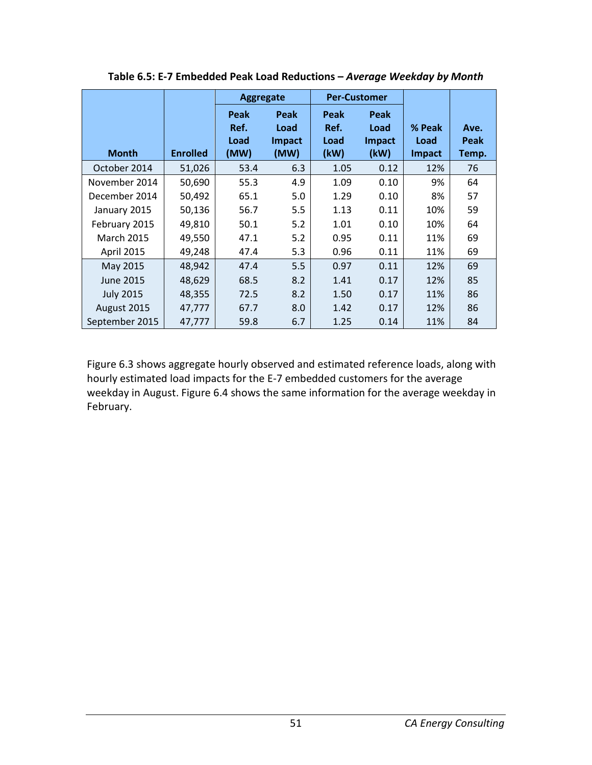|                   |                 | Aggregate                    |                                       | <b>Per-Customer</b>          |                                       |                                 |                              |
|-------------------|-----------------|------------------------------|---------------------------------------|------------------------------|---------------------------------------|---------------------------------|------------------------------|
| <b>Month</b>      | <b>Enrolled</b> | Peak<br>Ref.<br>Load<br>(MW) | Peak<br>Load<br><b>Impact</b><br>(MW) | Peak<br>Ref.<br>Load<br>(kW) | Peak<br>Load<br><b>Impact</b><br>(kW) | % Peak<br>Load<br><b>Impact</b> | Ave.<br><b>Peak</b><br>Temp. |
| October 2014      | 51,026          | 53.4                         | 6.3                                   | 1.05                         | 0.12                                  | 12%                             | 76                           |
| November 2014     | 50,690          | 55.3                         | 4.9                                   | 1.09                         | 0.10                                  | 9%                              | 64                           |
| December 2014     | 50,492          | 65.1                         | 5.0                                   | 1.29                         | 0.10                                  | 8%                              | 57                           |
| January 2015      | 50,136          | 56.7                         | 5.5                                   | 1.13                         | 0.11                                  | 10%                             | 59                           |
| February 2015     | 49,810          | 50.1                         | 5.2                                   | 1.01                         | 0.10                                  | 10%                             | 64                           |
| <b>March 2015</b> | 49,550          | 47.1                         | 5.2                                   | 0.95                         | 0.11                                  | 11%                             | 69                           |
| April 2015        | 49,248          | 47.4                         | 5.3                                   | 0.96                         | 0.11                                  | 11%                             | 69                           |
| May 2015          | 48,942          | 47.4                         | 5.5                                   | 0.97                         | 0.11                                  | 12%                             | 69                           |
| <b>June 2015</b>  | 48,629          | 68.5                         | 8.2                                   | 1.41                         | 0.17                                  | 12%                             | 85                           |
| <b>July 2015</b>  | 48,355          | 72.5                         | 8.2                                   | 1.50                         | 0.17                                  | 11%                             | 86                           |
| August 2015       | 47,777          | 67.7                         | 8.0                                   | 1.42                         | 0.17                                  | 12%                             | 86                           |
| September 2015    | 47,777          | 59.8                         | 6.7                                   | 1.25                         | 0.14                                  | 11%                             | 84                           |

**Table 6.5: E-7 Embedded Peak Load Reductions –** *Average Weekday by Month*

Figure 6.3 shows aggregate hourly observed and estimated reference loads, along with hourly estimated load impacts for the E-7 embedded customers for the average weekday in August. Figure 6.4 shows the same information for the average weekday in February.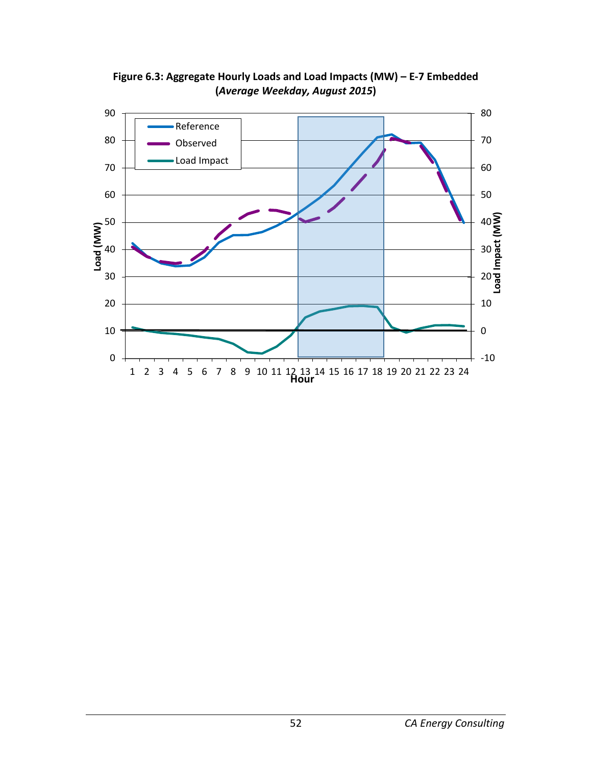

**Figure 6.3: Aggregate Hourly Loads and Load Impacts (MW) – E-7 Embedded (***Average Weekday, August 2015***)**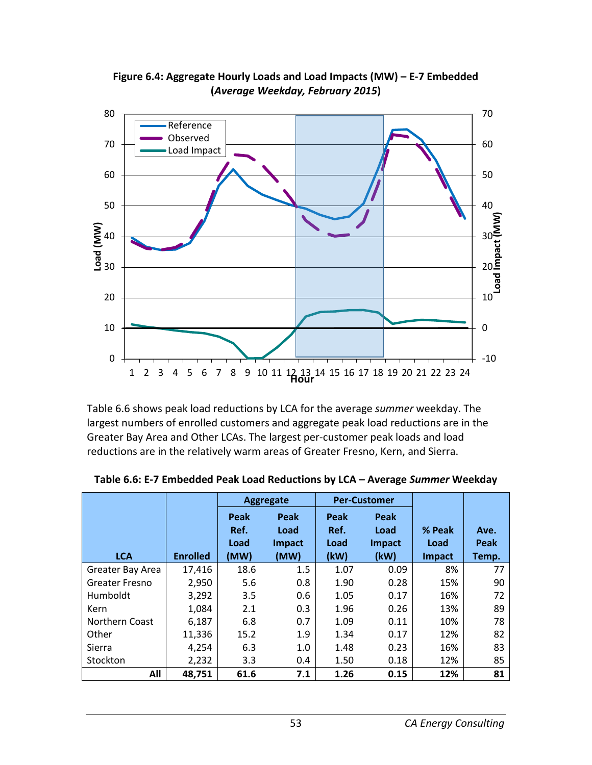

**Figure 6.4: Aggregate Hourly Loads and Load Impacts (MW) – E-7 Embedded (***Average Weekday, February 2015***)**

Table 6.6 shows peak load reductions by LCA for the average *summer* weekday. The largest numbers of enrolled customers and aggregate peak load reductions are in the Greater Bay Area and Other LCAs. The largest per-customer peak loads and load reductions are in the relatively warm areas of Greater Fresno, Kern, and Sierra.

|                       |                 | <b>Aggregate</b>             |                                | <b>Per-Customer</b>          |                                       |                                 |                       |
|-----------------------|-----------------|------------------------------|--------------------------------|------------------------------|---------------------------------------|---------------------------------|-----------------------|
| <b>LCA</b>            | <b>Enrolled</b> | Peak<br>Ref.<br>Load<br>(MW) | Peak<br>Load<br>Impact<br>(MW) | Peak<br>Ref.<br>Load<br>(kW) | Peak<br>Load<br><b>Impact</b><br>(kW) | % Peak<br>Load<br><b>Impact</b> | Ave.<br>Peak<br>Temp. |
| Greater Bay Area      | 17,416          | 18.6                         | 1.5                            | 1.07                         | 0.09                                  | 8%                              | 77                    |
| <b>Greater Fresno</b> | 2,950           | 5.6                          | 0.8                            | 1.90                         | 0.28                                  | 15%                             | 90                    |
| Humboldt              | 3,292           | 3.5                          | 0.6                            | 1.05                         | 0.17                                  | 16%                             | 72                    |
| Kern                  | 1,084           | 2.1                          | 0.3                            | 1.96                         | 0.26                                  | 13%                             | 89                    |
| Northern Coast        | 6,187           | 6.8                          | 0.7                            | 1.09                         | 0.11                                  | 10%                             | 78                    |
| Other                 | 11,336          | 15.2                         | 1.9                            | 1.34                         | 0.17                                  | 12%                             | 82                    |
| Sierra                | 4,254           | 6.3                          | 1.0                            | 1.48                         | 0.23                                  | 16%                             | 83                    |
| Stockton              | 2,232           | 3.3                          | 0.4                            | 1.50                         | 0.18                                  | 12%                             | 85                    |
| All                   | 48,751          | 61.6                         | 7.1                            | 1.26                         | 0.15                                  | 12%                             | 81                    |

**Table 6.6: E-7 Embedded Peak Load Reductions by LCA – Average** *Summer* **Weekday**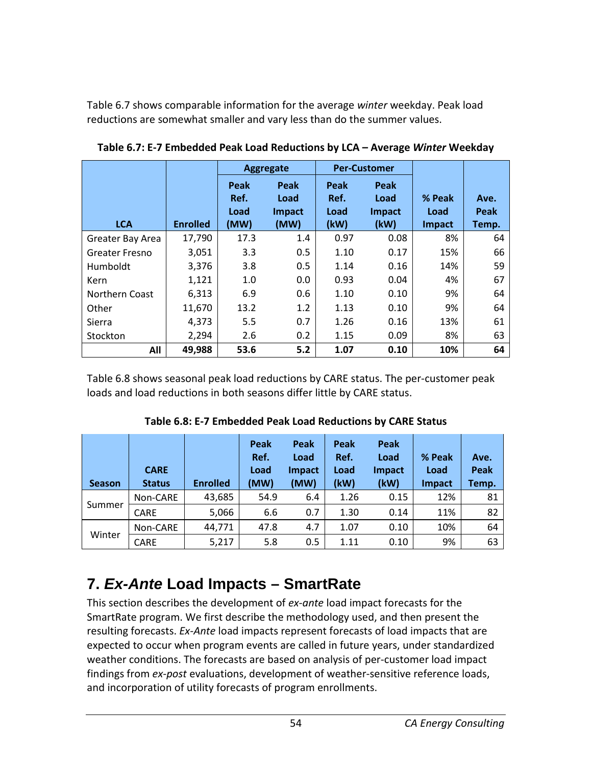Table 6.7 shows comparable information for the average *winter* weekday. Peak load reductions are somewhat smaller and vary less than do the summer values.

|                       |                 | Aggregate            |                               | <b>Per-Customer</b>  |                        |                |              |
|-----------------------|-----------------|----------------------|-------------------------------|----------------------|------------------------|----------------|--------------|
|                       |                 | Peak<br>Ref.<br>Load | Peak<br>Load<br><b>Impact</b> | Peak<br>Ref.<br>Load | Peak<br>Load<br>Impact | % Peak<br>Load | Ave.<br>Peak |
| <b>LCA</b>            | <b>Enrolled</b> | (MW)                 | (MW)                          | (kW)                 | (kW)                   | Impact         | Temp.        |
| Greater Bay Area      | 17,790          | 17.3                 | 1.4                           | 0.97                 | 0.08                   | 8%             | 64           |
| <b>Greater Fresno</b> | 3,051           | 3.3                  | 0.5                           | 1.10                 | 0.17                   | 15%            | 66           |
| Humboldt              | 3,376           | 3.8                  | 0.5                           | 1.14                 | 0.16                   | 14%            | 59           |
| Kern                  | 1,121           | 1.0                  | 0.0                           | 0.93                 | 0.04                   | 4%             | 67           |
| Northern Coast        | 6,313           | 6.9                  | 0.6                           | 1.10                 | 0.10                   | 9%             | 64           |
| Other                 | 11,670          | 13.2                 | 1.2                           | 1.13                 | 0.10                   | 9%             | 64           |
| Sierra                | 4,373           | 5.5                  | 0.7                           | 1.26                 | 0.16                   | 13%            | 61           |
| Stockton              | 2,294           | 2.6                  | 0.2                           | 1.15                 | 0.09                   | 8%             | 63           |
| All                   | 49,988          | 53.6                 | 5.2                           | 1.07                 | 0.10                   | 10%            | 64           |

**Table 6.7: E-7 Embedded Peak Load Reductions by LCA – Average** *Winter* **Weekday**

Table 6.8 shows seasonal peak load reductions by CARE status. The per-customer peak loads and load reductions in both seasons differ little by CARE status.

| <b>Season</b> | <b>CARE</b><br><b>Status</b> | <b>Enrolled</b> | Peak<br>Ref.<br>Load<br>(MW) | Peak<br>Load<br><b>Impact</b><br>(MW) | Peak<br>Ref.<br>Load<br>(kW) | Peak<br>Load<br><b>Impact</b><br>(kW) | % Peak<br>Load<br><b>Impact</b> | Ave.<br>Peak<br>Temp. |
|---------------|------------------------------|-----------------|------------------------------|---------------------------------------|------------------------------|---------------------------------------|---------------------------------|-----------------------|
|               | Non-CARE                     | 43,685          | 54.9                         | 6.4                                   | 1.26                         | 0.15                                  | 12%                             | 81                    |
| Summer        | <b>CARE</b>                  | 5,066           | 6.6                          | 0.7                                   | 1.30                         | 0.14                                  | 11%                             | 82                    |
| Winter        | Non-CARE                     | 44,771          | 47.8                         | 4.7                                   | 1.07                         | 0.10                                  | 10%                             | 64                    |
|               | <b>CARE</b>                  | 5,217           | 5.8                          | 0.5                                   | 1.11                         | 0.10                                  | 9%                              | 63                    |

**Table 6.8: E-7 Embedded Peak Load Reductions by CARE Status**

# **7.** *Ex-Ante* **Load Impacts – SmartRate**

This section describes the development of *ex-ante* load impact forecasts for the SmartRate program. We first describe the methodology used, and then present the resulting forecasts. *Ex-Ante* load impacts represent forecasts of load impacts that are expected to occur when program events are called in future years, under standardized weather conditions. The forecasts are based on analysis of per-customer load impact findings from *ex-post* evaluations, development of weather-sensitive reference loads, and incorporation of utility forecasts of program enrollments.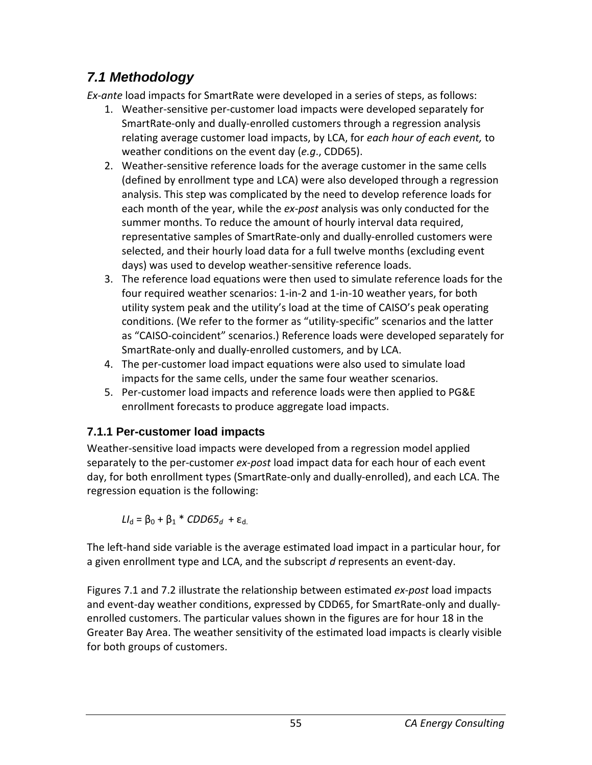# *7.1 Methodology*

*Ex-ante* load impacts for SmartRate were developed in a series of steps, as follows:

- 1. Weather-sensitive per-customer load impacts were developed separately for SmartRate-only and dually-enrolled customers through a regression analysis relating average customer load impacts, by LCA, for *each hour of each event,* to weather conditions on the event day (*e.g*., CDD65).
- 2. Weather-sensitive reference loads for the average customer in the same cells (defined by enrollment type and LCA) were also developed through a regression analysis. This step was complicated by the need to develop reference loads for each month of the year, while the *ex-post* analysis was only conducted for the summer months. To reduce the amount of hourly interval data required, representative samples of SmartRate-only and dually-enrolled customers were selected, and their hourly load data for a full twelve months (excluding event days) was used to develop weather-sensitive reference loads.
- 3. The reference load equations were then used to simulate reference loads for the four required weather scenarios: 1-in-2 and 1-in-10 weather years, for both utility system peak and the utility's load at the time of CAISO's peak operating conditions. (We refer to the former as "utility-specific" scenarios and the latter as "CAISO-coincident" scenarios.) Reference loads were developed separately for SmartRate-only and dually-enrolled customers, and by LCA.
- 4. The per-customer load impact equations were also used to simulate load impacts for the same cells, under the same four weather scenarios.
- 5. Per-customer load impacts and reference loads were then applied to PG&E enrollment forecasts to produce aggregate load impacts.

### **7.1.1 Per-customer load impacts**

Weather-sensitive load impacts were developed from a regression model applied separately to the per-customer *ex-post* load impact data for each hour of each event day, for both enrollment types (SmartRate-only and dually-enrolled), and each LCA. The regression equation is the following:

*LI*<sub>d</sub> = β<sub>0</sub> + β<sub>1</sub> \* *CDD65<sub>d</sub>* + ε<sub>d.</sub>

The left-hand side variable is the average estimated load impact in a particular hour, for a given enrollment type and LCA, and the subscript *d* represents an event-day.

Figures 7.1 and 7.2 illustrate the relationship between estimated *ex-post* load impacts and event-day weather conditions, expressed by CDD65, for SmartRate-only and duallyenrolled customers. The particular values shown in the figures are for hour 18 in the Greater Bay Area. The weather sensitivity of the estimated load impacts is clearly visible for both groups of customers.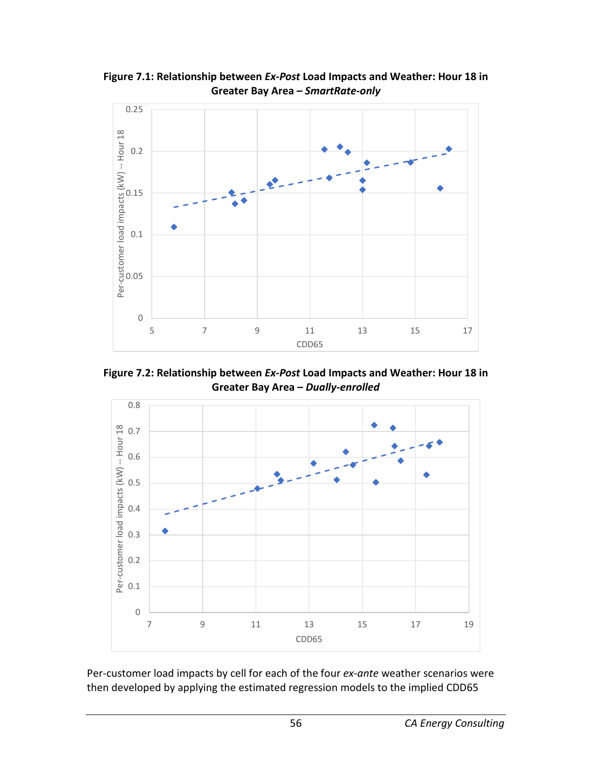

**Figure 7.1: Relationship between** *Ex-Post* **Load Impacts and Weather: Hour 18 in Greater Bay Area –** *SmartRate-only*

**Figure 7.2: Relationship between** *Ex-Post* **Load Impacts and Weather: Hour 18 in Greater Bay Area –** *Dually-enrolled*



Per-customer load impacts by cell for each of the four *ex-ante* weather scenarios were then developed by applying the estimated regression models to the implied CDD65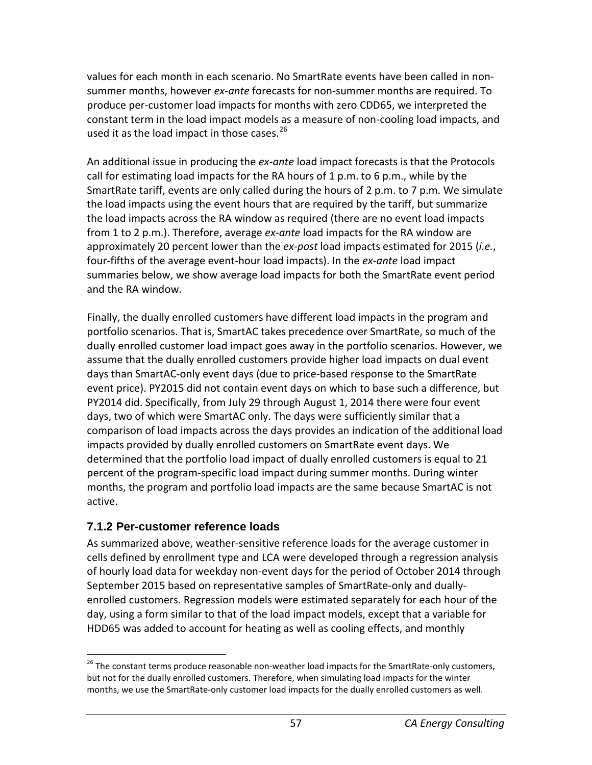values for each month in each scenario. No SmartRate events have been called in nonsummer months, however *ex-ante* forecasts for non-summer months are required. To produce per-customer load impacts for months with zero CDD65, we interpreted the constant term in the load impact models as a measure of non-cooling load impacts, and used it as the load impact in those cases.<sup>[26](#page-57-0)</sup>

An additional issue in producing the *ex-ante* load impact forecasts is that the Protocols call for estimating load impacts for the RA hours of 1 p.m. to 6 p.m., while by the SmartRate tariff, events are only called during the hours of 2 p.m. to 7 p.m. We simulate the load impacts using the event hours that are required by the tariff, but summarize the load impacts across the RA window as required (there are no event load impacts from 1 to 2 p.m.). Therefore, average *ex-ante* load impacts for the RA window are approximately 20 percent lower than the *ex-post* load impacts estimated for 2015 (*i.e.*, four-fifths of the average event-hour load impacts). In the *ex-ante* load impact summaries below, we show average load impacts for both the SmartRate event period and the RA window.

Finally, the dually enrolled customers have different load impacts in the program and portfolio scenarios. That is, SmartAC takes precedence over SmartRate, so much of the dually enrolled customer load impact goes away in the portfolio scenarios. However, we assume that the dually enrolled customers provide higher load impacts on dual event days than SmartAC-only event days (due to price-based response to the SmartRate event price). PY2015 did not contain event days on which to base such a difference, but PY2014 did. Specifically, from July 29 through August 1, 2014 there were four event days, two of which were SmartAC only. The days were sufficiently similar that a comparison of load impacts across the days provides an indication of the additional load impacts provided by dually enrolled customers on SmartRate event days. We determined that the portfolio load impact of dually enrolled customers is equal to 21 percent of the program-specific load impact during summer months. During winter months, the program and portfolio load impacts are the same because SmartAC is not active.

### **7.1.2 Per-customer reference loads**

As summarized above, weather-sensitive reference loads for the average customer in cells defined by enrollment type and LCA were developed through a regression analysis of hourly load data for weekday non-event days for the period of October 2014 through September 2015 based on representative samples of SmartRate-only and duallyenrolled customers. Regression models were estimated separately for each hour of the day, using a form similar to that of the load impact models, except that a variable for HDD65 was added to account for heating as well as cooling effects, and monthly

<span id="page-57-0"></span> $26$  The constant terms produce reasonable non-weather load impacts for the SmartRate-only customers, but not for the dually enrolled customers. Therefore, when simulating load impacts for the winter months, we use the SmartRate-only customer load impacts for the dually enrolled customers as well.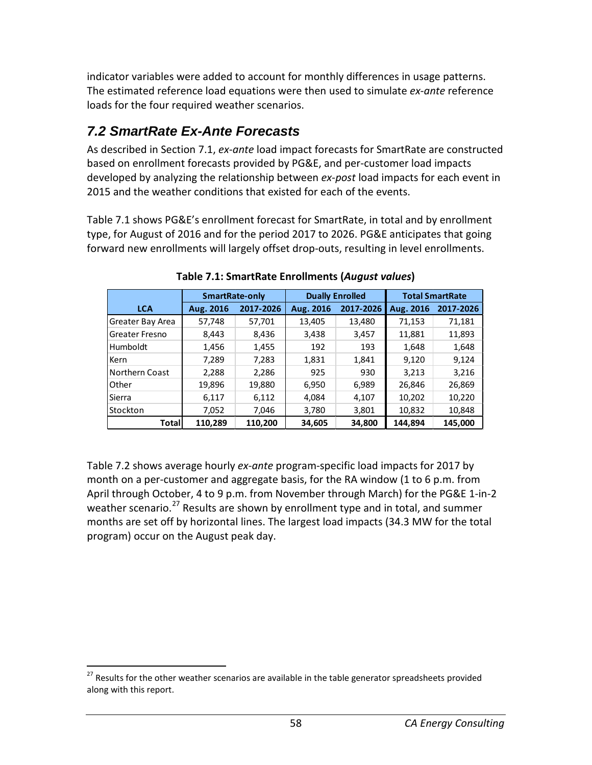indicator variables were added to account for monthly differences in usage patterns. The estimated reference load equations were then used to simulate *ex-ante* reference loads for the four required weather scenarios.

## *7.2 SmartRate Ex-Ante Forecasts*

As described in Section 7.1, *ex-ante* load impact forecasts for SmartRate are constructed based on enrollment forecasts provided by PG&E, and per-customer load impacts developed by analyzing the relationship between *ex-post* load impacts for each event in 2015 and the weather conditions that existed for each of the events.

Table 7.1 shows PG&E's enrollment forecast for SmartRate, in total and by enrollment type, for August of 2016 and for the period 2017 to 2026. PG&E anticipates that going forward new enrollments will largely offset drop-outs, resulting in level enrollments.

|                       | <b>SmartRate-only</b> |           |           | <b>Dually Enrolled</b> | <b>Total SmartRate</b> |           |
|-----------------------|-----------------------|-----------|-----------|------------------------|------------------------|-----------|
| <b>LCA</b>            | Aug. 2016             | 2017-2026 | Aug. 2016 | 2017-2026              | Aug. 2016              | 2017-2026 |
| Greater Bay Area      | 57,748                | 57,701    | 13,405    | 13,480                 | 71,153                 | 71,181    |
| <b>Greater Fresno</b> | 8,443                 | 8,436     | 3,438     | 3,457                  | 11,881                 | 11,893    |
| Humboldt              | 1,456                 | 1,455     | 192       | 193                    | 1,648                  | 1,648     |
| Kern                  | 7,289                 | 7,283     | 1,831     | 1,841                  | 9,120                  | 9,124     |
| Northern Coast        | 2,288                 | 2,286     | 925       | 930                    | 3,213                  | 3,216     |
| Other                 | 19,896                | 19,880    | 6,950     | 6,989                  | 26,846                 | 26,869    |
| Sierra                | 6,117                 | 6,112     | 4,084     | 4,107                  | 10,202                 | 10,220    |
| Stockton              | 7,052                 | 7.046     | 3,780     | 3,801                  | 10,832                 | 10,848    |
| Totall                | 110,289               | 110.200   | 34,605    | 34,800                 | 144.894                | 145,000   |

**Table 7.1: SmartRate Enrollments (***August values***)**

Table 7.2 shows average hourly *ex-ante* program-specific load impacts for 2017 by month on a per-customer and aggregate basis, for the RA window (1 to 6 p.m. from April through October, 4 to 9 p.m. from November through March) for the PG&E 1-in-2 weather scenario.<sup>[27](#page-58-0)</sup> Results are shown by enrollment type and in total, and summer months are set off by horizontal lines. The largest load impacts (34.3 MW for the total program) occur on the August peak day.

<span id="page-58-0"></span><sup>&</sup>lt;sup>27</sup> Results for the other weather scenarios are available in the table generator spreadsheets provided along with this report.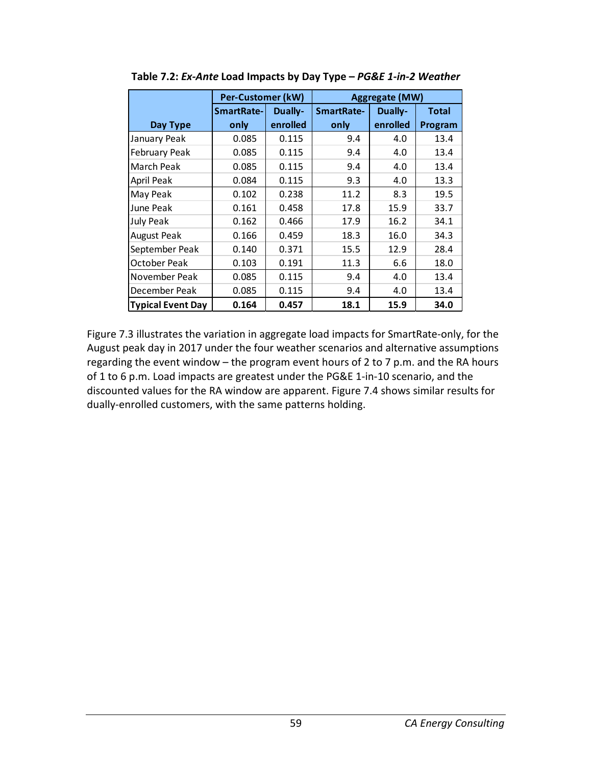|                          | <b>Per-Customer (kW)</b> |          |                   | <b>Aggregate (MW)</b> |              |
|--------------------------|--------------------------|----------|-------------------|-----------------------|--------------|
|                          | <b>SmartRate-</b>        | Dually-  | <b>SmartRate-</b> | <b>Dually-</b>        | <b>Total</b> |
| Day Type                 | only                     | enrolled | only              | enrolled              | Program      |
| January Peak             | 0.085                    | 0.115    | 9.4               | 4.0                   | 13.4         |
| February Peak            | 0.085                    | 0.115    | 9.4               | 4.0                   | 13.4         |
| March Peak               | 0.085                    | 0.115    | 9.4               | 4.0                   | 13.4         |
| <b>April Peak</b>        | 0.084                    | 0.115    | 9.3               | 4.0                   | 13.3         |
| May Peak                 | 0.102                    | 0.238    | 11.2              | 8.3                   | 19.5         |
| June Peak                | 0.161                    | 0.458    | 17.8              | 15.9                  | 33.7         |
| <b>July Peak</b>         | 0.162                    | 0.466    | 17.9              | 16.2                  | 34.1         |
| <b>August Peak</b>       | 0.166                    | 0.459    | 18.3              | 16.0                  | 34.3         |
| September Peak           | 0.140                    | 0.371    | 15.5              | 12.9                  | 28.4         |
| October Peak             | 0.103                    | 0.191    | 11.3              | 6.6                   | 18.0         |
| November Peak            | 0.085                    | 0.115    | 9.4               | 4.0                   | 13.4         |
| December Peak            | 0.085                    | 0.115    | 9.4               | 4.0                   | 13.4         |
| <b>Typical Event Day</b> | 0.164                    | 0.457    | 18.1              | 15.9                  | 34.0         |

**Table 7.2:** *Ex-Ante* **Load Impacts by Day Type –** *PG&E 1-in-2 Weather*

Figure 7.3 illustrates the variation in aggregate load impacts for SmartRate-only, for the August peak day in 2017 under the four weather scenarios and alternative assumptions regarding the event window – the program event hours of 2 to 7 p.m. and the RA hours of 1 to 6 p.m. Load impacts are greatest under the PG&E 1-in-10 scenario, and the discounted values for the RA window are apparent. Figure 7.4 shows similar results for dually-enrolled customers, with the same patterns holding.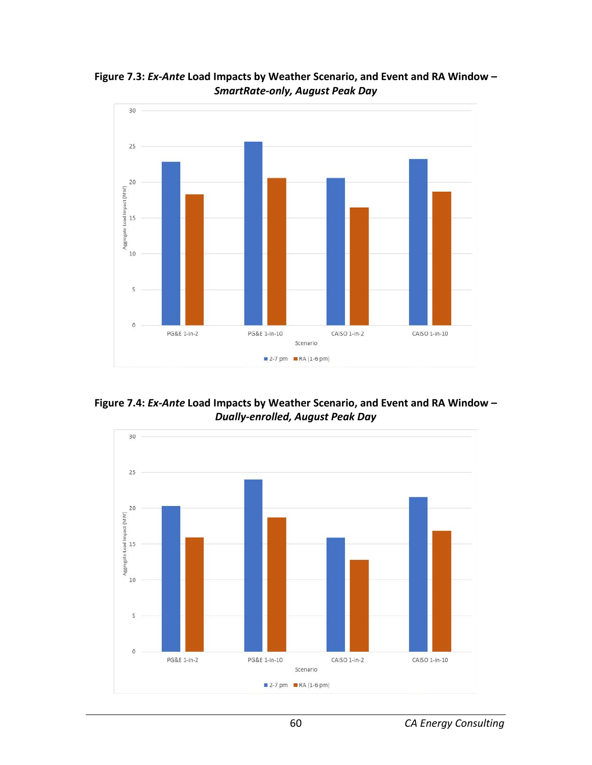

**Figure 7.3:** *Ex-Ante* **Load Impacts by Weather Scenario, and Event and RA Window –** *SmartRate-only, August Peak Day*

**Figure 7.4:** *Ex-Ante* **Load Impacts by Weather Scenario, and Event and RA Window –** *Dually-enrolled, August Peak Day*

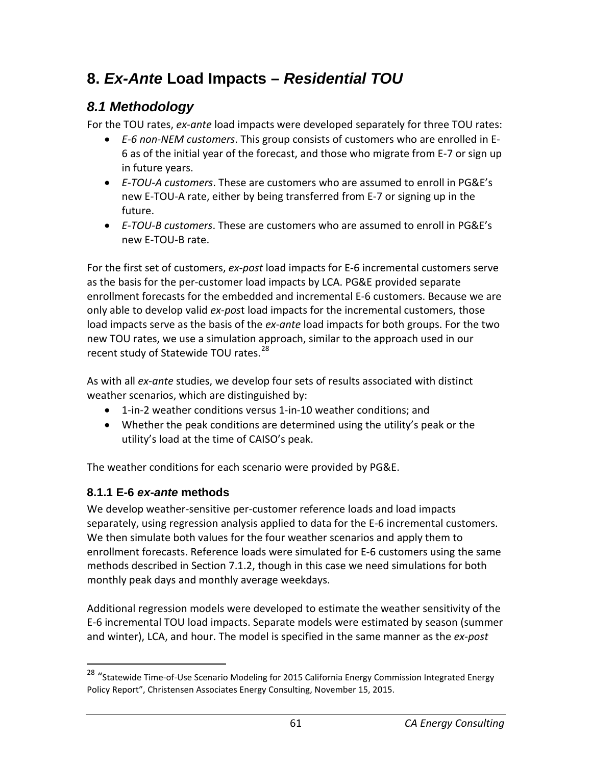# **8.** *Ex-Ante* **Load Impacts –** *Residential TOU*

## *8.1 Methodology*

For the TOU rates, *ex-ante* load impacts were developed separately for three TOU rates:

- *E-6 non-NEM customers*. This group consists of customers who are enrolled in E-6 as of the initial year of the forecast, and those who migrate from E-7 or sign up in future years.
- *E-TOU-A customers*. These are customers who are assumed to enroll in PG&E's new E-TOU-A rate, either by being transferred from E-7 or signing up in the future.
- *E-TOU-B customers*. These are customers who are assumed to enroll in PG&E's new E-TOU-B rate.

For the first set of customers, *ex-post* load impacts for E-6 incremental customers serve as the basis for the per-customer load impacts by LCA. PG&E provided separate enrollment forecasts for the embedded and incremental E-6 customers. Because we are only able to develop valid *ex-pos*t load impacts for the incremental customers, those load impacts serve as the basis of the *ex-ante* load impacts for both groups. For the two new TOU rates, we use a simulation approach, similar to the approach used in our recent study of Statewide TOU rates.<sup>[28](#page-61-0)</sup>

As with all *ex-ante* studies, we develop four sets of results associated with distinct weather scenarios, which are distinguished by:

- 1-in-2 weather conditions versus 1-in-10 weather conditions; and
- Whether the peak conditions are determined using the utility's peak or the utility's load at the time of CAISO's peak.

The weather conditions for each scenario were provided by PG&E.

### **8.1.1 E-6** *ex-ante* **methods**

We develop weather-sensitive per-customer reference loads and load impacts separately, using regression analysis applied to data for the E-6 incremental customers. We then simulate both values for the four weather scenarios and apply them to enrollment forecasts. Reference loads were simulated for E-6 customers using the same methods described in Section 7.1.2, though in this case we need simulations for both monthly peak days and monthly average weekdays.

Additional regression models were developed to estimate the weather sensitivity of the E-6 incremental TOU load impacts. Separate models were estimated by season (summer and winter), LCA, and hour. The model is specified in the same manner as the *ex-post*

<span id="page-61-0"></span><sup>&</sup>lt;sup>28</sup> "Statewide Time-of-Use Scenario Modeling for 2015 California Energy Commission Integrated Energy Policy Report", Christensen Associates Energy Consulting, November 15, 2015.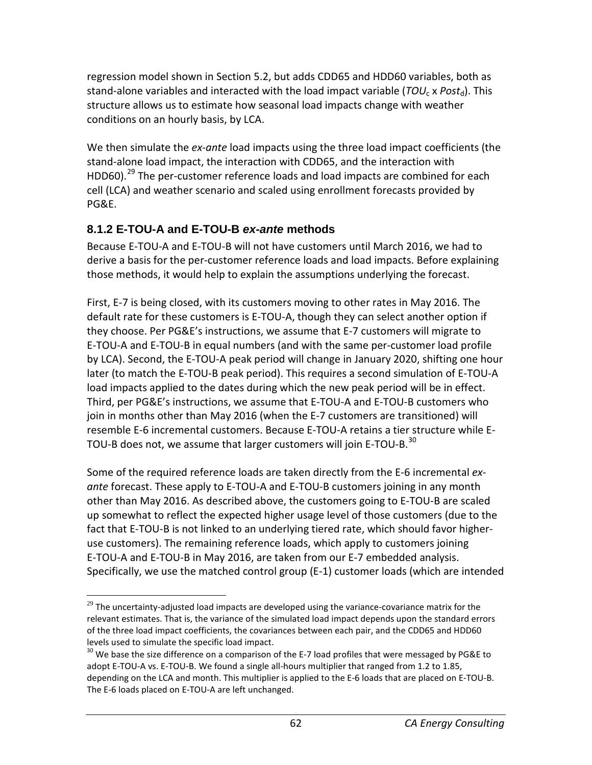regression model shown in Section 5.2, but adds CDD65 and HDD60 variables, both as stand-alone variables and interacted with the load impact variable (*TOU<sub>c</sub> x Post*<sub>d</sub>). This structure allows us to estimate how seasonal load impacts change with weather conditions on an hourly basis, by LCA.

We then simulate the *ex-ante* load impacts using the three load impact coefficients (the stand-alone load impact, the interaction with CDD65, and the interaction with HDD60).<sup>[29](#page-62-0)</sup> The per-customer reference loads and load impacts are combined for each cell (LCA) and weather scenario and scaled using enrollment forecasts provided by PG&E.

### **8.1.2 E-TOU-A and E-TOU-B** *ex-ante* **methods**

Because E-TOU-A and E-TOU-B will not have customers until March 2016, we had to derive a basis for the per-customer reference loads and load impacts. Before explaining those methods, it would help to explain the assumptions underlying the forecast.

First, E-7 is being closed, with its customers moving to other rates in May 2016. The default rate for these customers is E-TOU-A, though they can select another option if they choose. Per PG&E's instructions, we assume that E-7 customers will migrate to E-TOU-A and E-TOU-B in equal numbers (and with the same per-customer load profile by LCA). Second, the E-TOU-A peak period will change in January 2020, shifting one hour later (to match the E-TOU-B peak period). This requires a second simulation of E-TOU-A load impacts applied to the dates during which the new peak period will be in effect. Third, per PG&E's instructions, we assume that E-TOU-A and E-TOU-B customers who join in months other than May 2016 (when the E-7 customers are transitioned) will resemble E-6 incremental customers. Because E-TOU-A retains a tier structure while E-TOU-B does not, we assume that larger customers will join E-TOU-B.<sup>[30](#page-62-1)</sup>

Some of the required reference loads are taken directly from the E-6 incremental *exante* forecast. These apply to E-TOU-A and E-TOU-B customers joining in any month other than May 2016. As described above, the customers going to E-TOU-B are scaled up somewhat to reflect the expected higher usage level of those customers (due to the fact that E-TOU-B is not linked to an underlying tiered rate, which should favor higheruse customers). The remaining reference loads, which apply to customers joining E-TOU-A and E-TOU-B in May 2016, are taken from our E-7 embedded analysis. Specifically, we use the matched control group (E-1) customer loads (which are intended

<span id="page-62-0"></span> $\overline{a}$  $29$  The uncertainty-adjusted load impacts are developed using the variance-covariance matrix for the relevant estimates. That is, the variance of the simulated load impact depends upon the standard errors of the three load impact coefficients, the covariances between each pair, and the CDD65 and HDD60 levels used to simulate the specific load impact.

<span id="page-62-1"></span> $30$  We base the size difference on a comparison of the E-7 load profiles that were messaged by PG&E to adopt E-TOU-A vs. E-TOU-B. We found a single all-hours multiplier that ranged from 1.2 to 1.85, depending on the LCA and month. This multiplier is applied to the E-6 loads that are placed on E-TOU-B. The E-6 loads placed on E-TOU-A are left unchanged.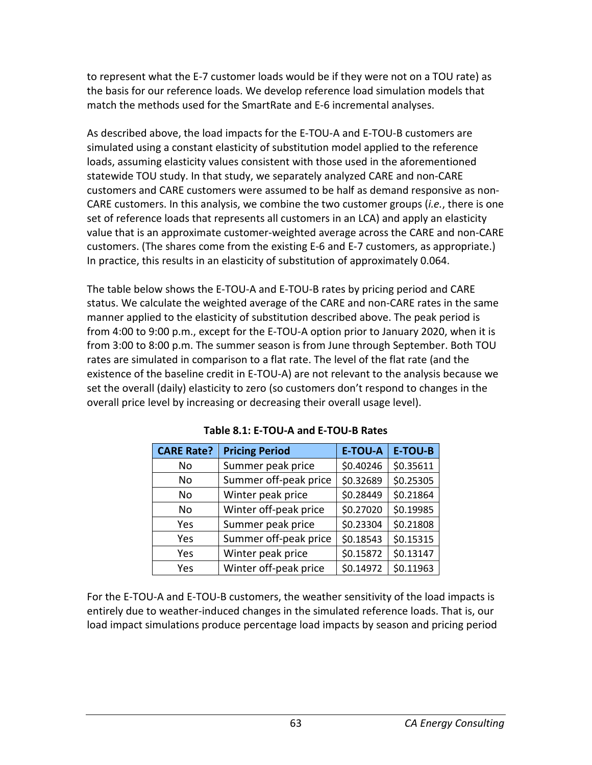to represent what the E-7 customer loads would be if they were not on a TOU rate) as the basis for our reference loads. We develop reference load simulation models that match the methods used for the SmartRate and E-6 incremental analyses.

As described above, the load impacts for the E-TOU-A and E-TOU-B customers are simulated using a constant elasticity of substitution model applied to the reference loads, assuming elasticity values consistent with those used in the aforementioned statewide TOU study. In that study, we separately analyzed CARE and non-CARE customers and CARE customers were assumed to be half as demand responsive as non-CARE customers. In this analysis, we combine the two customer groups (*i.e.*, there is one set of reference loads that represents all customers in an LCA) and apply an elasticity value that is an approximate customer-weighted average across the CARE and non-CARE customers. (The shares come from the existing E-6 and E-7 customers, as appropriate.) In practice, this results in an elasticity of substitution of approximately 0.064.

The table below shows the E-TOU-A and E-TOU-B rates by pricing period and CARE status. We calculate the weighted average of the CARE and non-CARE rates in the same manner applied to the elasticity of substitution described above. The peak period is from 4:00 to 9:00 p.m., except for the E-TOU-A option prior to January 2020, when it is from 3:00 to 8:00 p.m. The summer season is from June through September. Both TOU rates are simulated in comparison to a flat rate. The level of the flat rate (and the existence of the baseline credit in E-TOU-A) are not relevant to the analysis because we set the overall (daily) elasticity to zero (so customers don't respond to changes in the overall price level by increasing or decreasing their overall usage level).

| <b>CARE Rate?</b> | <b>Pricing Period</b> | <b>E-TOU-A</b> | <b>E-TOU-B</b> |
|-------------------|-----------------------|----------------|----------------|
| No                | Summer peak price     | \$0.40246      | \$0.35611      |
| No                | Summer off-peak price | \$0.32689      | \$0.25305      |
| No                | Winter peak price     | \$0.28449      | \$0.21864      |
| No                | Winter off-peak price | \$0.27020      | \$0.19985      |
| Yes               | Summer peak price     | \$0.23304      | \$0.21808      |
| Yes               | Summer off-peak price | \$0.18543      | \$0.15315      |
| Yes               | Winter peak price     | \$0.15872      | \$0.13147      |
| Yes               | Winter off-peak price | \$0.14972      | \$0.11963      |

**Table 8.1: E-TOU-A and E-TOU-B Rates**

For the E-TOU-A and E-TOU-B customers, the weather sensitivity of the load impacts is entirely due to weather-induced changes in the simulated reference loads. That is, our load impact simulations produce percentage load impacts by season and pricing period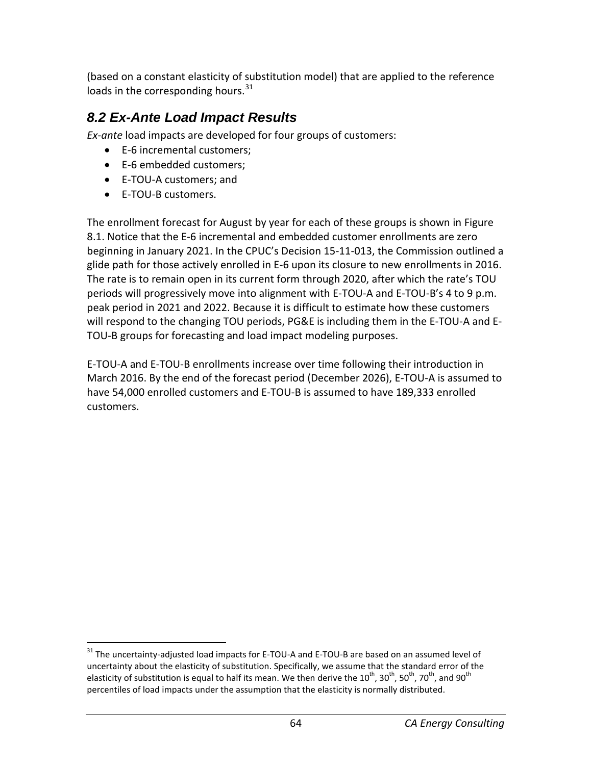(based on a constant elasticity of substitution model) that are applied to the reference loads in the corresponding hours.<sup>[31](#page-64-0)</sup>

## *8.2 Ex-Ante Load Impact Results*

*Ex-ante* load impacts are developed for four groups of customers:

- E-6 incremental customers;
- E-6 embedded customers;
- E-TOU-A customers; and
- E-TOU-B customers.

The enrollment forecast for August by year for each of these groups is shown in Figure 8.1. Notice that the E-6 incremental and embedded customer enrollments are zero beginning in January 2021. In the CPUC's Decision 15-11-013, the Commission outlined a glide path for those actively enrolled in E-6 upon its closure to new enrollments in 2016. The rate is to remain open in its current form through 2020, after which the rate's TOU periods will progressively move into alignment with E-TOU-A and E-TOU-B's 4 to 9 p.m. peak period in 2021 and 2022. Because it is difficult to estimate how these customers will respond to the changing TOU periods, PG&E is including them in the E-TOU-A and E-TOU-B groups for forecasting and load impact modeling purposes.

E-TOU-A and E-TOU-B enrollments increase over time following their introduction in March 2016. By the end of the forecast period (December 2026), E-TOU-A is assumed to have 54,000 enrolled customers and E-TOU-B is assumed to have 189,333 enrolled customers.

<span id="page-64-0"></span><sup>&</sup>lt;sup>31</sup> The uncertainty-adjusted load impacts for E-TOU-A and E-TOU-B are based on an assumed level of uncertainty about the elasticity of substitution. Specifically, we assume that the standard error of the elasticity of substitution is equal to half its mean. We then derive the 10<sup>th</sup>, 30<sup>th</sup>, 50<sup>th</sup>, 70<sup>th</sup>, and 90<sup>th</sup> percentiles of load impacts under the assumption that the elasticity is normally distributed.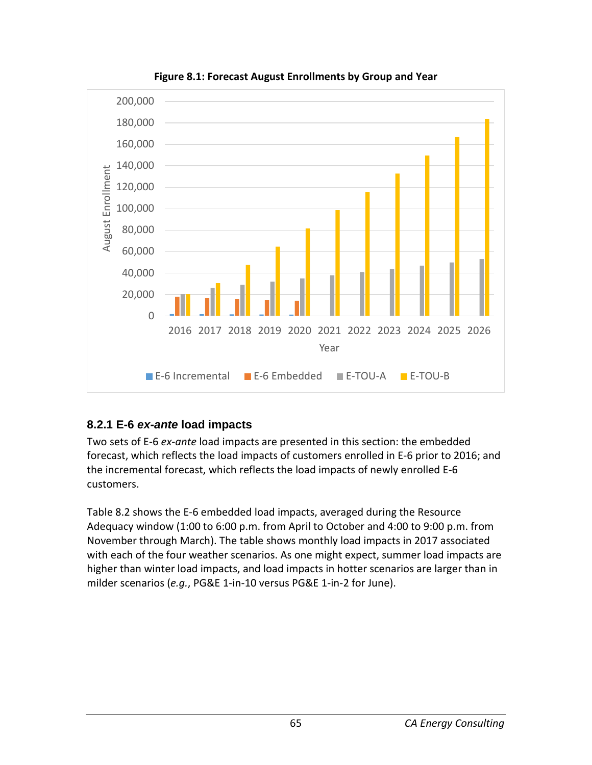

**Figure 8.1: Forecast August Enrollments by Group and Year**

### **8.2.1 E-6** *ex-ante* **load impacts**

Two sets of E-6 *ex-ante* load impacts are presented in this section: the embedded forecast, which reflects the load impacts of customers enrolled in E-6 prior to 2016; and the incremental forecast, which reflects the load impacts of newly enrolled E-6 customers.

Table 8.2 shows the E-6 embedded load impacts, averaged during the Resource Adequacy window (1:00 to 6:00 p.m. from April to October and 4:00 to 9:00 p.m. from November through March). The table shows monthly load impacts in 2017 associated with each of the four weather scenarios. As one might expect, summer load impacts are higher than winter load impacts, and load impacts in hotter scenarios are larger than in milder scenarios (*e.g.*, PG&E 1-in-10 versus PG&E 1-in-2 for June).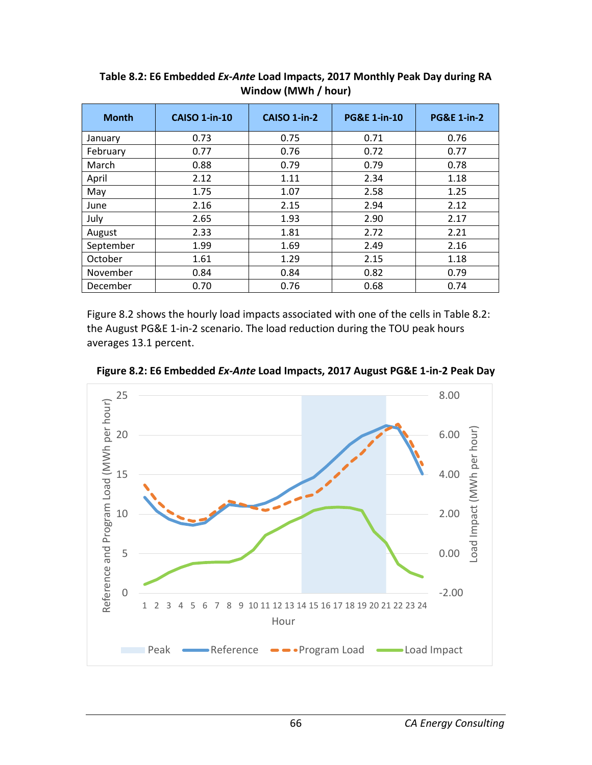| <b>Month</b> | <b>CAISO 1-in-10</b> | CAISO 1-in-2 | <b>PG&amp;E 1-in-10</b> | <b>PG&amp;E 1-in-2</b> |
|--------------|----------------------|--------------|-------------------------|------------------------|
| January      | 0.73                 | 0.75         | 0.71                    | 0.76                   |
| February     | 0.77                 | 0.76         | 0.72                    | 0.77                   |
| March        | 0.88                 | 0.79         | 0.79                    | 0.78                   |
| April        | 2.12                 | 1.11         | 2.34                    | 1.18                   |
| May          | 1.75                 | 1.07         | 2.58                    | 1.25                   |
| June         | 2.16                 | 2.15         | 2.94                    | 2.12                   |
| July         | 2.65                 | 1.93         | 2.90                    | 2.17                   |
| August       | 2.33                 | 1.81         | 2.72                    | 2.21                   |
| September    | 1.99                 | 1.69         | 2.49                    | 2.16                   |
| October      | 1.61                 | 1.29         | 2.15                    | 1.18                   |
| November     | 0.84                 | 0.84         | 0.82                    | 0.79                   |
| December     | 0.70                 | 0.76         | 0.68                    | 0.74                   |

**Table 8.2: E6 Embedded** *Ex-Ante* **Load Impacts, 2017 Monthly Peak Day during RA Window (MWh / hour)**

Figure 8.2 shows the hourly load impacts associated with one of the cells in Table 8.2: the August PG&E 1-in-2 scenario. The load reduction during the TOU peak hours averages 13.1 percent.



**Figure 8.2: E6 Embedded** *Ex-Ante* **Load Impacts, 2017 August PG&E 1-in-2 Peak Day**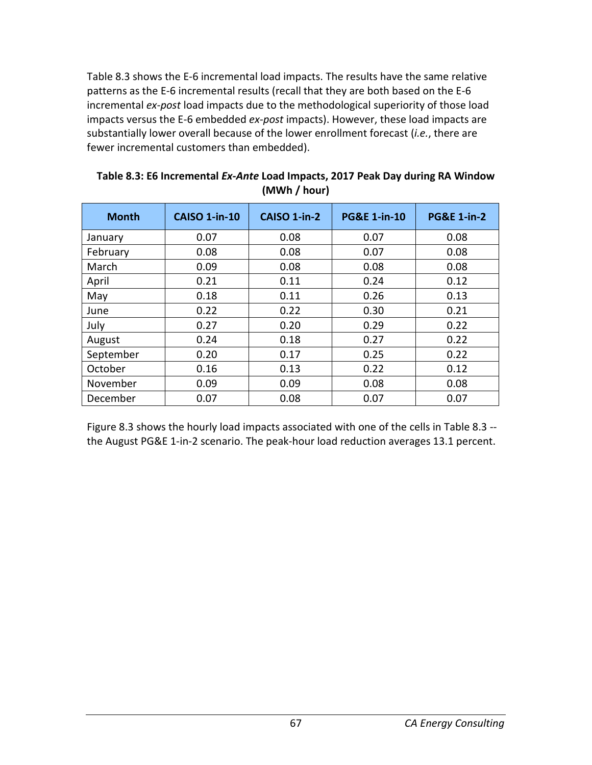Table 8.3 shows the E-6 incremental load impacts. The results have the same relative patterns as the E-6 incremental results (recall that they are both based on the E-6 incremental *ex-post* load impacts due to the methodological superiority of those load impacts versus the E-6 embedded *ex-post* impacts). However, these load impacts are substantially lower overall because of the lower enrollment forecast (*i.e.*, there are fewer incremental customers than embedded).

| <b>Month</b> | <b>CAISO 1-in-10</b> | CAISO 1-in-2 | <b>PG&amp;E 1-in-10</b> | <b>PG&amp;E 1-in-2</b> |
|--------------|----------------------|--------------|-------------------------|------------------------|
| January      | 0.07                 | 0.08         | 0.07                    | 0.08                   |
| February     | 0.08                 | 0.08         | 0.07                    | 0.08                   |
| March        | 0.09                 | 0.08         | 0.08                    | 0.08                   |
| April        | 0.21                 | 0.11         | 0.24                    | 0.12                   |
| May          | 0.18                 | 0.11         | 0.26                    | 0.13                   |
| June         | 0.22                 | 0.22         | 0.30                    | 0.21                   |
| July         | 0.27                 | 0.20         | 0.29                    | 0.22                   |
| August       | 0.24                 | 0.18         | 0.27                    | 0.22                   |
| September    | 0.20                 | 0.17         | 0.25                    | 0.22                   |
| October      | 0.16                 | 0.13         | 0.22                    | 0.12                   |
| November     | 0.09                 | 0.09         | 0.08                    | 0.08                   |
| December     | 0.07                 | 0.08         | 0.07                    | 0.07                   |

**Table 8.3: E6 Incremental** *Ex-Ante* **Load Impacts, 2017 Peak Day during RA Window (MWh / hour)**

Figure 8.3 shows the hourly load impacts associated with one of the cells in Table 8.3 - the August PG&E 1-in-2 scenario. The peak-hour load reduction averages 13.1 percent.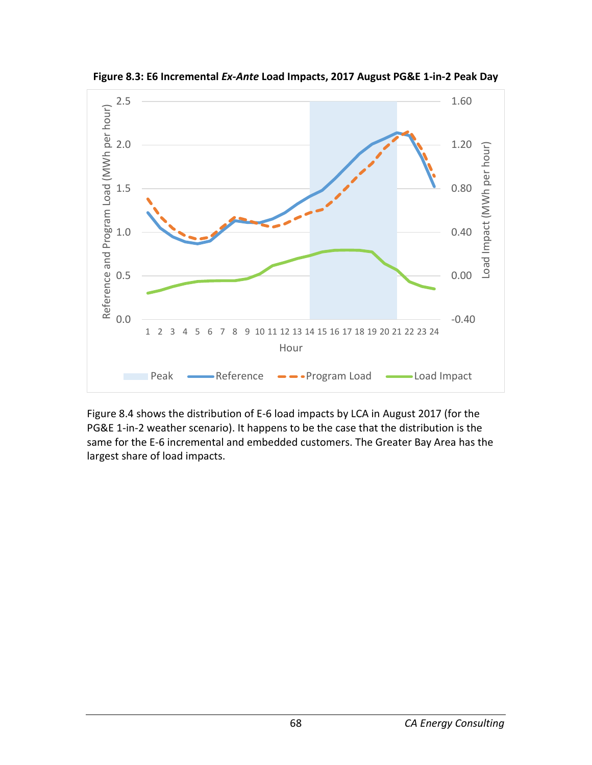

**Figure 8.3: E6 Incremental** *Ex-Ante* **Load Impacts, 2017 August PG&E 1-in-2 Peak Day**

Figure 8.4 shows the distribution of E-6 load impacts by LCA in August 2017 (for the PG&E 1-in-2 weather scenario). It happens to be the case that the distribution is the same for the E-6 incremental and embedded customers. The Greater Bay Area has the largest share of load impacts.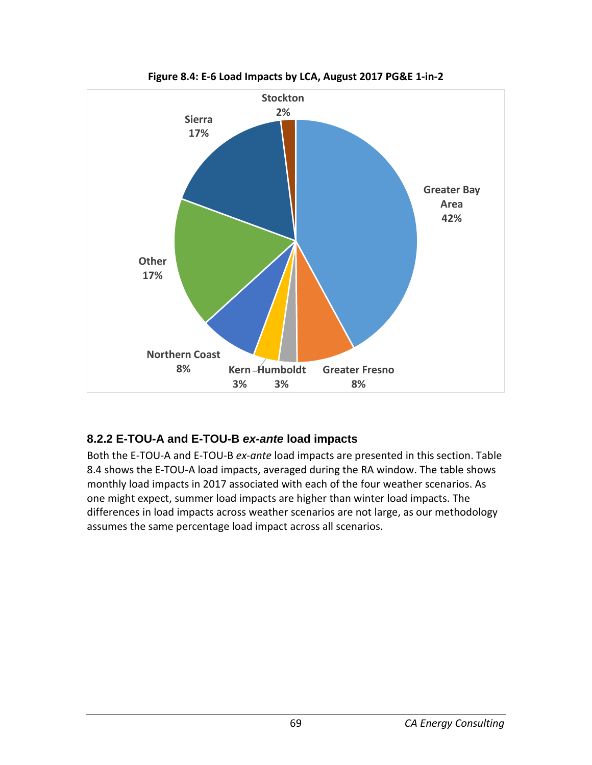

**Figure 8.4: E-6 Load Impacts by LCA, August 2017 PG&E 1-in-2**

### **8.2.2 E-TOU-A and E-TOU-B** *ex-ante* **load impacts**

Both the E-TOU-A and E-TOU-B *ex-ante* load impacts are presented in this section. Table 8.4 shows the E-TOU-A load impacts, averaged during the RA window. The table shows monthly load impacts in 2017 associated with each of the four weather scenarios. As one might expect, summer load impacts are higher than winter load impacts. The differences in load impacts across weather scenarios are not large, as our methodology assumes the same percentage load impact across all scenarios.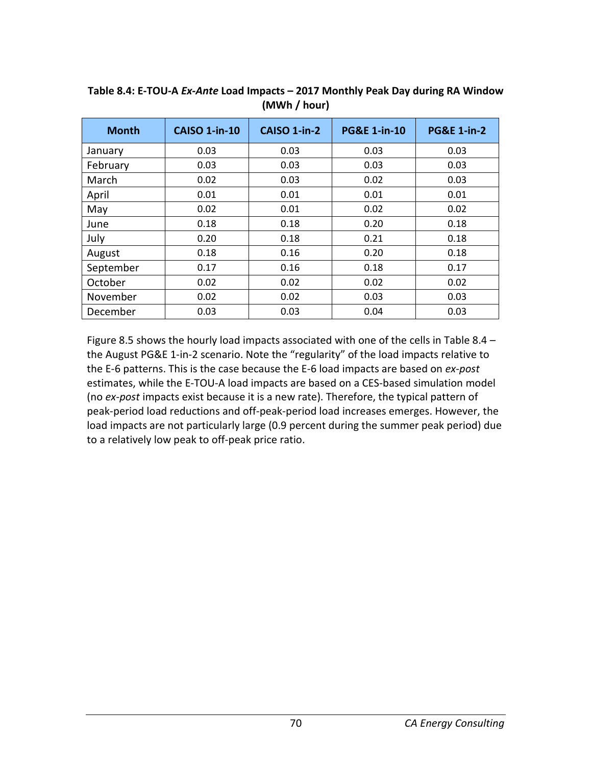| <b>Month</b> | <b>CAISO 1-in-10</b> | CAISO 1-in-2 | <b>PG&amp;E 1-in-10</b> | <b>PG&amp;E 1-in-2</b> |
|--------------|----------------------|--------------|-------------------------|------------------------|
| January      | 0.03                 | 0.03         | 0.03                    | 0.03                   |
| February     | 0.03                 | 0.03         | 0.03                    | 0.03                   |
| March        | 0.02                 | 0.03         | 0.02                    | 0.03                   |
| April        | 0.01                 | 0.01         | 0.01                    | 0.01                   |
| May          | 0.02                 | 0.01         | 0.02                    | 0.02                   |
| June         | 0.18                 | 0.18         | 0.20                    | 0.18                   |
| July         | 0.20                 | 0.18         | 0.21                    | 0.18                   |
| August       | 0.18                 | 0.16         | 0.20                    | 0.18                   |
| September    | 0.17                 | 0.16         | 0.18                    | 0.17                   |
| October      | 0.02                 | 0.02         | 0.02                    | 0.02                   |
| November     | 0.02                 | 0.02         | 0.03                    | 0.03                   |
| December     | 0.03                 | 0.03         | 0.04                    | 0.03                   |

**Table 8.4: E-TOU-A** *Ex-Ante* **Load Impacts – 2017 Monthly Peak Day during RA Window (MWh / hour)**

Figure 8.5 shows the hourly load impacts associated with one of the cells in Table 8.4 – the August PG&E 1-in-2 scenario. Note the "regularity" of the load impacts relative to the E-6 patterns. This is the case because the E-6 load impacts are based on *ex-post* estimates, while the E-TOU-A load impacts are based on a CES-based simulation model (no *ex-post* impacts exist because it is a new rate). Therefore, the typical pattern of peak-period load reductions and off-peak-period load increases emerges. However, the load impacts are not particularly large (0.9 percent during the summer peak period) due to a relatively low peak to off-peak price ratio.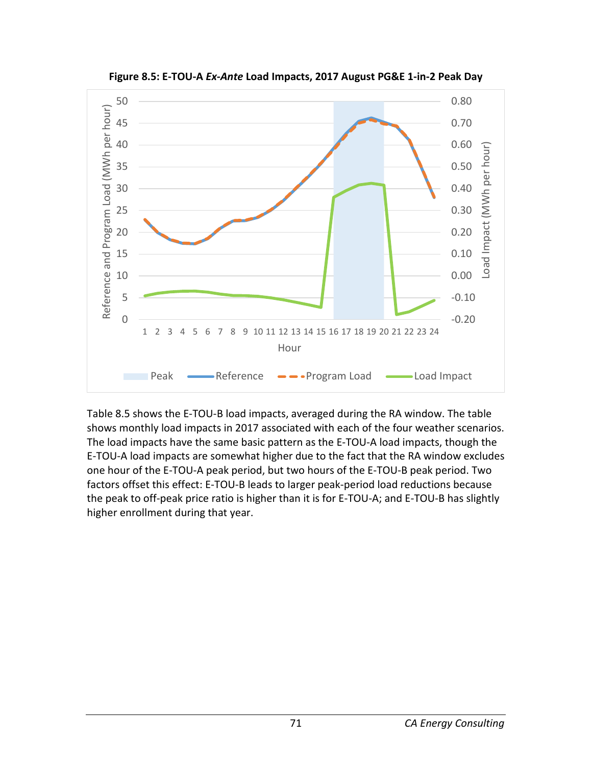

**Figure 8.5: E-TOU-A** *Ex-Ante* **Load Impacts, 2017 August PG&E 1-in-2 Peak Day**

Table 8.5 shows the E-TOU-B load impacts, averaged during the RA window. The table shows monthly load impacts in 2017 associated with each of the four weather scenarios. The load impacts have the same basic pattern as the E-TOU-A load impacts, though the E-TOU-A load impacts are somewhat higher due to the fact that the RA window excludes one hour of the E-TOU-A peak period, but two hours of the E-TOU-B peak period. Two factors offset this effect: E-TOU-B leads to larger peak-period load reductions because the peak to off-peak price ratio is higher than it is for E-TOU-A; and E-TOU-B has slightly higher enrollment during that year.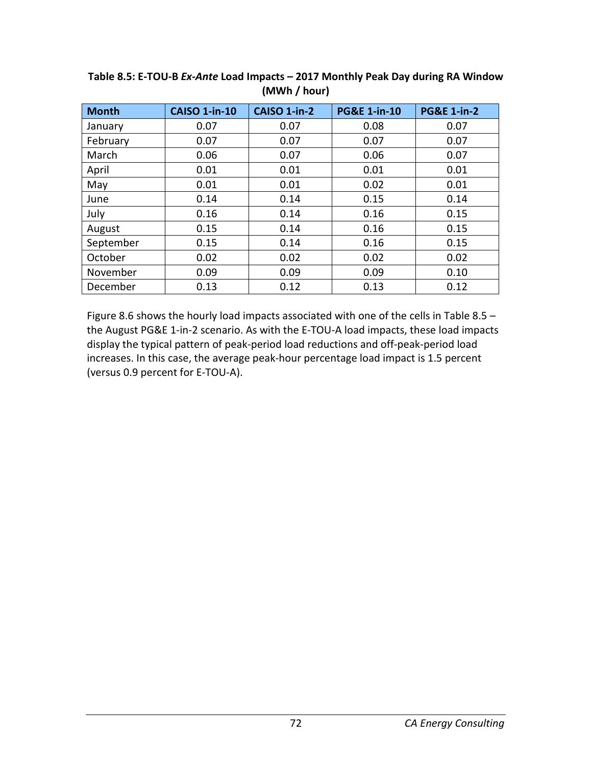| <b>Month</b> | <b>CAISO 1-in-10</b> | <b>CAISO 1-in-2</b> | <b>PG&amp;E 1-in-10</b> | <b>PG&amp;E 1-in-2</b> |
|--------------|----------------------|---------------------|-------------------------|------------------------|
| January      | 0.07                 | 0.07                | 0.08                    | 0.07                   |
| February     | 0.07                 | 0.07                | 0.07                    | 0.07                   |
| March        | 0.06                 | 0.07                | 0.06                    | 0.07                   |
| April        | 0.01                 | 0.01                | 0.01                    | 0.01                   |
| May          | 0.01                 | 0.01                | 0.02                    | 0.01                   |
| June         | 0.14                 | 0.14                | 0.15                    | 0.14                   |
| July         | 0.16                 | 0.14                | 0.16                    | 0.15                   |
| August       | 0.15                 | 0.14                | 0.16                    | 0.15                   |
| September    | 0.15                 | 0.14                | 0.16                    | 0.15                   |
| October      | 0.02                 | 0.02                | 0.02                    | 0.02                   |
| November     | 0.09                 | 0.09                | 0.09                    | 0.10                   |
| December     | 0.13                 | 0.12                | 0.13                    | 0.12                   |

**Table 8.5: E-TOU-B** *Ex-Ante* **Load Impacts – 2017 Monthly Peak Day during RA Window (MWh / hour)**

Figure 8.6 shows the hourly load impacts associated with one of the cells in Table 8.5 – the August PG&E 1-in-2 scenario. As with the E-TOU-A load impacts, these load impacts display the typical pattern of peak-period load reductions and off-peak-period load increases. In this case, the average peak-hour percentage load impact is 1.5 percent (versus 0.9 percent for E-TOU-A).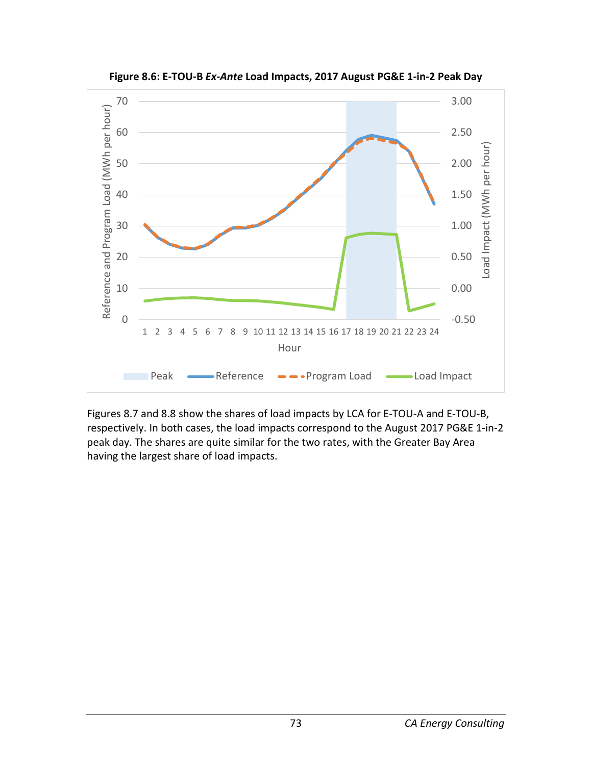

**Figure 8.6: E-TOU-B** *Ex-Ante* **Load Impacts, 2017 August PG&E 1-in-2 Peak Day**

Figures 8.7 and 8.8 show the shares of load impacts by LCA for E-TOU-A and E-TOU-B, respectively. In both cases, the load impacts correspond to the August 2017 PG&E 1-in-2 peak day. The shares are quite similar for the two rates, with the Greater Bay Area having the largest share of load impacts.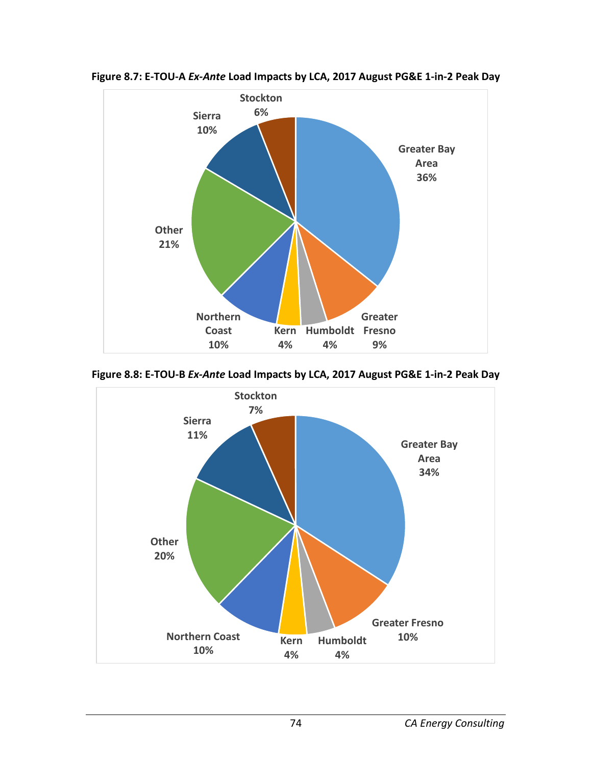

**Figure 8.7: E-TOU-A** *Ex-Ante* **Load Impacts by LCA, 2017 August PG&E 1-in-2 Peak Day**

**Figure 8.8: E-TOU-B** *Ex-Ante* **Load Impacts by LCA, 2017 August PG&E 1-in-2 Peak Day**

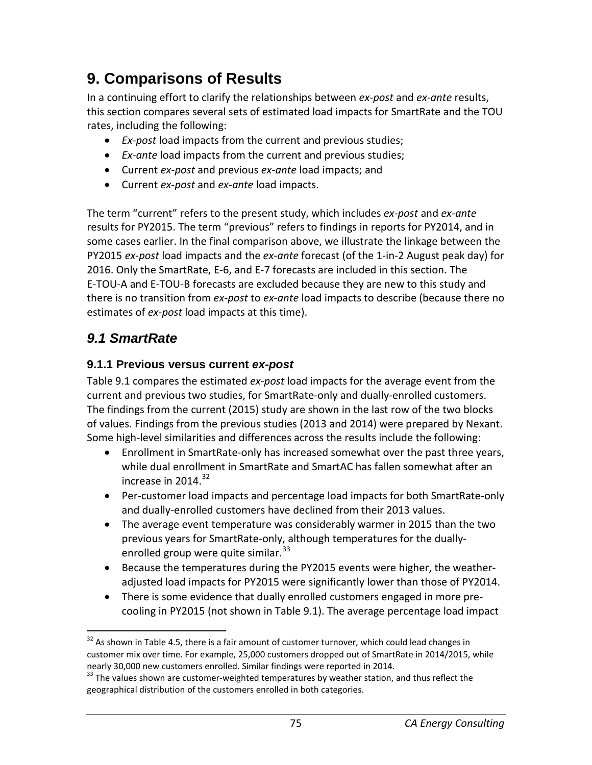# **9. Comparisons of Results**

In a continuing effort to clarify the relationships between *ex-post* and *ex-ante* results, this section compares several sets of estimated load impacts for SmartRate and the TOU rates, including the following:

- *Ex-post* load impacts from the current and previous studies;
- *Ex-ante* load impacts from the current and previous studies;
- Current *ex-post* and previous *ex-ante* load impacts; and
- Current *ex-post* and *ex-ante* load impacts.

The term "current" refers to the present study, which includes *ex-post* and *ex-ante* results for PY2015. The term "previous" refers to findings in reports for PY2014, and in some cases earlier. In the final comparison above, we illustrate the linkage between the PY2015 *ex-post* load impacts and the *ex-ante* forecast (of the 1-in-2 August peak day) for 2016. Only the SmartRate, E-6, and E-7 forecasts are included in this section. The E-TOU-A and E-TOU-B forecasts are excluded because they are new to this study and there is no transition from *ex-post* to *ex-ante* load impacts to describe (because there no estimates of *ex-post* load impacts at this time).

## *9.1 SmartRate*

### **9.1.1 Previous versus current** *ex-post*

Table 9.1 compares the estimated *ex-post* load impacts for the average event from the current and previous two studies, for SmartRate-only and dually-enrolled customers. The findings from the current (2015) study are shown in the last row of the two blocks of values. Findings from the previous studies (2013 and 2014) were prepared by Nexant. Some high-level similarities and differences across the results include the following:

- Enrollment in SmartRate-only has increased somewhat over the past three years, while dual enrollment in SmartRate and SmartAC has fallen somewhat after an increase in  $2014.<sup>32</sup>$  $2014.<sup>32</sup>$  $2014.<sup>32</sup>$
- Per-customer load impacts and percentage load impacts for both SmartRate-only and dually-enrolled customers have declined from their 2013 values.
- The average event temperature was considerably warmer in 2015 than the two previous years for SmartRate-only, although temperatures for the dually-enrolled group were quite similar.<sup>[33](#page-75-1)</sup>
- Because the temperatures during the PY2015 events were higher, the weatheradjusted load impacts for PY2015 were significantly lower than those of PY2014.
- There is some evidence that dually enrolled customers engaged in more precooling in PY2015 (not shown in Table 9.1). The average percentage load impact

<span id="page-75-0"></span> $32$  As shown in Table 4.5, there is a fair amount of customer turnover, which could lead changes in customer mix over time. For example, 25,000 customers dropped out of SmartRate in 2014/2015, while nearly 30,000 new customers enrolled. Similar findings were reported in 2014.<br><sup>33</sup> The values shown are customer-weighted temperatures by weather station, and thus reflect the

<span id="page-75-1"></span>geographical distribution of the customers enrolled in both categories.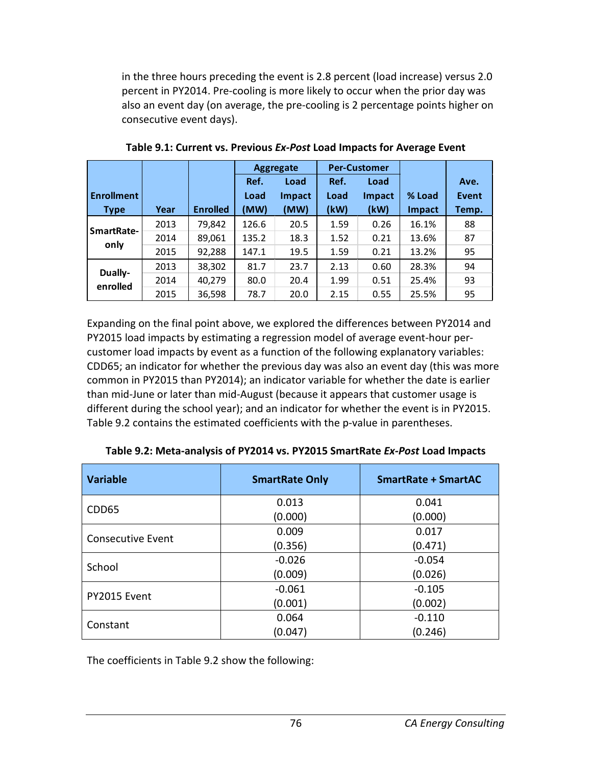in the three hours preceding the event is 2.8 percent (load increase) versus 2.0 percent in PY2014. Pre-cooling is more likely to occur when the prior day was also an event day (on average, the pre-cooling is 2 percentage points higher on consecutive event days).

|                   |      |                 | <b>Per-Customer</b><br><b>Aggregate</b> |        |      |        |        |       |
|-------------------|------|-----------------|-----------------------------------------|--------|------|--------|--------|-------|
|                   |      |                 | Ref.                                    | Load   | Ref. | Load   |        | Ave.  |
| <b>Enrollment</b> |      |                 | Load                                    | Impact | Load | Impact | % Load | Event |
| <b>Type</b>       | Year | <b>Enrolled</b> | (MW)                                    | (MW)   | (kW) | (kW)   | Impact | Temp. |
| SmartRate-        | 2013 | 79,842          | 126.6                                   | 20.5   | 1.59 | 0.26   | 16.1%  | 88    |
|                   | 2014 | 89,061          | 135.2                                   | 18.3   | 1.52 | 0.21   | 13.6%  | 87    |
| only              | 2015 | 92,288          | 147.1                                   | 19.5   | 1.59 | 0.21   | 13.2%  | 95    |
| Dually-           | 2013 | 38,302          | 81.7                                    | 23.7   | 2.13 | 0.60   | 28.3%  | 94    |
| enrolled          | 2014 | 40,279          | 80.0                                    | 20.4   | 1.99 | 0.51   | 25.4%  | 93    |
|                   | 2015 | 36,598          | 78.7                                    | 20.0   | 2.15 | 0.55   | 25.5%  | 95    |

**Table 9.1: Current vs. Previous** *Ex-Post* **Load Impacts for Average Event**

Expanding on the final point above, we explored the differences between PY2014 and PY2015 load impacts by estimating a regression model of average event-hour percustomer load impacts by event as a function of the following explanatory variables: CDD65; an indicator for whether the previous day was also an event day (this was more common in PY2015 than PY2014); an indicator variable for whether the date is earlier than mid-June or later than mid-August (because it appears that customer usage is different during the school year); and an indicator for whether the event is in PY2015. Table 9.2 contains the estimated coefficients with the p-value in parentheses.

| <b>Variable</b>          | <b>SmartRate Only</b> | <b>SmartRate + SmartAC</b> |  |
|--------------------------|-----------------------|----------------------------|--|
| CDD65                    | 0.013                 | 0.041                      |  |
|                          | (0.000)               | (0.000)                    |  |
| <b>Consecutive Event</b> | 0.009                 | 0.017                      |  |
|                          | (0.356)               | (0.471)                    |  |
| School                   | $-0.026$              | $-0.054$                   |  |
|                          | (0.009)               | (0.026)                    |  |
|                          | $-0.061$              | $-0.105$                   |  |
| PY2015 Event             | (0.001)               | (0.002)                    |  |
|                          | 0.064                 | $-0.110$                   |  |
| Constant                 | (0.047)               | (0.246)                    |  |

**Table 9.2: Meta-analysis of PY2014 vs. PY2015 SmartRate** *Ex-Post* **Load Impacts**

The coefficients in Table 9.2 show the following: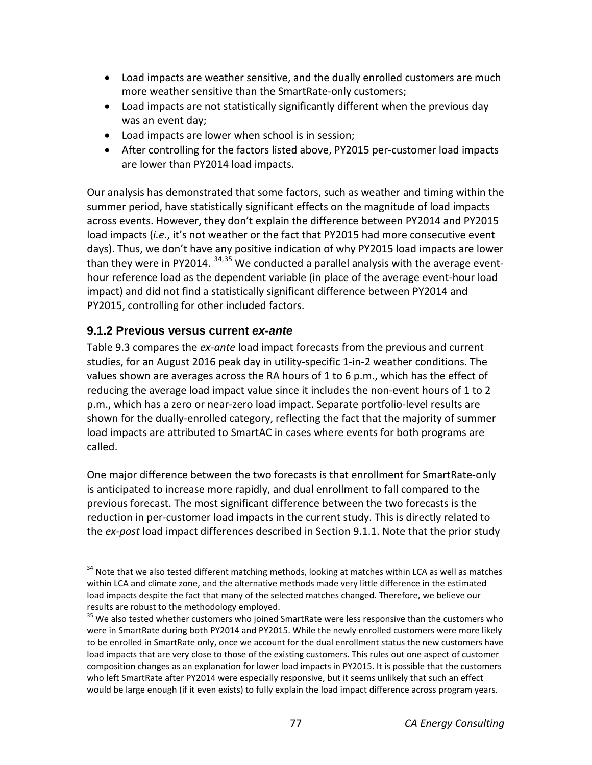- Load impacts are weather sensitive, and the dually enrolled customers are much more weather sensitive than the SmartRate-only customers;
- Load impacts are not statistically significantly different when the previous day was an event day;
- Load impacts are lower when school is in session;
- After controlling for the factors listed above, PY2015 per-customer load impacts are lower than PY2014 load impacts.

Our analysis has demonstrated that some factors, such as weather and timing within the summer period, have statistically significant effects on the magnitude of load impacts across events. However, they don't explain the difference between PY2014 and PY2015 load impacts (*i.e.*, it's not weather or the fact that PY2015 had more consecutive event days). Thus, we don't have any positive indication of why PY2015 load impacts are lower than they were in PY2014.  $34,35$  $34,35$  We conducted a parallel analysis with the average eventhour reference load as the dependent variable (in place of the average event-hour load impact) and did not find a statistically significant difference between PY2014 and PY2015, controlling for other included factors.

## **9.1.2 Previous versus current** *ex-ante*

Table 9.3 compares the *ex-ante* load impact forecasts from the previous and current studies, for an August 2016 peak day in utility-specific 1-in-2 weather conditions. The values shown are averages across the RA hours of 1 to 6 p.m., which has the effect of reducing the average load impact value since it includes the non-event hours of 1 to 2 p.m., which has a zero or near-zero load impact. Separate portfolio-level results are shown for the dually-enrolled category, reflecting the fact that the majority of summer load impacts are attributed to SmartAC in cases where events for both programs are called.

One major difference between the two forecasts is that enrollment for SmartRate-only is anticipated to increase more rapidly, and dual enrollment to fall compared to the previous forecast. The most significant difference between the two forecasts is the reduction in per-customer load impacts in the current study. This is directly related to the *ex-post* load impact differences described in Section 9.1.1. Note that the prior study

<span id="page-77-0"></span><sup>&</sup>lt;sup>34</sup> Note that we also tested different matching methods, looking at matches within LCA as well as matches within LCA and climate zone, and the alternative methods made very little difference in the estimated load impacts despite the fact that many of the selected matches changed. Therefore, we believe our results are robust to the methodology employed.<br><sup>35</sup> We also tested whether customers who joined SmartRate were less responsive than the customers who

<span id="page-77-1"></span>were in SmartRate during both PY2014 and PY2015. While the newly enrolled customers were more likely to be enrolled in SmartRate only, once we account for the dual enrollment status the new customers have load impacts that are very close to those of the existing customers. This rules out one aspect of customer composition changes as an explanation for lower load impacts in PY2015. It is possible that the customers who left SmartRate after PY2014 were especially responsive, but it seems unlikely that such an effect would be large enough (if it even exists) to fully explain the load impact difference across program years.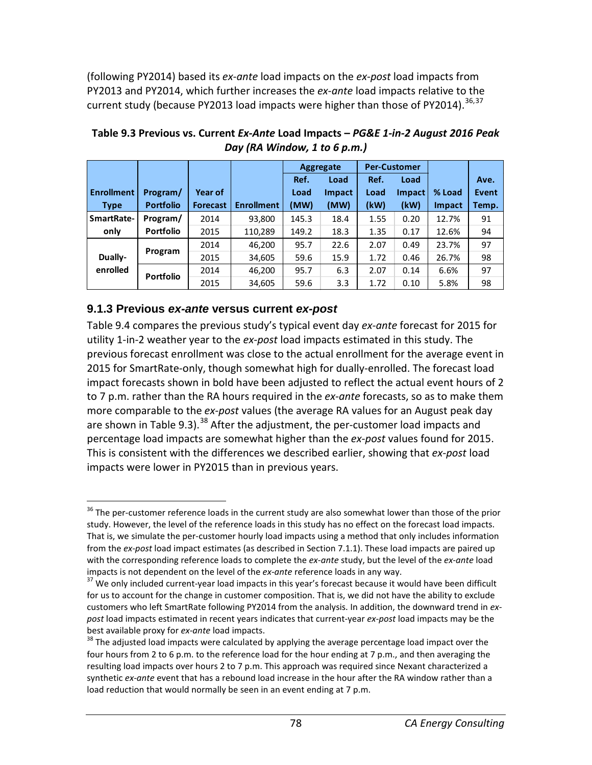(following PY2014) based its *ex-ante* load impacts on the *ex-post* load impacts from PY2013 and PY2014, which further increases the *ex-ante* load impacts relative to the current study (because PY2013 load impacts were higher than those of PY2014).<sup>[36](#page-78-0),[37](#page-78-1)</sup>

|                    |                  |                 |                   |       | Aggregate |      | <b>Per-Customer</b> |               |       |
|--------------------|------------------|-----------------|-------------------|-------|-----------|------|---------------------|---------------|-------|
|                    |                  |                 |                   | Ref.  | Load      | Ref. | Load                |               | Ave.  |
| <b>Enrollment</b>  | Program/         | Year of         |                   | Load  | Impact    | Load | <b>Impact</b>       | % Load        | Event |
| <b>Type</b>        | <b>Portfolio</b> | <b>Forecast</b> | <b>Enrollment</b> | (MW)  | (MW)      | (kW) | (kW)                | <b>Impact</b> | Temp. |
| <b>SmartRate-</b>  | Program/         | 2014            | 93,800            | 145.3 | 18.4      | 1.55 | 0.20                | 12.7%         | 91    |
| only               | <b>Portfolio</b> | 2015            | 110,289           | 149.2 | 18.3      | 1.35 | 0.17                | 12.6%         | 94    |
|                    |                  | 2014            | 46,200            | 95.7  | 22.6      | 2.07 | 0.49                | 23.7%         | 97    |
| Program<br>Dually- |                  | 2015            | 34,605            | 59.6  | 15.9      | 1.72 | 0.46                | 26.7%         | 98    |
| enrolled           | <b>Portfolio</b> | 2014            | 46,200            | 95.7  | 6.3       | 2.07 | 0.14                | 6.6%          | 97    |
|                    |                  | 2015            | 34,605            | 59.6  | 3.3       | 1.72 | 0.10                | 5.8%          | 98    |

**Table 9.3 Previous vs. Current** *Ex-Ante* **Load Impacts –** *PG&E 1-in-2 August 2016 Peak Day (RA Window, 1 to 6 p.m.)*

#### **9.1.3 Previous** *ex-ante* **versus current** *ex-post*

Table 9.4 compares the previous study's typical event day *ex-ante* forecast for 2015 for utility 1-in-2 weather year to the *ex-post* load impacts estimated in this study. The previous forecast enrollment was close to the actual enrollment for the average event in 2015 for SmartRate-only, though somewhat high for dually-enrolled. The forecast load impact forecasts shown in bold have been adjusted to reflect the actual event hours of 2 to 7 p.m. rather than the RA hours required in the *ex-ante* forecasts, so as to make them more comparable to the *ex-post* values (the average RA values for an August peak day are shown in Table 9.3).<sup>[38](#page-78-2)</sup> After the adjustment, the per-customer load impacts and percentage load impacts are somewhat higher than the *ex-post* values found for 2015. This is consistent with the differences we described earlier, showing that *ex-post* load impacts were lower in PY2015 than in previous years.

<span id="page-78-0"></span><sup>&</sup>lt;sup>36</sup> The per-customer reference loads in the current study are also somewhat lower than those of the prior study. However, the level of the reference loads in this study has no effect on the forecast load impacts. That is, we simulate the per-customer hourly load impacts using a method that only includes information from the *ex-post* load impact estimates (as described in Section 7.1.1). These load impacts are paired up with the corresponding reference loads to complete the *ex-ante* study, but the level of the *ex-ante* load impacts is not dependent on the level of the *ex-ante* reference loads in any way.<br><sup>37</sup> We only included current-year load impacts in this year's forecast because it would have been difficult

<span id="page-78-1"></span>for us to account for the change in customer composition. That is, we did not have the ability to exclude customers who left SmartRate following PY2014 from the analysis. In addition, the downward trend in *expost* load impacts estimated in recent years indicates that current-year *ex-post* load impacts may be the best available proxy for *ex-ante* load impacts.<br><sup>38</sup> The adjusted load impacts were calculated by applying the average percentage load impact over the

<span id="page-78-2"></span>four hours from 2 to 6 p.m. to the reference load for the hour ending at 7 p.m., and then averaging the resulting load impacts over hours 2 to 7 p.m. This approach was required since Nexant characterized a synthetic *ex-ante* event that has a rebound load increase in the hour after the RA window rather than a load reduction that would normally be seen in an event ending at 7 p.m.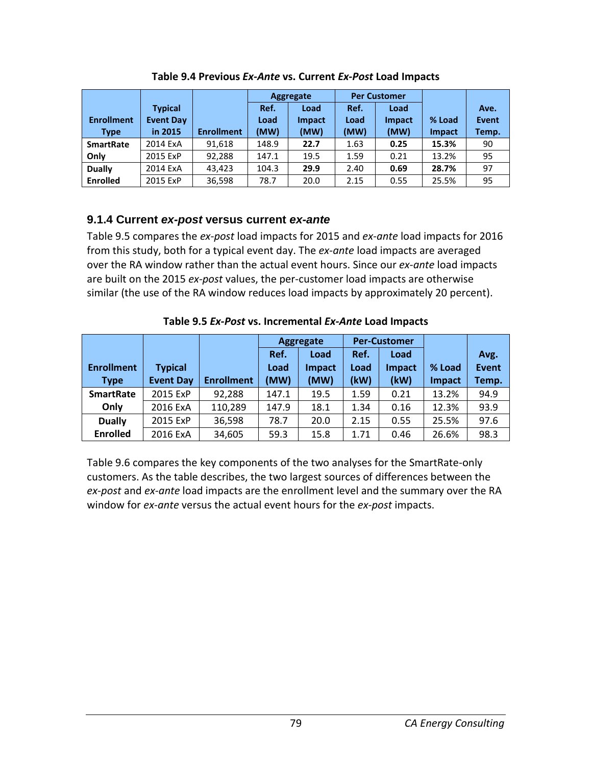|                   |                  |                   | Aggregate |               |      | <b>Per Customer</b> |               |              |
|-------------------|------------------|-------------------|-----------|---------------|------|---------------------|---------------|--------------|
|                   | <b>Typical</b>   |                   | Ref.      | Load          | Ref. | Load                |               | Ave.         |
| <b>Enrollment</b> | <b>Event Day</b> |                   | Load      | <b>Impact</b> | Load | Impact              | % Load        | <b>Event</b> |
| <b>Type</b>       | in 2015          | <b>Enrollment</b> | (MW)      | (MW)          | (MW) | (MW)                | <b>Impact</b> | Temp.        |
| <b>SmartRate</b>  | 2014 ExA         | 91,618            | 148.9     | 22.7          | 1.63 | 0.25                | 15.3%         | 90           |
| Only              | 2015 ExP         | 92,288            | 147.1     | 19.5          | 1.59 | 0.21                | 13.2%         | 95           |
| <b>Dually</b>     | 2014 ExA         | 43.423            | 104.3     | 29.9          | 2.40 | 0.69                | 28.7%         | 97           |
| <b>Enrolled</b>   | 2015 ExP         | 36,598            | 78.7      | 20.0          | 2.15 | 0.55                | 25.5%         | 95           |

**Table 9.4 Previous** *Ex-Ante* **vs. Current** *Ex-Post* **Load Impacts**

#### **9.1.4 Current** *ex-post* **versus current** *ex-ante*

Table 9.5 compares the *ex-post* load impacts for 2015 and *ex-ante* load impacts for 2016 from this study, both for a typical event day. The *ex-ante* load impacts are averaged over the RA window rather than the actual event hours. Since our *ex-ante* load impacts are built on the 2015 *ex-post* values, the per-customer load impacts are otherwise similar (the use of the RA window reduces load impacts by approximately 20 percent).

|                   |                  |                   | Aggregate |               | <b>Per-Customer</b> |               |               |              |
|-------------------|------------------|-------------------|-----------|---------------|---------------------|---------------|---------------|--------------|
|                   |                  |                   | Ref.      | Load          | Ref.                | Load          |               | Avg.         |
| <b>Enrollment</b> | <b>Typical</b>   |                   | Load      | <b>Impact</b> | Load                | <b>Impact</b> | % Load        | <b>Event</b> |
| <b>Type</b>       | <b>Event Day</b> | <b>Enrollment</b> | (MW)      | (MW)          | (kW)                | (kW)          | <b>Impact</b> | Temp.        |
| <b>SmartRate</b>  | 2015 ExP         | 92,288            | 147.1     | 19.5          | 1.59                | 0.21          | 13.2%         | 94.9         |
| Only              | 2016 ExA         | 110,289           | 147.9     | 18.1          | 1.34                | 0.16          | 12.3%         | 93.9         |
| <b>Dually</b>     | 2015 ExP         | 36,598            | 78.7      | 20.0          | 2.15                | 0.55          | 25.5%         | 97.6         |
| <b>Enrolled</b>   | 2016 ExA         | 34,605            | 59.3      | 15.8          | 1.71                | 0.46          | 26.6%         | 98.3         |

**Table 9.5** *Ex-Post* **vs. Incremental** *Ex-Ante* **Load Impacts**

Table 9.6 compares the key components of the two analyses for the SmartRate-only customers. As the table describes, the two largest sources of differences between the *ex-post* and *ex-ante* load impacts are the enrollment level and the summary over the RA window for *ex-ante* versus the actual event hours for the *ex-post* impacts.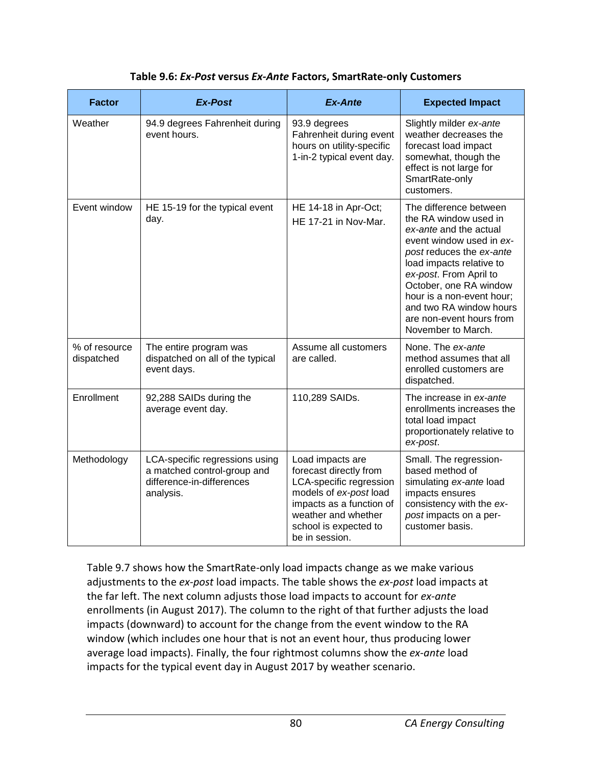| Table 9.6: Ex-Post versus Ex-Ante Factors, SmartRate-only Customers |  |
|---------------------------------------------------------------------|--|
|---------------------------------------------------------------------|--|

| <b>Factor</b>               | <b>Ex-Post</b>                                                                                          | Ex-Ante                                                                                                                                                                                       | <b>Expected Impact</b>                                                                                                                                                                                                                                                                                                      |
|-----------------------------|---------------------------------------------------------------------------------------------------------|-----------------------------------------------------------------------------------------------------------------------------------------------------------------------------------------------|-----------------------------------------------------------------------------------------------------------------------------------------------------------------------------------------------------------------------------------------------------------------------------------------------------------------------------|
| Weather                     | 94.9 degrees Fahrenheit during<br>event hours.                                                          | 93.9 degrees<br>Fahrenheit during event<br>hours on utility-specific<br>1-in-2 typical event day.                                                                                             | Slightly milder ex-ante<br>weather decreases the<br>forecast load impact<br>somewhat, though the<br>effect is not large for<br>SmartRate-only<br>customers.                                                                                                                                                                 |
| Event window                | HE 15-19 for the typical event<br>day.                                                                  | HE 14-18 in Apr-Oct;<br>HE 17-21 in Nov-Mar.                                                                                                                                                  | The difference between<br>the RA window used in<br>ex-ante and the actual<br>event window used in ex-<br>post reduces the ex-ante<br>load impacts relative to<br>ex-post. From April to<br>October, one RA window<br>hour is a non-event hour;<br>and two RA window hours<br>are non-event hours from<br>November to March. |
| % of resource<br>dispatched | The entire program was<br>dispatched on all of the typical<br>event days.                               | Assume all customers<br>are called.                                                                                                                                                           | None. The ex-ante<br>method assumes that all<br>enrolled customers are<br>dispatched.                                                                                                                                                                                                                                       |
| Enrollment                  | 92,288 SAIDs during the<br>average event day.                                                           | 110,289 SAIDs.                                                                                                                                                                                | The increase in ex-ante<br>enrollments increases the<br>total load impact<br>proportionately relative to<br>ex-post.                                                                                                                                                                                                        |
| Methodology                 | LCA-specific regressions using<br>a matched control-group and<br>difference-in-differences<br>analysis. | Load impacts are<br>forecast directly from<br>LCA-specific regression<br>models of ex-post load<br>impacts as a function of<br>weather and whether<br>school is expected to<br>be in session. | Small. The regression-<br>based method of<br>simulating ex-ante load<br>impacts ensures<br>consistency with the ex-<br>post impacts on a per-<br>customer basis.                                                                                                                                                            |

Table 9.7 shows how the SmartRate-only load impacts change as we make various adjustments to the *ex-post* load impacts. The table shows the *ex-post* load impacts at the far left. The next column adjusts those load impacts to account for *ex-ante* enrollments (in August 2017). The column to the right of that further adjusts the load impacts (downward) to account for the change from the event window to the RA window (which includes one hour that is not an event hour, thus producing lower average load impacts). Finally, the four rightmost columns show the *ex-ante* load impacts for the typical event day in August 2017 by weather scenario.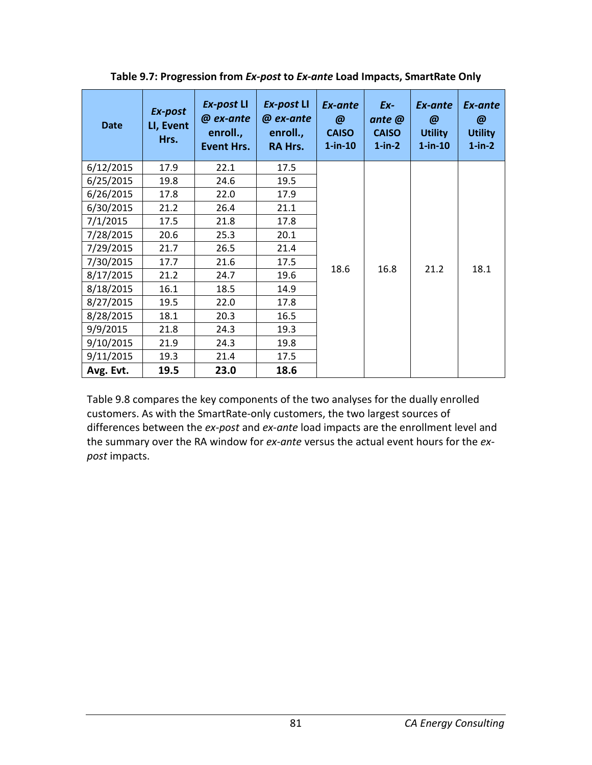| <b>Date</b> | Ex-post<br>LI, Event<br>Hrs. | Ex-post LI<br>@ ex-ante<br>enroll.,<br><b>Event Hrs.</b> | Ex-post LI<br>@ ex-ante<br>enroll.,<br><b>RA Hrs.</b> | Ex-ante<br>@<br><b>CAISO</b><br>$1$ -in- $10$ | Ex-<br>ante @<br><b>CAISO</b><br>$1-in-2$ | Ex-ante<br>@<br><b>Utility</b><br>$1$ -in-10 | Ex-ante<br>@<br><b>Utility</b><br>$1-in-2$ |
|-------------|------------------------------|----------------------------------------------------------|-------------------------------------------------------|-----------------------------------------------|-------------------------------------------|----------------------------------------------|--------------------------------------------|
| 6/12/2015   | 17.9                         | 22.1                                                     | 17.5                                                  |                                               |                                           |                                              |                                            |
| 6/25/2015   | 19.8                         | 24.6                                                     | 19.5                                                  |                                               |                                           |                                              | 18.1                                       |
| 6/26/2015   | 17.8                         | 22.0                                                     | 17.9                                                  |                                               |                                           |                                              |                                            |
| 6/30/2015   | 21.2                         | 26.4                                                     | 21.1                                                  |                                               |                                           |                                              |                                            |
| 7/1/2015    | 17.5                         | 21.8                                                     | 17.8                                                  |                                               |                                           |                                              |                                            |
| 7/28/2015   | 20.6                         | 25.3                                                     | 20.1                                                  |                                               |                                           |                                              |                                            |
| 7/29/2015   | 21.7                         | 26.5                                                     | 21.4                                                  |                                               |                                           |                                              |                                            |
| 7/30/2015   | 17.7                         | 21.6                                                     | 17.5                                                  |                                               |                                           |                                              |                                            |
| 8/17/2015   | 21.2                         | 24.7                                                     | 19.6                                                  | 18.6                                          | 16.8                                      | 21.2                                         |                                            |
| 8/18/2015   | 16.1                         | 18.5                                                     | 14.9                                                  |                                               |                                           |                                              |                                            |
| 8/27/2015   | 19.5                         | 22.0                                                     | 17.8                                                  |                                               |                                           |                                              |                                            |
| 8/28/2015   | 18.1                         | 20.3                                                     | 16.5                                                  |                                               |                                           |                                              |                                            |
| 9/9/2015    | 21.8                         | 24.3                                                     | 19.3                                                  |                                               |                                           |                                              |                                            |
| 9/10/2015   | 21.9                         | 24.3                                                     | 19.8                                                  |                                               |                                           |                                              |                                            |
| 9/11/2015   | 19.3                         | 21.4                                                     | 17.5                                                  |                                               |                                           |                                              |                                            |
| Avg. Evt.   | 19.5                         | 23.0                                                     | 18.6                                                  |                                               |                                           |                                              |                                            |

**Table 9.7: Progression from** *Ex-post* **to** *Ex-ante* **Load Impacts, SmartRate Only**

Table 9.8 compares the key components of the two analyses for the dually enrolled customers. As with the SmartRate-only customers, the two largest sources of differences between the *ex-post* and *ex-ante* load impacts are the enrollment level and the summary over the RA window for *ex-ante* versus the actual event hours for the *expost* impacts.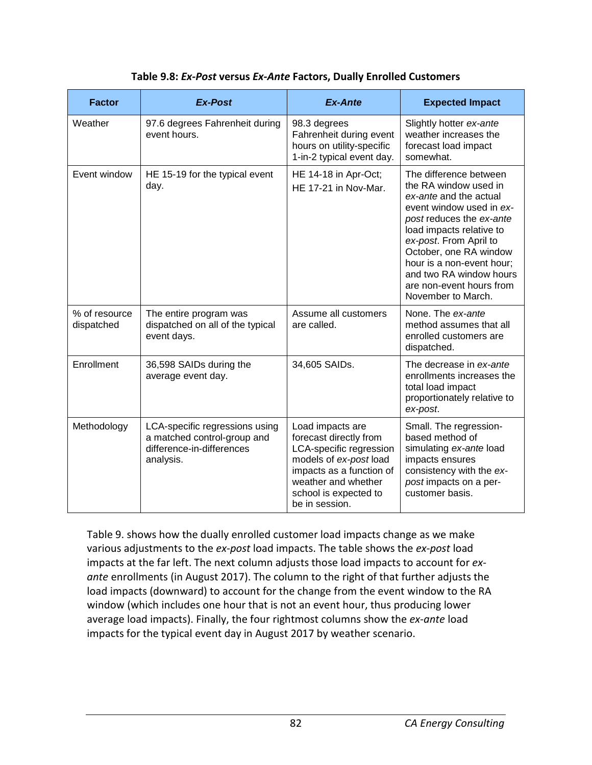| <b>Factor</b>               | Ex-Post                                                                                                 | <b>Ex-Ante</b>                                                                                                                                                                                | <b>Expected Impact</b>                                                                                                                                                                                                                                                                                                      |
|-----------------------------|---------------------------------------------------------------------------------------------------------|-----------------------------------------------------------------------------------------------------------------------------------------------------------------------------------------------|-----------------------------------------------------------------------------------------------------------------------------------------------------------------------------------------------------------------------------------------------------------------------------------------------------------------------------|
| Weather                     | 97.6 degrees Fahrenheit during<br>event hours.                                                          | 98.3 degrees<br>Fahrenheit during event<br>hours on utility-specific<br>1-in-2 typical event day.                                                                                             | Slightly hotter ex-ante<br>weather increases the<br>forecast load impact<br>somewhat.                                                                                                                                                                                                                                       |
| Event window                | HE 15-19 for the typical event<br>day.                                                                  | HE 14-18 in Apr-Oct;<br>HE 17-21 in Nov-Mar.                                                                                                                                                  | The difference between<br>the RA window used in<br>ex-ante and the actual<br>event window used in ex-<br>post reduces the ex-ante<br>load impacts relative to<br>ex-post. From April to<br>October, one RA window<br>hour is a non-event hour;<br>and two RA window hours<br>are non-event hours from<br>November to March. |
| % of resource<br>dispatched | The entire program was<br>dispatched on all of the typical<br>event days.                               | Assume all customers<br>are called.                                                                                                                                                           | None. The ex-ante<br>method assumes that all<br>enrolled customers are<br>dispatched.                                                                                                                                                                                                                                       |
| Enrollment                  | 36,598 SAIDs during the<br>average event day.                                                           | 34,605 SAIDs.                                                                                                                                                                                 | The decrease in ex-ante<br>enrollments increases the<br>total load impact<br>proportionately relative to<br>ex-post.                                                                                                                                                                                                        |
| Methodology                 | LCA-specific regressions using<br>a matched control-group and<br>difference-in-differences<br>analysis. | Load impacts are<br>forecast directly from<br>LCA-specific regression<br>models of ex-post load<br>impacts as a function of<br>weather and whether<br>school is expected to<br>be in session. | Small. The regression-<br>based method of<br>simulating ex-ante load<br>impacts ensures<br>consistency with the ex-<br>post impacts on a per-<br>customer basis.                                                                                                                                                            |

Table 9. shows how the dually enrolled customer load impacts change as we make various adjustments to the *ex-post* load impacts. The table shows the *ex-post* load impacts at the far left. The next column adjusts those load impacts to account for *exante* enrollments (in August 2017). The column to the right of that further adjusts the load impacts (downward) to account for the change from the event window to the RA window (which includes one hour that is not an event hour, thus producing lower average load impacts). Finally, the four rightmost columns show the *ex-ante* load impacts for the typical event day in August 2017 by weather scenario.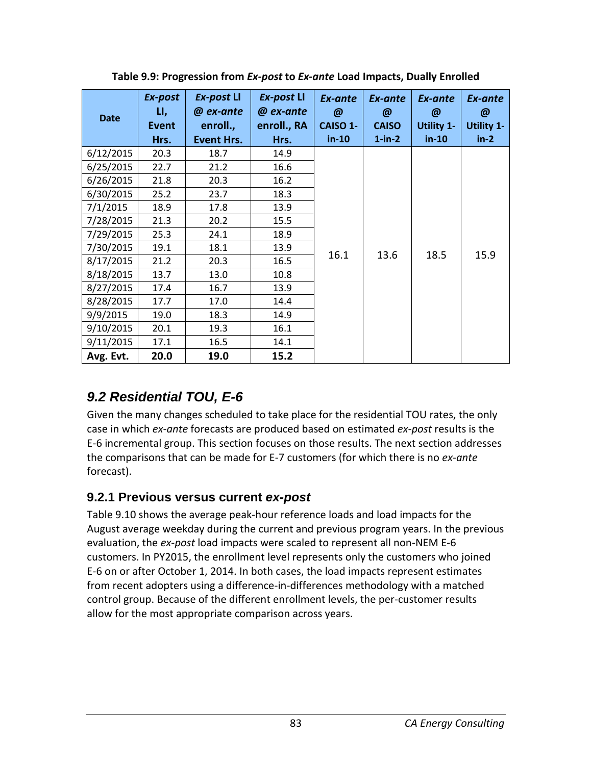| <b>Date</b> | Ex-post<br>LI,<br>Event | Ex-post LI<br>@ ex-ante<br>enroll., | Ex-post LI<br>@ ex-ante<br>enroll., RA | Ex-ante<br>$\boldsymbol{\omega}$<br>CAISO 1- | Ex-ante<br>@<br><b>CAISO</b> | Ex-ante<br>@<br><b>Utility 1-</b> | Ex-ante<br>@<br><b>Utility 1-</b> |
|-------------|-------------------------|-------------------------------------|----------------------------------------|----------------------------------------------|------------------------------|-----------------------------------|-----------------------------------|
|             | Hrs.                    | <b>Event Hrs.</b>                   | Hrs.                                   | $in-10$                                      | $1-in-2$                     | $in-10$                           | $in-2$                            |
| 6/12/2015   | 20.3                    | 18.7                                | 14.9                                   |                                              |                              |                                   |                                   |
| 6/25/2015   | 22.7                    | 21.2                                | 16.6                                   |                                              |                              |                                   |                                   |
| 6/26/2015   | 21.8                    | 20.3                                | 16.2                                   |                                              |                              |                                   |                                   |
| 6/30/2015   | 25.2                    | 23.7                                | 18.3                                   |                                              |                              |                                   |                                   |
| 7/1/2015    | 18.9                    | 17.8                                | 13.9                                   |                                              |                              |                                   |                                   |
| 7/28/2015   | 21.3                    | 20.2                                | 15.5                                   |                                              |                              |                                   |                                   |
| 7/29/2015   | 25.3                    | 24.1                                | 18.9                                   |                                              |                              |                                   |                                   |
| 7/30/2015   | 19.1                    | 18.1                                | 13.9                                   |                                              |                              |                                   |                                   |
| 8/17/2015   | 21.2                    | 20.3                                | 16.5                                   | 16.1                                         | 13.6                         | 18.5                              | 15.9                              |
| 8/18/2015   | 13.7                    | 13.0                                | 10.8                                   |                                              |                              |                                   |                                   |
| 8/27/2015   | 17.4                    | 16.7                                | 13.9                                   |                                              |                              |                                   |                                   |
| 8/28/2015   | 17.7                    | 17.0                                | 14.4                                   |                                              |                              |                                   |                                   |
| 9/9/2015    | 19.0                    | 18.3                                | 14.9                                   |                                              |                              |                                   |                                   |
| 9/10/2015   | 20.1                    | 19.3                                | 16.1                                   |                                              |                              |                                   |                                   |
| 9/11/2015   | 17.1                    | 16.5                                | 14.1                                   |                                              |                              |                                   |                                   |
| Avg. Evt.   | 20.0                    | 19.0                                | 15.2                                   |                                              |                              |                                   |                                   |

**Table 9.9: Progression from** *Ex-post* **to** *Ex-ante* **Load Impacts, Dually Enrolled**

## *9.2 Residential TOU, E-6*

Given the many changes scheduled to take place for the residential TOU rates, the only case in which *ex-ante* forecasts are produced based on estimated *ex-post* results is the E-6 incremental group. This section focuses on those results. The next section addresses the comparisons that can be made for E-7 customers (for which there is no *ex-ante* forecast).

## **9.2.1 Previous versus current** *ex-post*

Table 9.10 shows the average peak-hour reference loads and load impacts for the August average weekday during the current and previous program years. In the previous evaluation, the *ex-post* load impacts were scaled to represent all non-NEM E-6 customers. In PY2015, the enrollment level represents only the customers who joined E-6 on or after October 1, 2014. In both cases, the load impacts represent estimates from recent adopters using a difference-in-differences methodology with a matched control group. Because of the different enrollment levels, the per-customer results allow for the most appropriate comparison across years.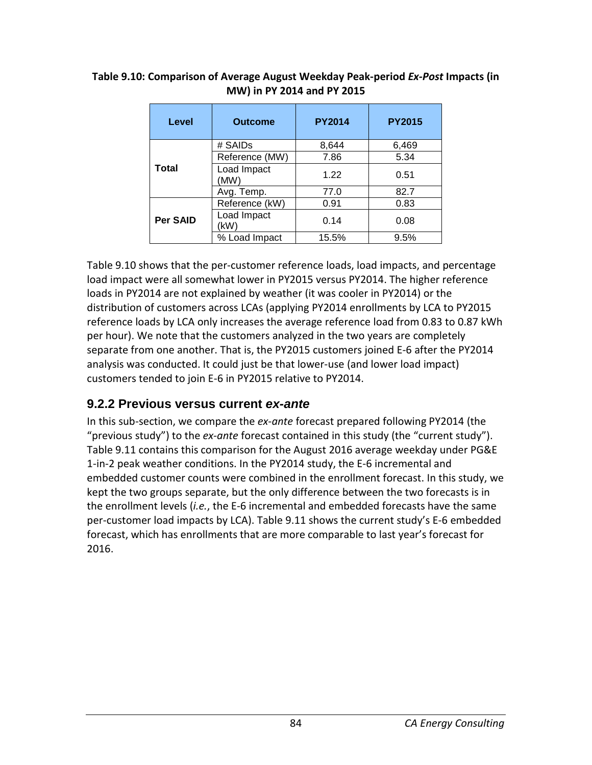| Level           | <b>Outcome</b>      | <b>PY2014</b> | <b>PY2015</b> |
|-----------------|---------------------|---------------|---------------|
| Total           | # SAIDs             | 8,644         | 6,469         |
|                 | Reference (MW)      | 7.86          | 5.34          |
|                 | Load Impact<br>(MW) | 1.22          | 0.51          |
|                 | Avg. Temp.          | 77.0          | 82.7          |
| <b>Per SAID</b> | Reference (kW)      | 0.91          | 0.83          |
|                 | Load Impact<br>(kW) | 0.14          | 0.08          |
|                 | % Load Impact       | 15.5%         | 9.5%          |

#### **Table 9.10: Comparison of Average August Weekday Peak-period** *Ex-Post* **Impacts (in MW) in PY 2014 and PY 2015**

Table 9.10 shows that the per-customer reference loads, load impacts, and percentage load impact were all somewhat lower in PY2015 versus PY2014. The higher reference loads in PY2014 are not explained by weather (it was cooler in PY2014) or the distribution of customers across LCAs (applying PY2014 enrollments by LCA to PY2015 reference loads by LCA only increases the average reference load from 0.83 to 0.87 kWh per hour). We note that the customers analyzed in the two years are completely separate from one another. That is, the PY2015 customers joined E-6 after the PY2014 analysis was conducted. It could just be that lower-use (and lower load impact) customers tended to join E-6 in PY2015 relative to PY2014.

## **9.2.2 Previous versus current** *ex-ante*

In this sub-section, we compare the *ex-ante* forecast prepared following PY2014 (the "previous study") to the *ex-ante* forecast contained in this study (the "current study"). Table 9.11 contains this comparison for the August 2016 average weekday under PG&E 1-in-2 peak weather conditions. In the PY2014 study, the E-6 incremental and embedded customer counts were combined in the enrollment forecast. In this study, we kept the two groups separate, but the only difference between the two forecasts is in the enrollment levels (*i.e.*, the E-6 incremental and embedded forecasts have the same per-customer load impacts by LCA). Table 9.11 shows the current study's E-6 embedded forecast, which has enrollments that are more comparable to last year's forecast for 2016.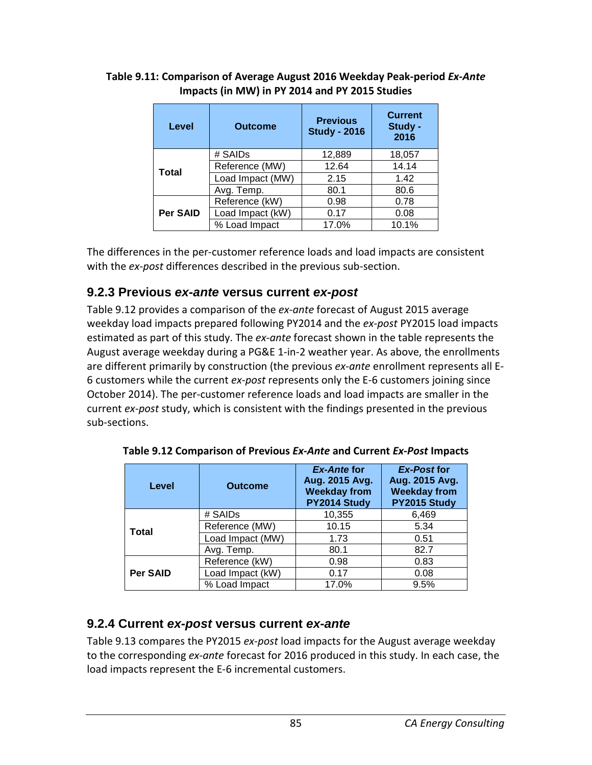| Level           | <b>Outcome</b>   | <b>Previous</b><br><b>Study - 2016</b> | <b>Current</b><br>Study -<br>2016 |
|-----------------|------------------|----------------------------------------|-----------------------------------|
| <b>Total</b>    | # SAIDs          | 12,889                                 | 18,057                            |
|                 | Reference (MW)   | 12.64                                  | 14.14                             |
|                 | Load Impact (MW) | 2.15                                   | 1.42                              |
|                 | Avg. Temp.       | 80.1                                   | 80.6                              |
| <b>Per SAID</b> | Reference (kW)   | 0.98                                   | 0.78                              |
|                 | Load Impact (kW) | 0.17                                   | 0.08                              |
|                 | % Load Impact    | 17.0%                                  | 10.1%                             |

#### **Table 9.11: Comparison of Average August 2016 Weekday Peak-period** *Ex-Ante* **Impacts (in MW) in PY 2014 and PY 2015 Studies**

The differences in the per-customer reference loads and load impacts are consistent with the *ex-post* differences described in the previous sub-section.

## **9.2.3 Previous** *ex-ante* **versus current** *ex-post*

Table 9.12 provides a comparison of the *ex-ante* forecast of August 2015 average weekday load impacts prepared following PY2014 and the *ex-post* PY2015 load impacts estimated as part of this study. The *ex-ante* forecast shown in the table represents the August average weekday during a PG&E 1-in-2 weather year. As above, the enrollments are different primarily by construction (the previous *ex-ante* enrollment represents all E-6 customers while the current *ex-post* represents only the E-6 customers joining since October 2014). The per-customer reference loads and load impacts are smaller in the current *ex-post* study, which is consistent with the findings presented in the previous sub-sections.

| Level           | <b>Outcome</b>   | <b>Ex-Ante for</b><br>Aug. 2015 Avg.<br><b>Weekday from</b><br>PY2014 Study | <b>Ex-Post for</b><br>Aug. 2015 Avg.<br><b>Weekday from</b><br>PY2015 Study |
|-----------------|------------------|-----------------------------------------------------------------------------|-----------------------------------------------------------------------------|
| <b>Total</b>    | # SAIDs          | 10,355                                                                      | 6,469                                                                       |
|                 | Reference (MW)   | 10.15                                                                       | 5.34                                                                        |
|                 | Load Impact (MW) | 1.73                                                                        | 0.51                                                                        |
|                 | Avg. Temp.       | 80.1                                                                        | 82.7                                                                        |
| <b>Per SAID</b> | Reference (kW)   | 0.98                                                                        | 0.83                                                                        |
|                 | Load Impact (kW) | 0.17                                                                        | 0.08                                                                        |
|                 | % Load Impact    | 17.0%                                                                       | 9.5%                                                                        |

**Table 9.12 Comparison of Previous** *Ex-Ante* **and Current** *Ex-Post* **Impacts**

## **9.2.4 Current** *ex-post* **versus current** *ex-ante*

Table 9.13 compares the PY2015 *ex-post* load impacts for the August average weekday to the corresponding *ex-ante* forecast for 2016 produced in this study. In each case, the load impacts represent the E-6 incremental customers.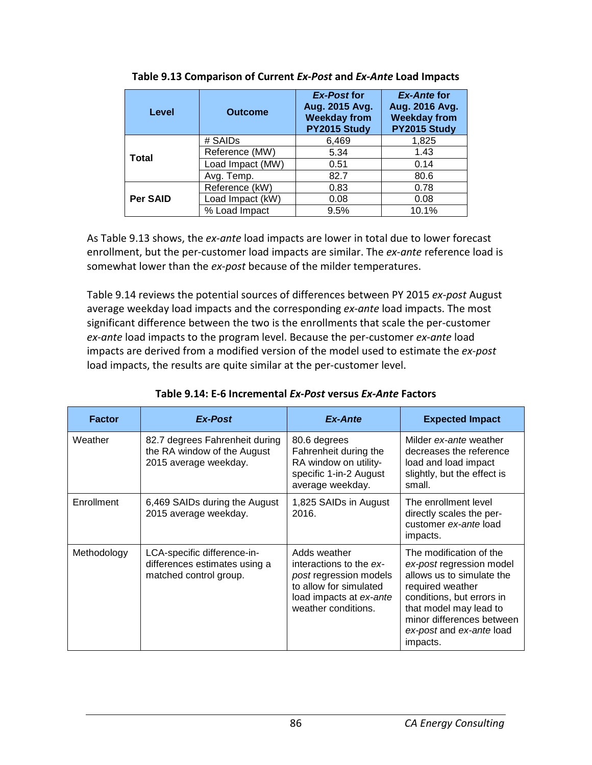| Level           | <b>Outcome</b>   | <b>Ex-Post for</b><br>Aug. 2015 Avg.<br><b>Weekday from</b><br>PY2015 Study | <b>Ex-Ante for</b><br>Aug. 2016 Avg.<br><b>Weekday from</b><br>PY2015 Study |
|-----------------|------------------|-----------------------------------------------------------------------------|-----------------------------------------------------------------------------|
| Total           | # SAIDs          | 6,469                                                                       | 1,825                                                                       |
|                 | Reference (MW)   | 5.34                                                                        | 1.43                                                                        |
|                 | Load Impact (MW) | 0.51                                                                        | 0.14                                                                        |
|                 | Avg. Temp.       | 82.7                                                                        | 80.6                                                                        |
| <b>Per SAID</b> | Reference (kW)   | 0.83                                                                        | 0.78                                                                        |
|                 | Load Impact (kW) | 0.08                                                                        | 0.08                                                                        |
|                 | % Load Impact    | 9.5%                                                                        | 10.1%                                                                       |

|  | Table 9.13 Comparison of Current Ex-Post and Ex-Ante Load Impacts |
|--|-------------------------------------------------------------------|
|--|-------------------------------------------------------------------|

As Table 9.13 shows, the *ex-ante* load impacts are lower in total due to lower forecast enrollment, but the per-customer load impacts are similar. The *ex-ante* reference load is somewhat lower than the *ex-post* because of the milder temperatures.

Table 9.14 reviews the potential sources of differences between PY 2015 *ex-post* August average weekday load impacts and the corresponding *ex-ante* load impacts. The most significant difference between the two is the enrollments that scale the per-customer *ex-ante* load impacts to the program level. Because the per-customer *ex-ante* load impacts are derived from a modified version of the model used to estimate the *ex-post* load impacts, the results are quite similar at the per-customer level.

| <b>Factor</b> | Ex-Post                                                                                | Ex-Ante                                                                                                                                              | <b>Expected Impact</b>                                                                                                                                                                                                           |
|---------------|----------------------------------------------------------------------------------------|------------------------------------------------------------------------------------------------------------------------------------------------------|----------------------------------------------------------------------------------------------------------------------------------------------------------------------------------------------------------------------------------|
| Weather       | 82.7 degrees Fahrenheit during<br>the RA window of the August<br>2015 average weekday. | 80.6 degrees<br>Fahrenheit during the<br>RA window on utility-<br>specific 1-in-2 August<br>average weekday.                                         | Milder ex-ante weather<br>decreases the reference<br>load and load impact<br>slightly, but the effect is<br>small.                                                                                                               |
| Enrollment    | 6,469 SAIDs during the August<br>2015 average weekday.                                 | 1,825 SAIDs in August<br>2016.                                                                                                                       | The enrollment level<br>directly scales the per-<br>customer ex-ante load<br>impacts.                                                                                                                                            |
| Methodology   | LCA-specific difference-in-<br>differences estimates using a<br>matched control group. | Adds weather<br>interactions to the ex-<br><i>post</i> regression models<br>to allow for simulated<br>load impacts at ex-ante<br>weather conditions. | The modification of the<br>ex-post regression model<br>allows us to simulate the<br>required weather<br>conditions, but errors in<br>that model may lead to<br>minor differences between<br>ex-post and ex-ante load<br>impacts. |

#### **Table 9.14: E-6 Incremental** *Ex-Post* **versus** *Ex-Ante* **Factors**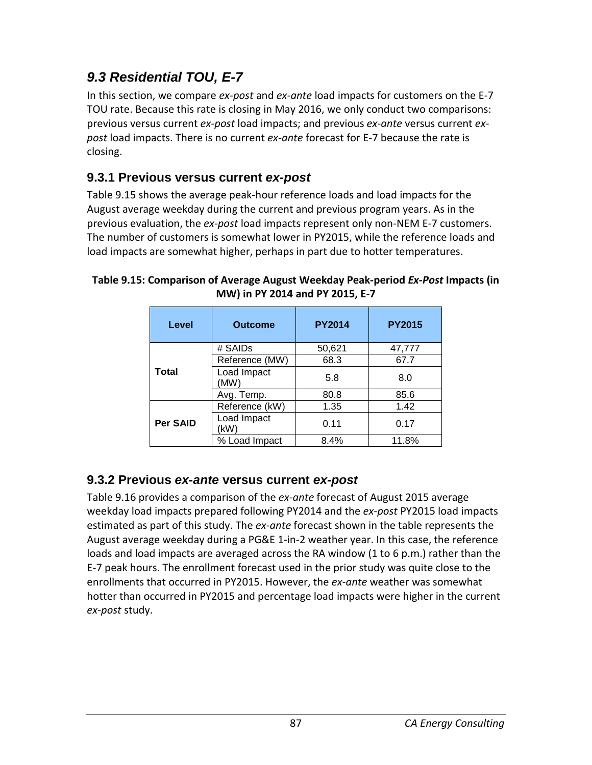## *9.3 Residential TOU, E-7*

In this section, we compare *ex-post* and *ex-ante* load impacts for customers on the E-7 TOU rate. Because this rate is closing in May 2016, we only conduct two comparisons: previous versus current *ex-post* load impacts; and previous *ex-ante* versus current *expost* load impacts. There is no current *ex-ante* forecast for E-7 because the rate is closing.

## **9.3.1 Previous versus current** *ex-post*

Table 9.15 shows the average peak-hour reference loads and load impacts for the August average weekday during the current and previous program years. As in the previous evaluation, the *ex-post* load impacts represent only non-NEM E-7 customers. The number of customers is somewhat lower in PY2015, while the reference loads and load impacts are somewhat higher, perhaps in part due to hotter temperatures.

| Level        | <b>Outcome</b>      | <b>PY2014</b> | <b>PY2015</b> |
|--------------|---------------------|---------------|---------------|
| <b>Total</b> | # SAIDs             | 50,621        | 47,777        |
|              | Reference (MW)      | 68.3          | 67.7          |
|              | Load Impact<br>(MW) | 5.8           | 8.0           |
|              | Avg. Temp.          | 80.8          | 85.6          |
| Per SAID     | Reference (kW)      | 1.35          | 1.42          |
|              | Load Impact<br>(kW) | 0.11          | 0.17          |
|              | % Load Impact       | 8.4%          | 11.8%         |

**Table 9.15: Comparison of Average August Weekday Peak-period** *Ex-Post* **Impacts (in MW) in PY 2014 and PY 2015, E-7**

## **9.3.2 Previous** *ex-ante* **versus current** *ex-post*

Table 9.16 provides a comparison of the *ex-ante* forecast of August 2015 average weekday load impacts prepared following PY2014 and the *ex-post* PY2015 load impacts estimated as part of this study. The *ex-ante* forecast shown in the table represents the August average weekday during a PG&E 1-in-2 weather year. In this case, the reference loads and load impacts are averaged across the RA window (1 to 6 p.m.) rather than the E-7 peak hours. The enrollment forecast used in the prior study was quite close to the enrollments that occurred in PY2015. However, the *ex-ante* weather was somewhat hotter than occurred in PY2015 and percentage load impacts were higher in the current *ex-post* study.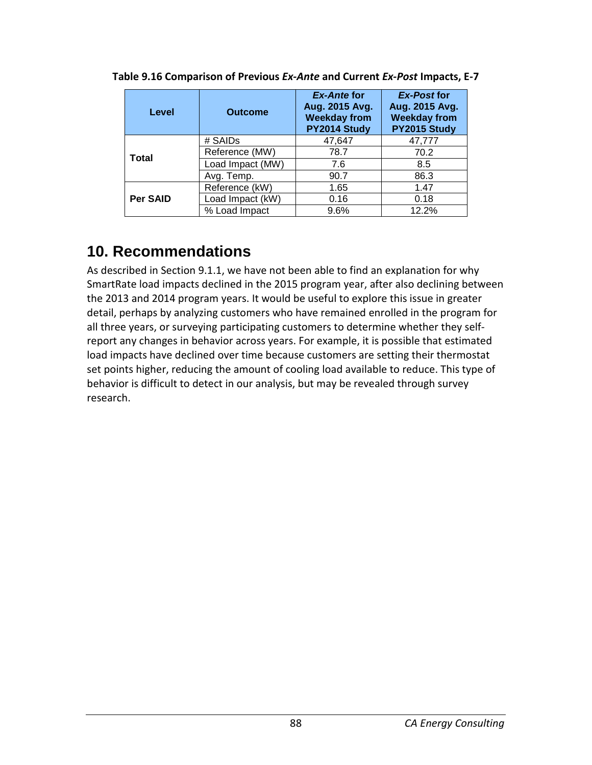| Level           | <b>Outcome</b>   | <b>Ex-Ante for</b><br>Aug. 2015 Avg.<br><b>Weekday from</b><br>PY2014 Study | <b>Ex-Post for</b><br>Aug. 2015 Avg.<br><b>Weekday from</b><br>PY2015 Study |
|-----------------|------------------|-----------------------------------------------------------------------------|-----------------------------------------------------------------------------|
| Total           | # SAIDs          | 47,647                                                                      | 47,777                                                                      |
|                 | Reference (MW)   | 78.7                                                                        | 70.2                                                                        |
|                 | Load Impact (MW) | 7.6                                                                         | 8.5                                                                         |
|                 | Avg. Temp.       | 90.7                                                                        | 86.3                                                                        |
| <b>Per SAID</b> | Reference (kW)   | 1.65                                                                        | 1.47                                                                        |
|                 | Load Impact (kW) | 0.16                                                                        | 0.18                                                                        |
|                 | % Load Impact    | 9.6%                                                                        | 12.2%                                                                       |

**Table 9.16 Comparison of Previous** *Ex-Ante* **and Current** *Ex-Post* **Impacts, E-7**

# **10. Recommendations**

As described in Section 9.1.1, we have not been able to find an explanation for why SmartRate load impacts declined in the 2015 program year, after also declining between the 2013 and 2014 program years. It would be useful to explore this issue in greater detail, perhaps by analyzing customers who have remained enrolled in the program for all three years, or surveying participating customers to determine whether they selfreport any changes in behavior across years. For example, it is possible that estimated load impacts have declined over time because customers are setting their thermostat set points higher, reducing the amount of cooling load available to reduce. This type of behavior is difficult to detect in our analysis, but may be revealed through survey research.